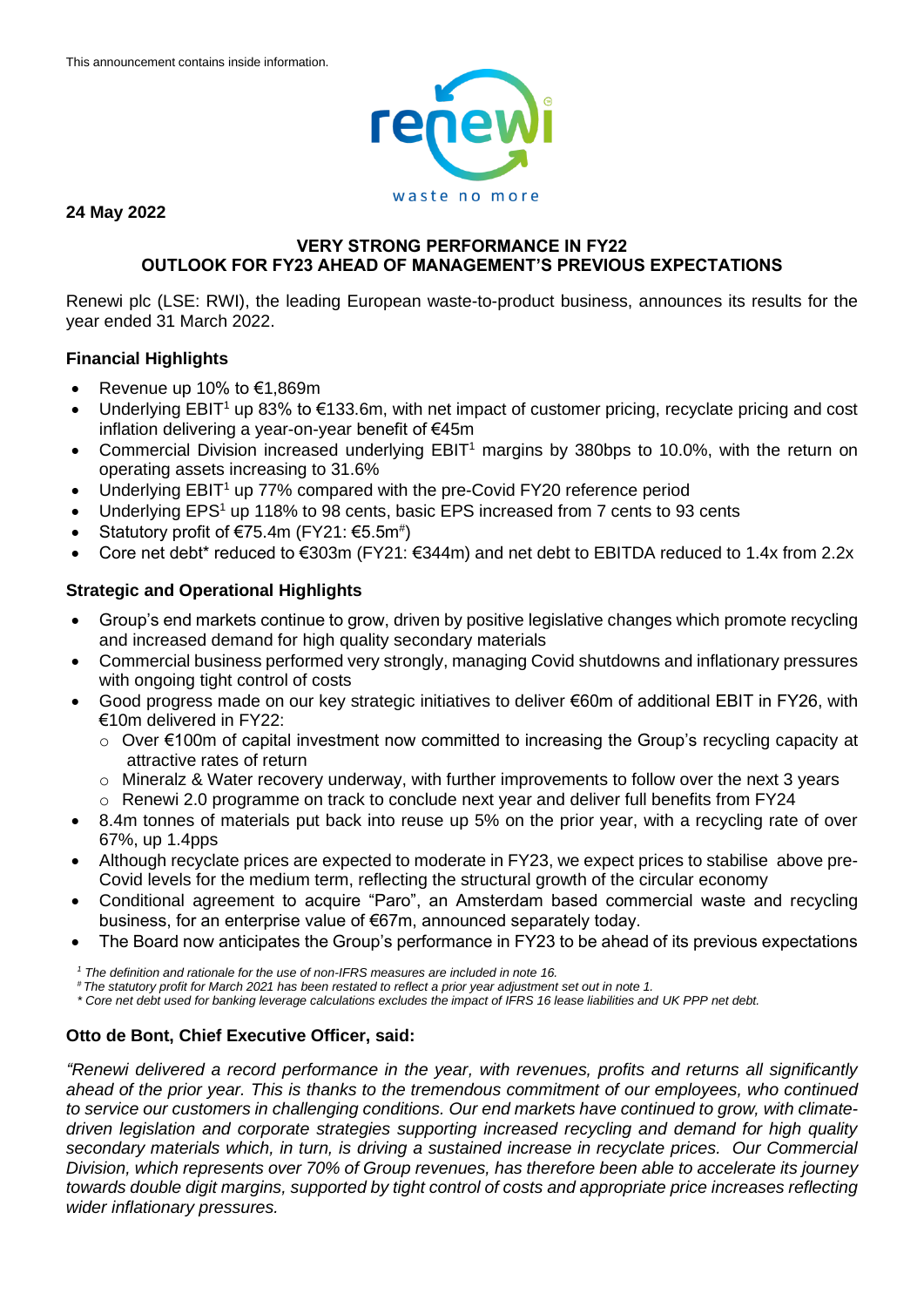

## **24 May 2022**

## **VERY STRONG PERFORMANCE IN FY22 OUTLOOK FOR FY23 AHEAD OF MANAGEMENT'S PREVIOUS EXPECTATIONS**

Renewi plc (LSE: RWI), the leading European waste-to-product business, announces its results for the year ended 31 March 2022.

# **Financial Highlights**

- Revenue up 10% to €1,869m
- Underlying  $EBIT<sup>1</sup>$  up 83% to  $€133.6m$ , with net impact of customer pricing, recyclate pricing and cost inflation delivering a year-on-year benefit of €45m
- Commercial Division increased underlying EBIT<sup>1</sup> margins by 380bps to 10.0%, with the return on operating assets increasing to 31.6%
- Underlying  $EBIT<sup>1</sup>$  up 77% compared with the pre-Covid FY20 reference period
- Underlying EPS<sup>1</sup> up 118% to 98 cents, basic EPS increased from 7 cents to 93 cents
- Statutory profit of  $€75.4m$  (FY21:  $€5.5m$ <sup>#</sup>)
- Core net debt\* reduced to €303m (FY21: €344m) and net debt to EBITDA reduced to 1.4x from 2.2x

# **Strategic and Operational Highlights**

- Group's end markets continue to grow, driven by positive legislative changes which promote recycling and increased demand for high quality secondary materials
- Commercial business performed very strongly, managing Covid shutdowns and inflationary pressures with ongoing tight control of costs
- Good progress made on our key strategic initiatives to deliver €60m of additional EBIT in FY26, with €10m delivered in FY22:
	- o Over €100m of capital investment now committed to increasing the Group's recycling capacity at attractive rates of return
	- $\circ$  Mineralz & Water recovery underway, with further improvements to follow over the next 3 years
	- o Renewi 2.0 programme on track to conclude next year and deliver full benefits from FY24
- 8.4m tonnes of materials put back into reuse up 5% on the prior year, with a recycling rate of over 67%, up 1.4pps
- Although recyclate prices are expected to moderate in FY23, we expect prices to stabilise above pre-Covid levels for the medium term, reflecting the structural growth of the circular economy
- Conditional agreement to acquire "Paro", an Amsterdam based commercial waste and recycling business, for an enterprise value of €67m, announced separately today.
- The Board now anticipates the Group's performance in FY23 to be ahead of its previous expectations

*<sup>1</sup> The definition and rationale for the use of non-IFRS measures are included in note 16.*

*# The statutory profit for March 2021 has been restated to reflect a prior year adjustment set out in note 1.*

*\* Core net debt used for banking leverage calculations excludes the impact of IFRS 16 lease liabilities and UK PPP net debt.*

## **Otto de Bont, Chief Executive Officer, said:**

*"Renewi delivered a record performance in the year, with revenues, profits and returns all significantly ahead of the prior year. This is thanks to the tremendous commitment of our employees, who continued to service our customers in challenging conditions. Our end markets have continued to grow, with climatedriven legislation and corporate strategies supporting increased recycling and demand for high quality secondary materials which, in turn, is driving a sustained increase in recyclate prices. Our Commercial Division, which represents over 70% of Group revenues, has therefore been able to accelerate its journey towards double digit margins, supported by tight control of costs and appropriate price increases reflecting wider inflationary pressures.*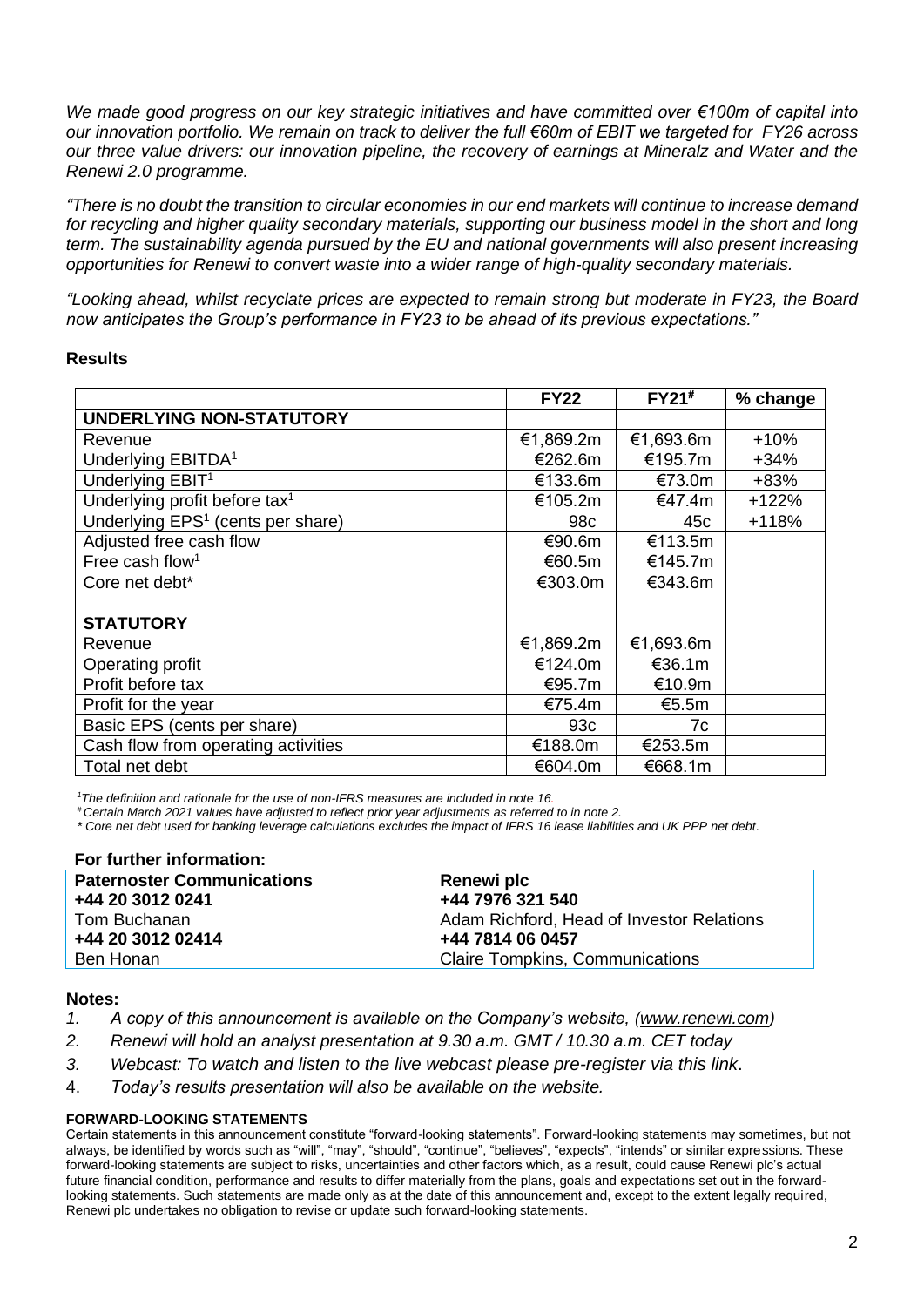*We made good progress on our key strategic initiatives and have committed over €100m of capital into our innovation portfolio. We remain on track to deliver the full €60m of EBIT we targeted for FY26 across our three value drivers: our innovation pipeline, the recovery of earnings at Mineralz and Water and the Renewi 2.0 programme.*

*"There is no doubt the transition to circular economies in our end markets will continue to increase demand for recycling and higher quality secondary materials, supporting our business model in the short and long term. The sustainability agenda pursued by the EU and national governments will also present increasing opportunities for Renewi to convert waste into a wider range of high-quality secondary materials.*

*"Looking ahead, whilst recyclate prices are expected to remain strong but moderate in FY23, the Board now anticipates the Group's performance in FY23 to be ahead of its previous expectations."*

## **Results**

|                                               | <b>FY22</b>     | FY21#     | % change |
|-----------------------------------------------|-----------------|-----------|----------|
| <b>UNDERLYING NON-STATUTORY</b>               |                 |           |          |
| Revenue                                       | €1,869.2m       | €1,693.6m | $+10%$   |
| Underlying EBITDA <sup>1</sup>                | €262.6m         | €195.7m   | $+34%$   |
| Underlying EBIT <sup>1</sup>                  | €133.6m         | €73.0m    | $+83%$   |
| Underlying profit before tax <sup>1</sup>     | €105.2m         | €47.4m    | $+122%$  |
| Underlying EPS <sup>1</sup> (cents per share) | 98 <sub>c</sub> | 45c       | $+118%$  |
| Adjusted free cash flow                       | €90.6m          | €113.5m   |          |
| Free cash flow <sup>1</sup>                   | €60.5m          | €145.7m   |          |
| Core net debt*                                | €303.0m         | €343.6m   |          |
|                                               |                 |           |          |
| <b>STATUTORY</b>                              |                 |           |          |
| Revenue                                       | €1,869.2m       | €1,693.6m |          |
| Operating profit                              | €124.0m         | €36.1m    |          |
| Profit before tax                             | €95.7m          | €10.9m    |          |
| Profit for the year                           | €75.4m          | €5.5m     |          |
| Basic EPS (cents per share)                   | 93c             | 7c        |          |
| Cash flow from operating activities           | €188.0m         | €253.5m   |          |
| Total net debt                                | €604.0m         | €668.1m   |          |

*<sup>1</sup>The definition and rationale for the use of non-IFRS measures are included in note 16.*

*# Certain March 2021 values have adjusted to reflect prior year adjustments as referred to in note 2.*

*\* Core net debt used for banking leverage calculations excludes the impact of IFRS 16 lease liabilities and UK PPP net debt.*

| For further information:          |                                           |
|-----------------------------------|-------------------------------------------|
| <b>Paternoster Communications</b> | Renewi plc                                |
| +44 20 3012 0241                  | +44 7976 321 540                          |
| Tom Buchanan                      | Adam Richford, Head of Investor Relations |
| +44 20 3012 02414                 | +44 7814 06 0457                          |
| Ben Honan                         | <b>Claire Tompkins, Communications</b>    |

## **Notes:**

- 1. A copy of this announcement is available on the Company's website, [\(www.renewi.com\)](http://www.renewi.com/)
- *2. Renewi will hold an analyst presentation at 9.30 a.m. GMT / 10.30 a.m. CET today*
- *3. Webcast: To watch and listen to the live webcast please pre-register [via this link](https://protect-eu.mimecast.com/s/es5RCV7MrT5qjgzcEviam?domain=stream.brrmedia.co.uk)*.
- 4. *Today's results presentation will also be available on the website.*

## **FORWARD-LOOKING STATEMENTS**

Certain statements in this announcement constitute "forward-looking statements". Forward-looking statements may sometimes, but not always, be identified by words such as "will", "may", "should", "continue", "believes", "expects", "intends" or similar expressions. These forward-looking statements are subject to risks, uncertainties and other factors which, as a result, could cause Renewi plc's actual future financial condition, performance and results to differ materially from the plans, goals and expectations set out in the forwardlooking statements. Such statements are made only as at the date of this announcement and, except to the extent legally required, Renewi plc undertakes no obligation to revise or update such forward-looking statements.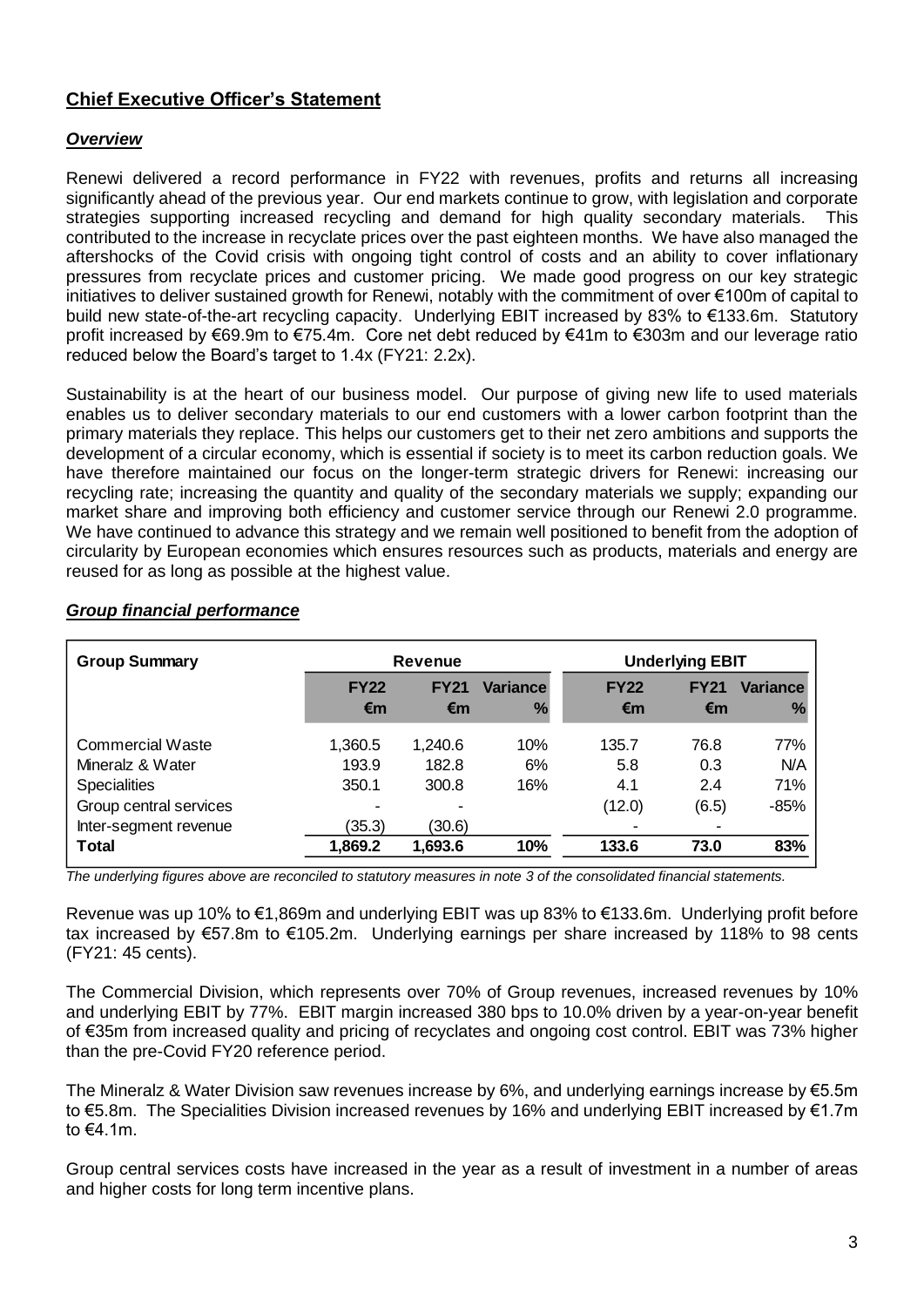# **Chief Executive Officer's Statement**

# *Overview*

Renewi delivered a record performance in FY22 with revenues, profits and returns all increasing significantly ahead of the previous year. Our end markets continue to grow, with legislation and corporate strategies supporting increased recycling and demand for high quality secondary materials. This contributed to the increase in recyclate prices over the past eighteen months. We have also managed the aftershocks of the Covid crisis with ongoing tight control of costs and an ability to cover inflationary pressures from recyclate prices and customer pricing. We made good progress on our key strategic initiatives to deliver sustained growth for Renewi, notably with the commitment of over €100m of capital to build new state-of-the-art recycling capacity. Underlying EBIT increased by 83% to €133.6m. Statutory profit increased by €69.9m to €75.4m. Core net debt reduced by €41m to €303m and our leverage ratio reduced below the Board's target to 1.4x (FY21: 2.2x).

Sustainability is at the heart of our business model. Our purpose of giving new life to used materials enables us to deliver secondary materials to our end customers with a lower carbon footprint than the primary materials they replace. This helps our customers get to their net zero ambitions and supports the development of a circular economy, which is essential if society is to meet its carbon reduction goals. We have therefore maintained our focus on the longer-term strategic drivers for Renewi: increasing our recycling rate; increasing the quantity and quality of the secondary materials we supply; expanding our market share and improving both efficiency and customer service through our Renewi 2.0 programme. We have continued to advance this strategy and we remain well positioned to benefit from the adoption of circularity by European economies which ensures resources such as products, materials and energy are reused for as long as possible at the highest value.

| <b>Group Summary</b>    |             | <b>Revenue</b> |                 | <b>Underlying EBIT</b> |             |                 |  |
|-------------------------|-------------|----------------|-----------------|------------------------|-------------|-----------------|--|
|                         | <b>FY22</b> | <b>FY21</b>    | <b>Variance</b> | <b>FY22</b>            | <b>FY21</b> | <b>Variance</b> |  |
|                         | €m          | €m             | $\frac{9}{6}$   | €m                     | €m          | $\frac{0}{6}$   |  |
| <b>Commercial Waste</b> | 1,360.5     | 1,240.6        | 10%             | 135.7                  | 76.8        | 77%             |  |
| Mineralz & Water        | 193.9       | 182.8          | 6%              | 5.8                    | 0.3         | N/A             |  |
| <b>Specialities</b>     | 350.1       | 300.8          | 16%             | 4.1                    | 2.4         | 71%             |  |
| Group central services  |             |                |                 | (12.0)                 | (6.5)       | $-85%$          |  |
| Inter-segment revenue   | (35.3)      | (30.6)         |                 |                        |             |                 |  |
| Total                   | 1,869.2     | 1,693.6        | 10%             | 133.6                  | 73.0        | 83%             |  |
|                         |             |                |                 |                        |             |                 |  |

# *Group financial performance*

*The underlying figures above are reconciled to statutory measures in note 3 of the consolidated financial statements.* 

Revenue was up 10% to €1,869m and underlying EBIT was up 83% to €133.6m. Underlying profit before tax increased by €57.8m to €105.2m. Underlying earnings per share increased by 118% to 98 cents (FY21: 45 cents).

The Commercial Division, which represents over 70% of Group revenues, increased revenues by 10% and underlying EBIT by 77%. EBIT margin increased 380 bps to 10.0% driven by a year-on-year benefit of €35m from increased quality and pricing of recyclates and ongoing cost control. EBIT was 73% higher than the pre-Covid FY20 reference period.

The Mineralz & Water Division saw revenues increase by 6%, and underlying earnings increase by €5.5m to €5.8m. The Specialities Division increased revenues by 16% and underlying EBIT increased by €1.7m to €4.1m.

Group central services costs have increased in the year as a result of investment in a number of areas and higher costs for long term incentive plans.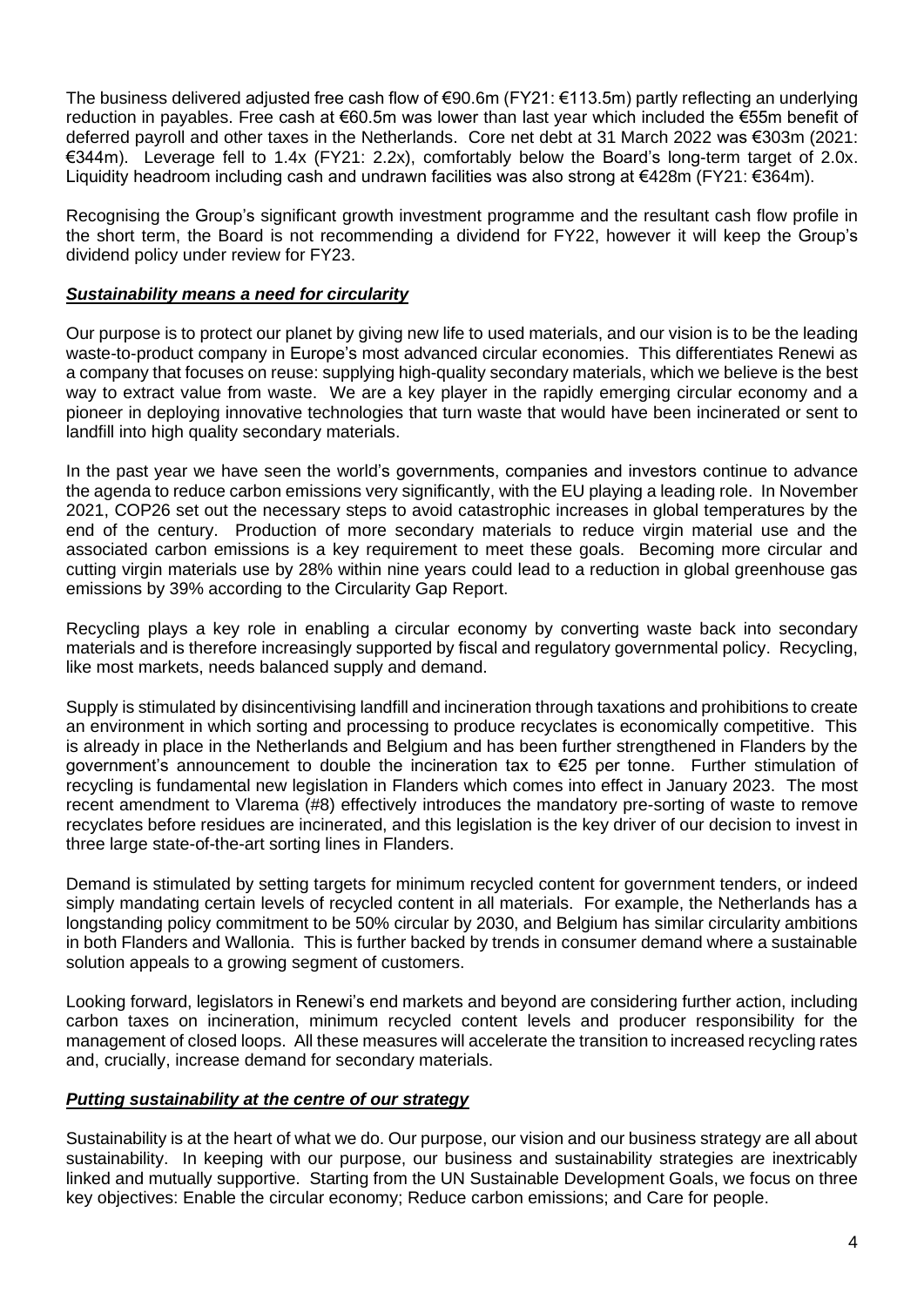The business delivered adjusted free cash flow of €90.6m (FY21: €113.5m) partly reflecting an underlying reduction in payables. Free cash at €60.5m was lower than last year which included the €55m benefit of deferred payroll and other taxes in the Netherlands. Core net debt at 31 March 2022 was €303m (2021: €344m). Leverage fell to 1.4x (FY21: 2.2x), comfortably below the Board's long-term target of 2.0x. Liquidity headroom including cash and undrawn facilities was also strong at €428m (FY21: €364m).

Recognising the Group's significant growth investment programme and the resultant cash flow profile in the short term, the Board is not recommending a dividend for FY22, however it will keep the Group's dividend policy under review for FY23.

# *Sustainability means a need for circularity*

Our purpose is to protect our planet by giving new life to used materials, and our vision is to be the leading waste-to-product company in Europe's most advanced circular economies. This differentiates Renewi as a company that focuses on reuse: supplying high-quality secondary materials, which we believe is the best way to extract value from waste. We are a key player in the rapidly emerging circular economy and a pioneer in deploying innovative technologies that turn waste that would have been incinerated or sent to landfill into high quality secondary materials.

In the past year we have seen the world's governments, companies and investors continue to advance the agenda to reduce carbon emissions very significantly, with the EU playing a leading role. In November 2021, COP26 set out the necessary steps to avoid catastrophic increases in global temperatures by the end of the century. Production of more secondary materials to reduce virgin material use and the associated carbon emissions is a key requirement to meet these goals. Becoming more circular and cutting virgin materials use by 28% within nine years could lead to a reduction in global greenhouse gas emissions by 39% according to the [Circularity Gap Report.](https://www.circularity-gap.world/2021)

Recycling plays a key role in enabling a circular economy by converting waste back into secondary materials and is therefore increasingly supported by fiscal and regulatory governmental policy. Recycling, like most markets, needs balanced supply and demand.

Supply is stimulated by disincentivising landfill and incineration through taxations and prohibitions to create an environment in which sorting and processing to produce recyclates is economically competitive. This is already in place in the Netherlands and Belgium and has been further strengthened in Flanders by the government's announcement to double the incineration tax to €25 per tonne. Further stimulation of recycling is fundamental new legislation in Flanders which comes into effect in January 2023. The most recent amendment to Vlarema (#8) effectively introduces the mandatory pre-sorting of waste to remove recyclates before residues are incinerated, and this legislation is the key driver of our decision to invest in three large state-of-the-art sorting lines in Flanders.

Demand is stimulated by setting targets for minimum recycled content for government tenders, or indeed simply mandating certain levels of recycled content in all materials. For example, the Netherlands has a longstanding policy commitment to be 50% circular by 2030, and Belgium has similar circularity ambitions in both Flanders and Wallonia. This is further backed by trends in consumer demand where a sustainable solution appeals to a growing segment of customers.

Looking forward, legislators in Renewi's end markets and beyond are considering further action, including carbon taxes on incineration, minimum recycled content levels and producer responsibility for the management of closed loops. All these measures will accelerate the transition to increased recycling rates and, crucially, increase demand for secondary materials.

# *Putting sustainability at the centre of our strategy*

Sustainability is at the heart of what we do. Our purpose, our vision and our business strategy are all about sustainability. In keeping with our purpose, our business and sustainability strategies are inextricably linked and mutually supportive. Starting from the UN Sustainable Development Goals, we focus on three key objectives: Enable the circular economy; Reduce carbon emissions; and Care for people.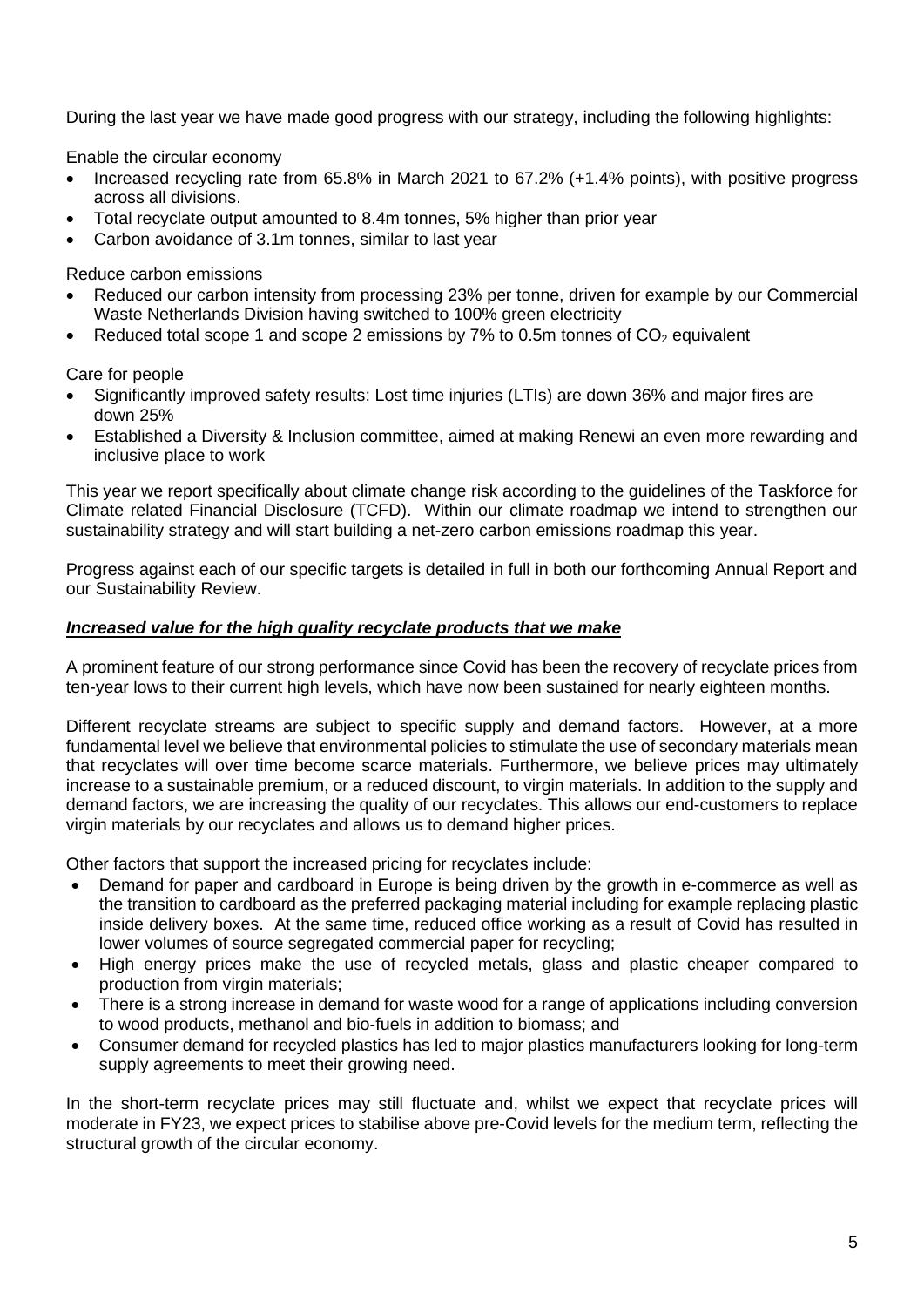During the last year we have made good progress with our strategy, including the following highlights:

Enable the circular economy

- Increased recycling rate from 65.8% in March 2021 to 67.2% (+1.4% points), with positive progress across all divisions.
- Total recyclate output amounted to 8.4m tonnes, 5% higher than prior year
- Carbon avoidance of 3.1m tonnes, similar to last year

Reduce carbon emissions

- Reduced our carbon intensity from processing 23% per tonne, driven for example by our Commercial Waste Netherlands Division having switched to 100% green electricity
- Reduced total scope 1 and scope 2 emissions by  $7\%$  to 0.5m tonnes of  $CO<sub>2</sub>$  equivalent

Care for people

- Significantly improved safety results: Lost time injuries (LTIs) are down 36% and major fires are down 25%
- Established a Diversity & Inclusion committee, aimed at making Renewi an even more rewarding and inclusive place to work

This year we report specifically about climate change risk according to the guidelines of the Taskforce for Climate related Financial Disclosure (TCFD). Within our climate roadmap we intend to strengthen our sustainability strategy and will start building a net-zero carbon emissions roadmap this year.

Progress against each of our specific targets is detailed in full in both our forthcoming Annual Report and our Sustainability Review.

## *Increased value for the high quality recyclate products that we make*

A prominent feature of our strong performance since Covid has been the recovery of recyclate prices from ten-year lows to their current high levels, which have now been sustained for nearly eighteen months.

Different recyclate streams are subject to specific supply and demand factors. However, at a more fundamental level we believe that environmental policies to stimulate the use of secondary materials mean that recyclates will over time become scarce materials. Furthermore, we believe prices may ultimately increase to a sustainable premium, or a reduced discount, to virgin materials. In addition to the supply and demand factors, we are increasing the quality of our recyclates. This allows our end-customers to replace virgin materials by our recyclates and allows us to demand higher prices.

Other factors that support the increased pricing for recyclates include:

- Demand for paper and cardboard in Europe is being driven by the growth in e-commerce as well as the transition to cardboard as the preferred packaging material including for example replacing plastic inside delivery boxes. At the same time, reduced office working as a result of Covid has resulted in lower volumes of source segregated commercial paper for recycling;
- High energy prices make the use of recycled metals, glass and plastic cheaper compared to production from virgin materials;
- There is a strong increase in demand for waste wood for a range of applications including conversion to wood products, methanol and bio-fuels in addition to biomass; and
- Consumer demand for recycled plastics has led to major plastics manufacturers looking for long-term supply agreements to meet their growing need.

In the short-term recyclate prices may still fluctuate and, whilst we expect that recyclate prices will moderate in FY23, we expect prices to stabilise above pre-Covid levels for the medium term, reflecting the structural growth of the circular economy.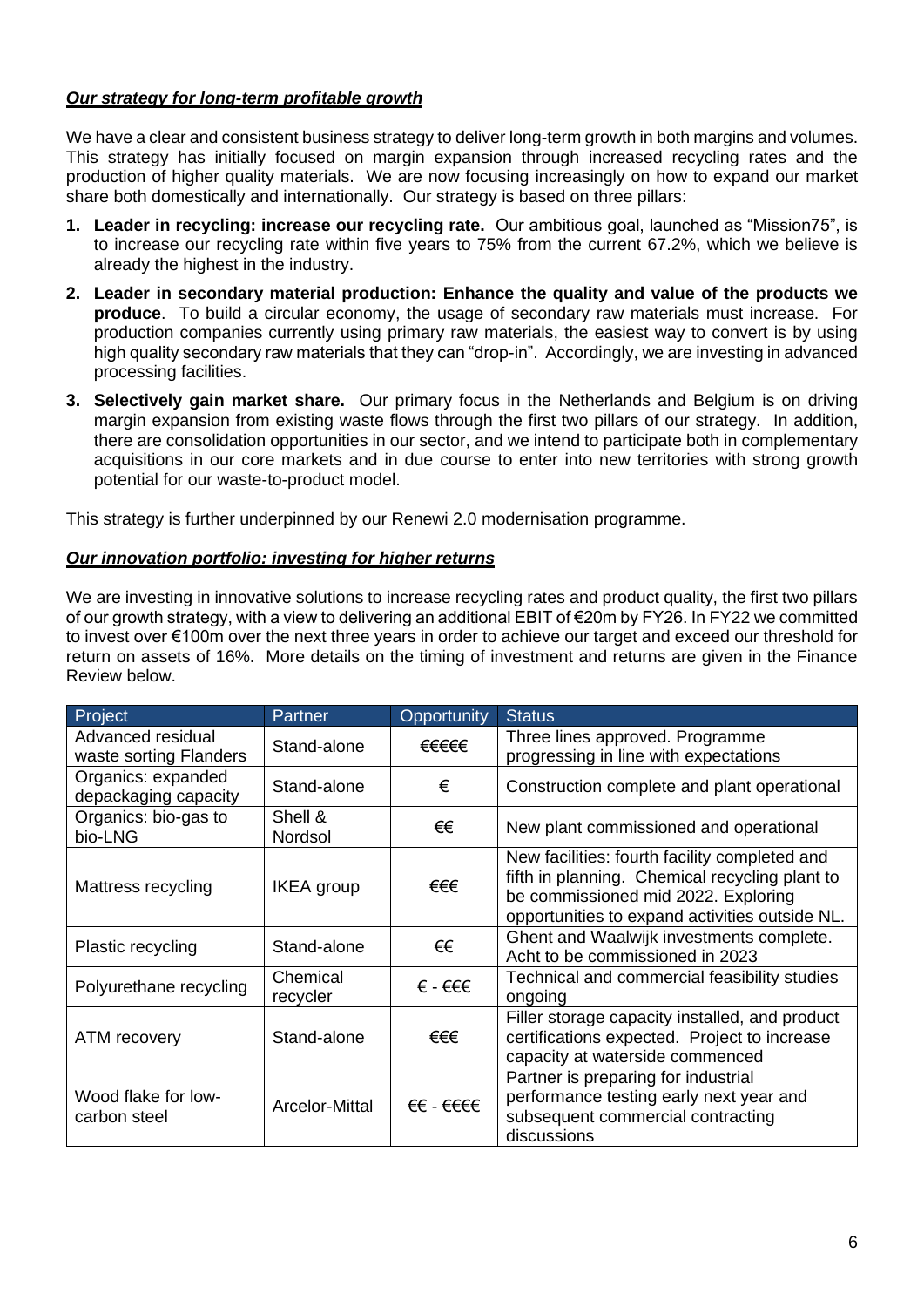# *Our strategy for long-term profitable growth*

We have a clear and consistent business strategy to deliver long-term growth in both margins and volumes. This strategy has initially focused on margin expansion through increased recycling rates and the production of higher quality materials. We are now focusing increasingly on how to expand our market share both domestically and internationally. Our strategy is based on three pillars:

- **1. Leader in recycling: increase our recycling rate.** Our ambitious goal, launched as "Mission75", is to increase our recycling rate within five years to 75% from the current 67.2%, which we believe is already the highest in the industry.
- **2. Leader in secondary material production: Enhance the quality and value of the products we produce**. To build a circular economy, the usage of secondary raw materials must increase. For production companies currently using primary raw materials, the easiest way to convert is by using high quality secondary raw materials that they can "drop-in". Accordingly, we are investing in advanced processing facilities.
- **3. Selectively gain market share.** Our primary focus in the Netherlands and Belgium is on driving margin expansion from existing waste flows through the first two pillars of our strategy. In addition, there are consolidation opportunities in our sector, and we intend to participate both in complementary acquisitions in our core markets and in due course to enter into new territories with strong growth potential for our waste-to-product model.

This strategy is further underpinned by our Renewi 2.0 modernisation programme.

# *Our innovation portfolio: investing for higher returns*

We are investing in innovative solutions to increase recycling rates and product quality, the first two pillars of our growth strategy, with a view to delivering an additional EBIT of €20m by FY26. In FY22 we committed to invest over €100m over the next three years in order to achieve our target and exceed our threshold for return on assets of 16%. More details on the timing of investment and returns are given in the Finance Review below.

| Project                                     | Partner              | Opportunity | <b>Status</b>                                                                                                                                                                            |
|---------------------------------------------|----------------------|-------------|------------------------------------------------------------------------------------------------------------------------------------------------------------------------------------------|
| Advanced residual<br>waste sorting Flanders | Stand-alone          | €€€€€       | Three lines approved. Programme<br>progressing in line with expectations                                                                                                                 |
| Organics: expanded<br>depackaging capacity  | Stand-alone          | €           | Construction complete and plant operational                                                                                                                                              |
| Organics: bio-gas to<br>bio-LNG             | Shell &<br>Nordsol   | €€          | New plant commissioned and operational                                                                                                                                                   |
| Mattress recycling                          | IKEA group           | €€€         | New facilities: fourth facility completed and<br>fifth in planning. Chemical recycling plant to<br>be commissioned mid 2022. Exploring<br>opportunities to expand activities outside NL. |
| Plastic recycling                           | Stand-alone          | €€          | Ghent and Waalwijk investments complete.<br>Acht to be commissioned in 2023                                                                                                              |
| Polyurethane recycling                      | Chemical<br>recycler | € - €€€     | Technical and commercial feasibility studies<br>ongoing                                                                                                                                  |
| ATM recovery                                | Stand-alone          | €€€         | Filler storage capacity installed, and product<br>certifications expected. Project to increase<br>capacity at waterside commenced                                                        |
| Wood flake for low-<br>carbon steel         | Arcelor-Mittal       | €€ - €€€€   | Partner is preparing for industrial<br>performance testing early next year and<br>subsequent commercial contracting<br>discussions                                                       |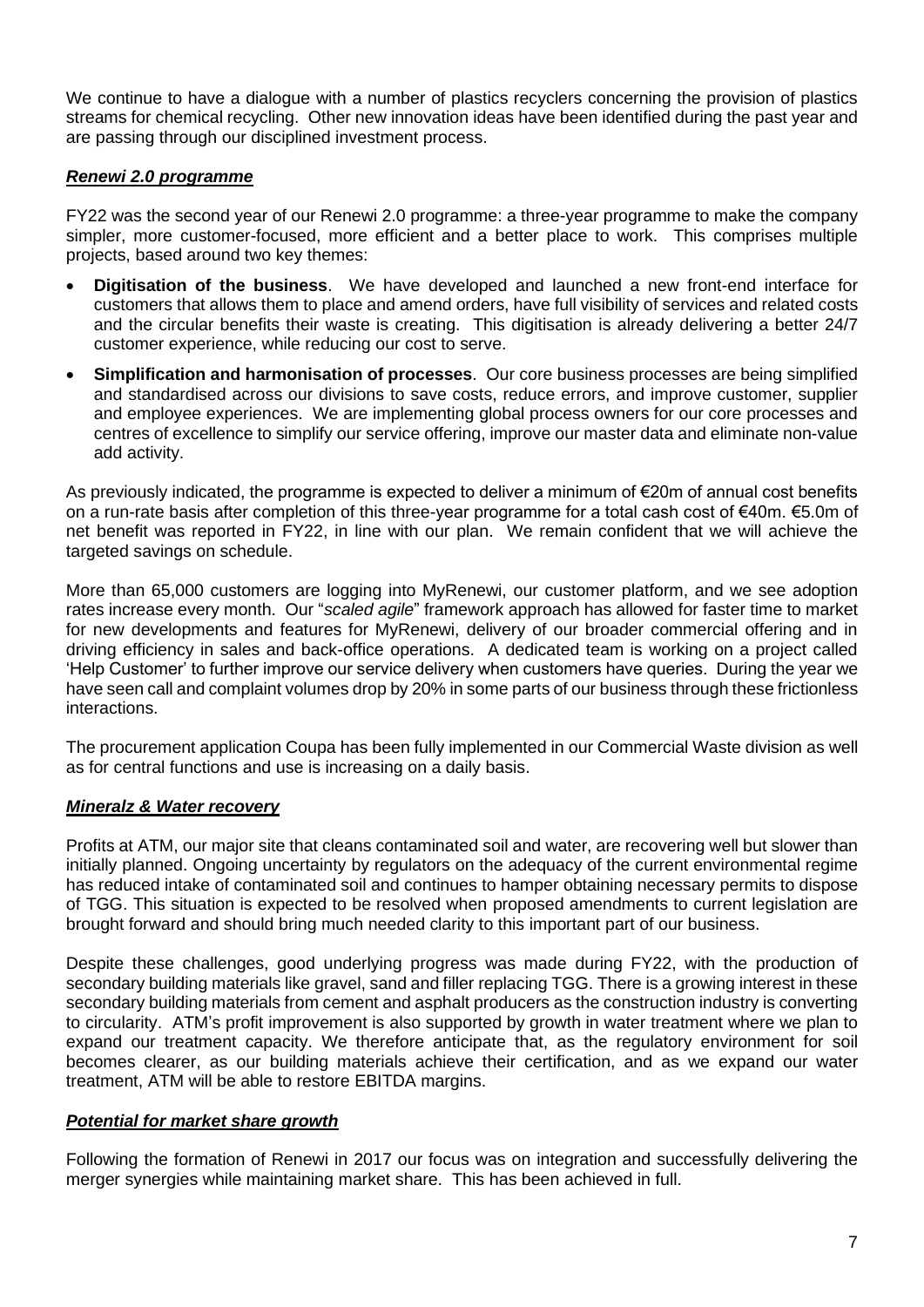We continue to have a dialogue with a number of plastics recyclers concerning the provision of plastics streams for chemical recycling. Other new innovation ideas have been identified during the past year and are passing through our disciplined investment process.

# *Renewi 2.0 programme*

FY22 was the second year of our Renewi 2.0 programme: a three-year programme to make the company simpler, more customer-focused, more efficient and a better place to work. This comprises multiple projects, based around two key themes:

- **Digitisation of the business**. We have developed and launched a new front-end interface for customers that allows them to place and amend orders, have full visibility of services and related costs and the circular benefits their waste is creating. This digitisation is already delivering a better 24/7 customer experience, while reducing our cost to serve.
- **Simplification and harmonisation of processes**. Our core business processes are being simplified and standardised across our divisions to save costs, reduce errors, and improve customer, supplier and employee experiences. We are implementing global process owners for our core processes and centres of excellence to simplify our service offering, improve our master data and eliminate non-value add activity.

As previously indicated, the programme is expected to deliver a minimum of €20m of annual cost benefits on a run-rate basis after completion of this three-year programme for a total cash cost of €40m. €5.0m of net benefit was reported in FY22, in line with our plan. We remain confident that we will achieve the targeted savings on schedule.

More than 65,000 customers are logging into MyRenewi, our customer platform, and we see adoption rates increase every month. Our "*scaled agile*" framework approach has allowed for faster time to market for new developments and features for MyRenewi, delivery of our broader commercial offering and in driving efficiency in sales and back-office operations. A dedicated team is working on a project called 'Help Customer' to further improve our service delivery when customers have queries. During the year we have seen call and complaint volumes drop by 20% in some parts of our business through these frictionless interactions.

The procurement application Coupa has been fully implemented in our Commercial Waste division as well as for central functions and use is increasing on a daily basis.

## *Mineralz & Water recovery*

Profits at ATM, our major site that cleans contaminated soil and water, are recovering well but slower than initially planned. Ongoing uncertainty by regulators on the adequacy of the current environmental regime has reduced intake of contaminated soil and continues to hamper obtaining necessary permits to dispose of TGG. This situation is expected to be resolved when proposed amendments to current legislation are brought forward and should bring much needed clarity to this important part of our business.

Despite these challenges, good underlying progress was made during FY22, with the production of secondary building materials like gravel, sand and filler replacing TGG. There is a growing interest in these secondary building materials from cement and asphalt producers as the construction industry is converting to circularity. ATM's profit improvement is also supported by growth in water treatment where we plan to expand our treatment capacity. We therefore anticipate that, as the regulatory environment for soil becomes clearer, as our building materials achieve their certification, and as we expand our water treatment, ATM will be able to restore EBITDA margins.

# *Potential for market share growth*

Following the formation of Renewi in 2017 our focus was on integration and successfully delivering the merger synergies while maintaining market share. This has been achieved in full.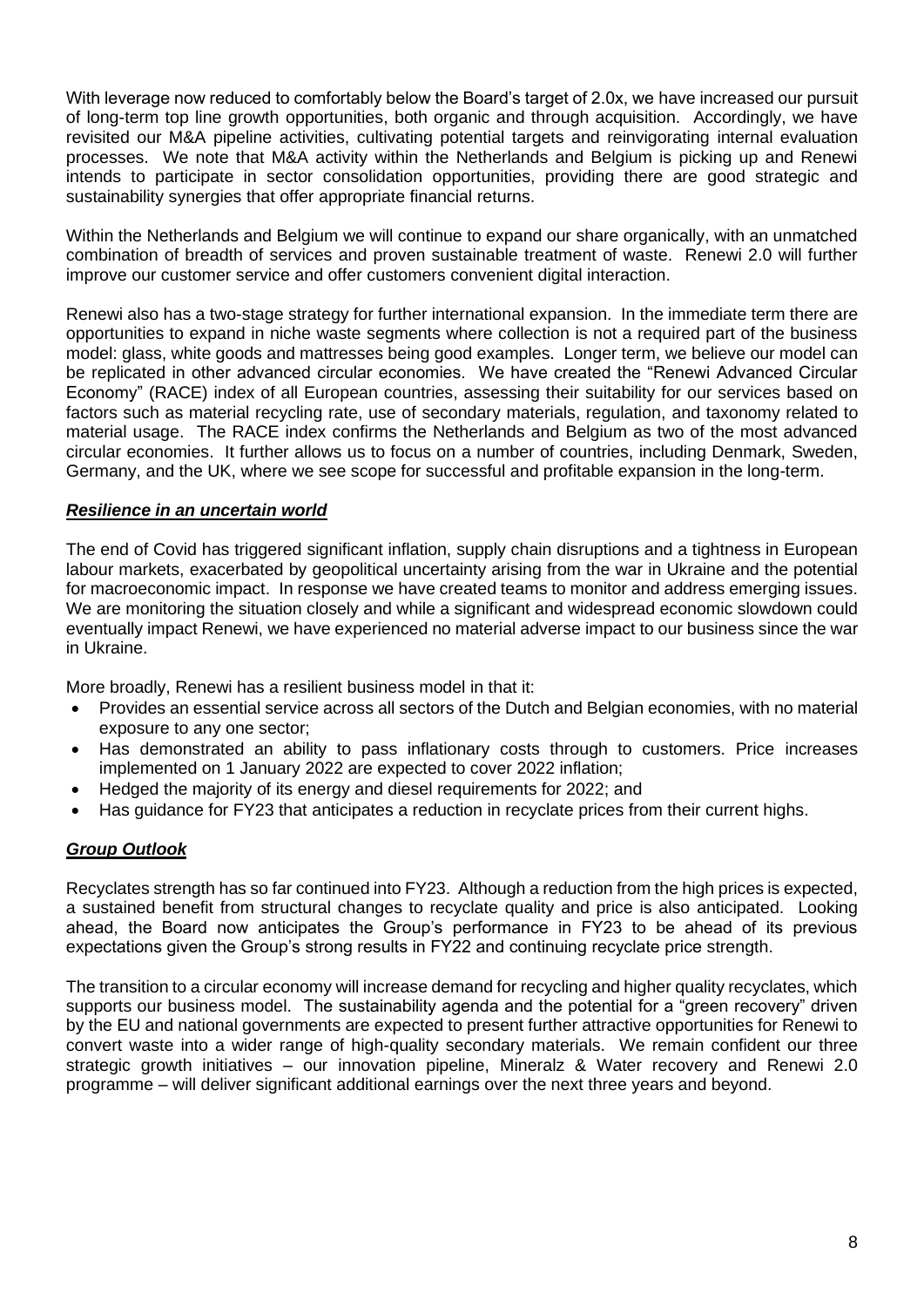With leverage now reduced to comfortably below the Board's target of 2.0x, we have increased our pursuit of long-term top line growth opportunities, both organic and through acquisition. Accordingly, we have revisited our M&A pipeline activities, cultivating potential targets and reinvigorating internal evaluation processes. We note that M&A activity within the Netherlands and Belgium is picking up and Renewi intends to participate in sector consolidation opportunities, providing there are good strategic and sustainability synergies that offer appropriate financial returns.

Within the Netherlands and Belgium we will continue to expand our share organically, with an unmatched combination of breadth of services and proven sustainable treatment of waste. Renewi 2.0 will further improve our customer service and offer customers convenient digital interaction.

Renewi also has a two-stage strategy for further international expansion. In the immediate term there are opportunities to expand in niche waste segments where collection is not a required part of the business model: glass, white goods and mattresses being good examples. Longer term, we believe our model can be replicated in other advanced circular economies. We have created the "Renewi Advanced Circular Economy" (RACE) index of all European countries, assessing their suitability for our services based on factors such as material recycling rate, use of secondary materials, regulation, and taxonomy related to material usage. The RACE index confirms the Netherlands and Belgium as two of the most advanced circular economies. It further allows us to focus on a number of countries, including Denmark, Sweden, Germany, and the UK, where we see scope for successful and profitable expansion in the long-term.

# *Resilience in an uncertain world*

The end of Covid has triggered significant inflation, supply chain disruptions and a tightness in European labour markets, exacerbated by geopolitical uncertainty arising from the war in Ukraine and the potential for macroeconomic impact. In response we have created teams to monitor and address emerging issues. We are monitoring the situation closely and while a significant and widespread economic slowdown could eventually impact Renewi, we have experienced no material adverse impact to our business since the war in Ukraine.

More broadly, Renewi has a resilient business model in that it:

- Provides an essential service across all sectors of the Dutch and Belgian economies, with no material exposure to any one sector;
- Has demonstrated an ability to pass inflationary costs through to customers. Price increases implemented on 1 January 2022 are expected to cover 2022 inflation;
- Hedged the majority of its energy and diesel requirements for 2022; and
- Has guidance for FY23 that anticipates a reduction in recyclate prices from their current highs.

# *Group Outlook*

Recyclates strength has so far continued into FY23. Although a reduction from the high prices is expected, a sustained benefit from structural changes to recyclate quality and price is also anticipated. Looking ahead, the Board now anticipates the Group's performance in FY23 to be ahead of its previous expectations given the Group's strong results in FY22 and continuing recyclate price strength.

The transition to a circular economy will increase demand for recycling and higher quality recyclates, which supports our business model. The sustainability agenda and the potential for a "green recovery" driven by the EU and national governments are expected to present further attractive opportunities for Renewi to convert waste into a wider range of high-quality secondary materials. We remain confident our three strategic growth initiatives – our innovation pipeline, Mineralz & Water recovery and Renewi 2.0 programme – will deliver significant additional earnings over the next three years and beyond.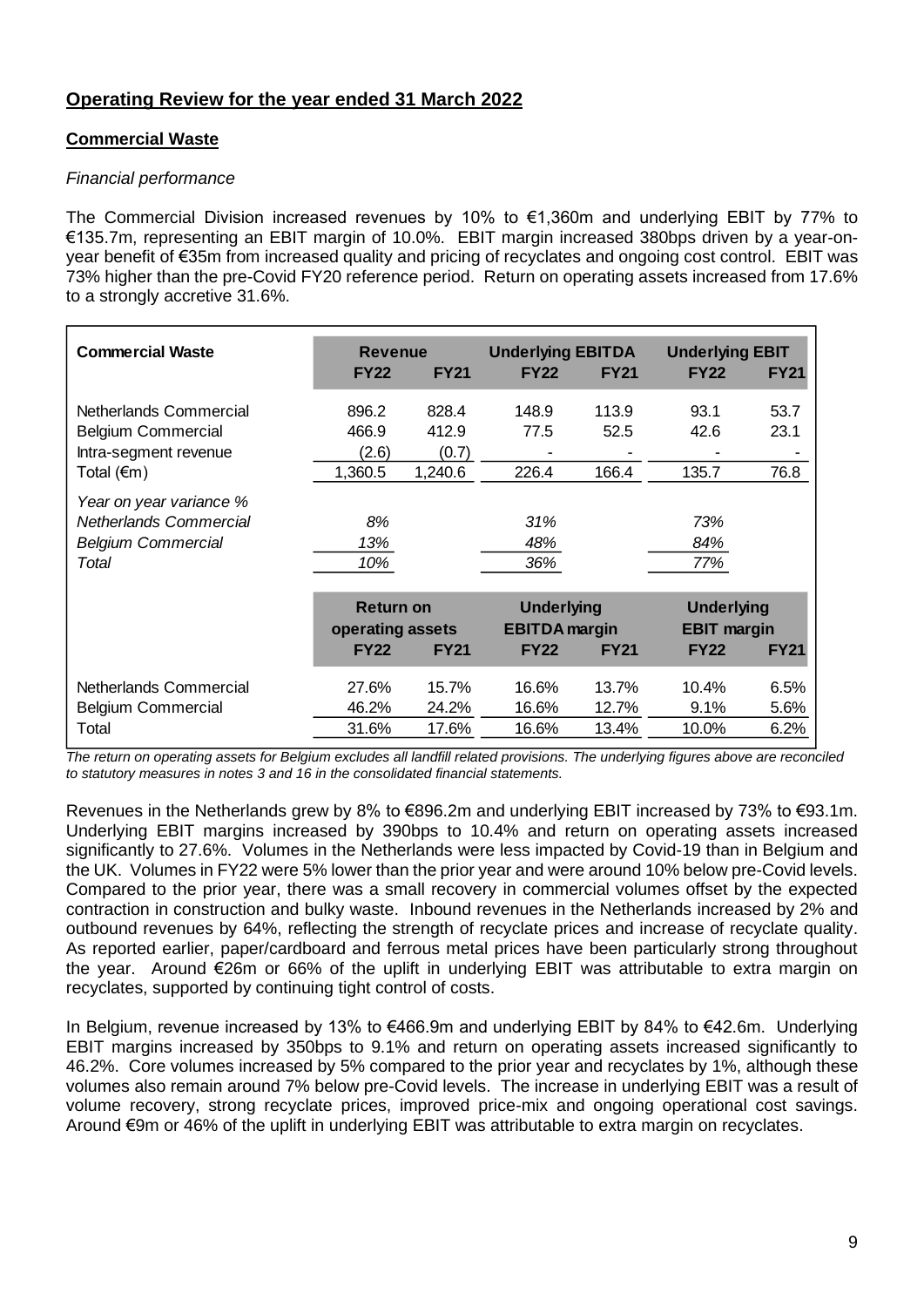# **Operating Review for the year ended 31 March 2022**

# **Commercial Waste**

## *Financial performance*

The Commercial Division increased revenues by 10% to €1,360m and underlying EBIT by 77% to €135.7m, representing an EBIT margin of 10.0%. EBIT margin increased 380bps driven by a year-onyear benefit of €35m from increased quality and pricing of recyclates and ongoing cost control. EBIT was 73% higher than the pre-Covid FY20 reference period. Return on operating assets increased from 17.6% to a strongly accretive 31.6%.

| <b>Commercial Waste</b>       | <b>Revenue</b>   |             | <b>Underlying EBITDA</b> |             | <b>Underlying EBIT</b> |             |
|-------------------------------|------------------|-------------|--------------------------|-------------|------------------------|-------------|
|                               | <b>FY22</b>      | <b>FY21</b> | <b>FY22</b>              | <b>FY21</b> | <b>FY22</b>            | <b>FY21</b> |
|                               |                  |             |                          |             |                        |             |
| Netherlands Commercial        | 896.2            | 828.4       | 148.9                    | 113.9       | 93.1                   | 53.7        |
| <b>Belgium Commercial</b>     | 466.9            | 412.9       | 77.5                     | 52.5        | 42.6                   | 23.1        |
| Intra-segment revenue         | (2.6)            | (0.7)       |                          |             |                        |             |
| Total (€m)                    | 1,360.5          | 1,240.6     | 226.4                    | 166.4       | 135.7                  | 76.8        |
| Year on year variance %       |                  |             |                          |             |                        |             |
| <b>Netherlands Commercial</b> | 8%               |             | 31%                      |             | 73%                    |             |
| <b>Belgium Commercial</b>     | 13%              |             | 48%                      |             | 84%                    |             |
| Total                         | 10%              |             | 36%                      |             | 77%                    |             |
|                               |                  |             |                          |             |                        |             |
|                               | <b>Return on</b> |             | <b>Underlying</b>        |             | <b>Underlying</b>      |             |
|                               | operating assets |             | <b>EBITDA</b> margin     |             | <b>EBIT margin</b>     |             |
|                               | <b>FY22</b>      | <b>FY21</b> | <b>FY22</b>              | <b>FY21</b> | <b>FY22</b>            | <b>FY21</b> |
|                               |                  |             |                          |             |                        |             |
| Netherlands Commercial        | 27.6%            | 15.7%       | 16.6%                    | 13.7%       | 10.4%                  | 6.5%        |
| <b>Belgium Commercial</b>     | 46.2%            | 24.2%       | 16.6%                    | 12.7%       | 9.1%                   | 5.6%        |
| Total                         | 31.6%            | 17.6%       | 16.6%                    | 13.4%       | 10.0%                  | 6.2%        |
|                               |                  |             |                          |             |                        |             |

*The return on operating assets for Belgium excludes all landfill related provisions. The underlying figures above are reconciled to statutory measures in notes 3 and 16 in the consolidated financial statements.*

Revenues in the Netherlands grew by 8% to €896.2m and underlying EBIT increased by 73% to €93.1m. Underlying EBIT margins increased by 390bps to 10.4% and return on operating assets increased significantly to 27.6%. Volumes in the Netherlands were less impacted by Covid-19 than in Belgium and the UK. Volumes in FY22 were 5% lower than the prior year and were around 10% below pre-Covid levels. Compared to the prior year, there was a small recovery in commercial volumes offset by the expected contraction in construction and bulky waste. Inbound revenues in the Netherlands increased by 2% and outbound revenues by 64%, reflecting the strength of recyclate prices and increase of recyclate quality. As reported earlier, paper/cardboard and ferrous metal prices have been particularly strong throughout the year. Around €26m or 66% of the uplift in underlying EBIT was attributable to extra margin on recyclates, supported by continuing tight control of costs.

In Belgium, revenue increased by 13% to €466.9m and underlying EBIT by 84% to €42.6m. Underlying EBIT margins increased by 350bps to 9.1% and return on operating assets increased significantly to 46.2%. Core volumes increased by 5% compared to the prior year and recyclates by 1%, although these volumes also remain around 7% below pre-Covid levels. The increase in underlying EBIT was a result of volume recovery, strong recyclate prices, improved price-mix and ongoing operational cost savings. Around €9m or 46% of the uplift in underlying EBIT was attributable to extra margin on recyclates.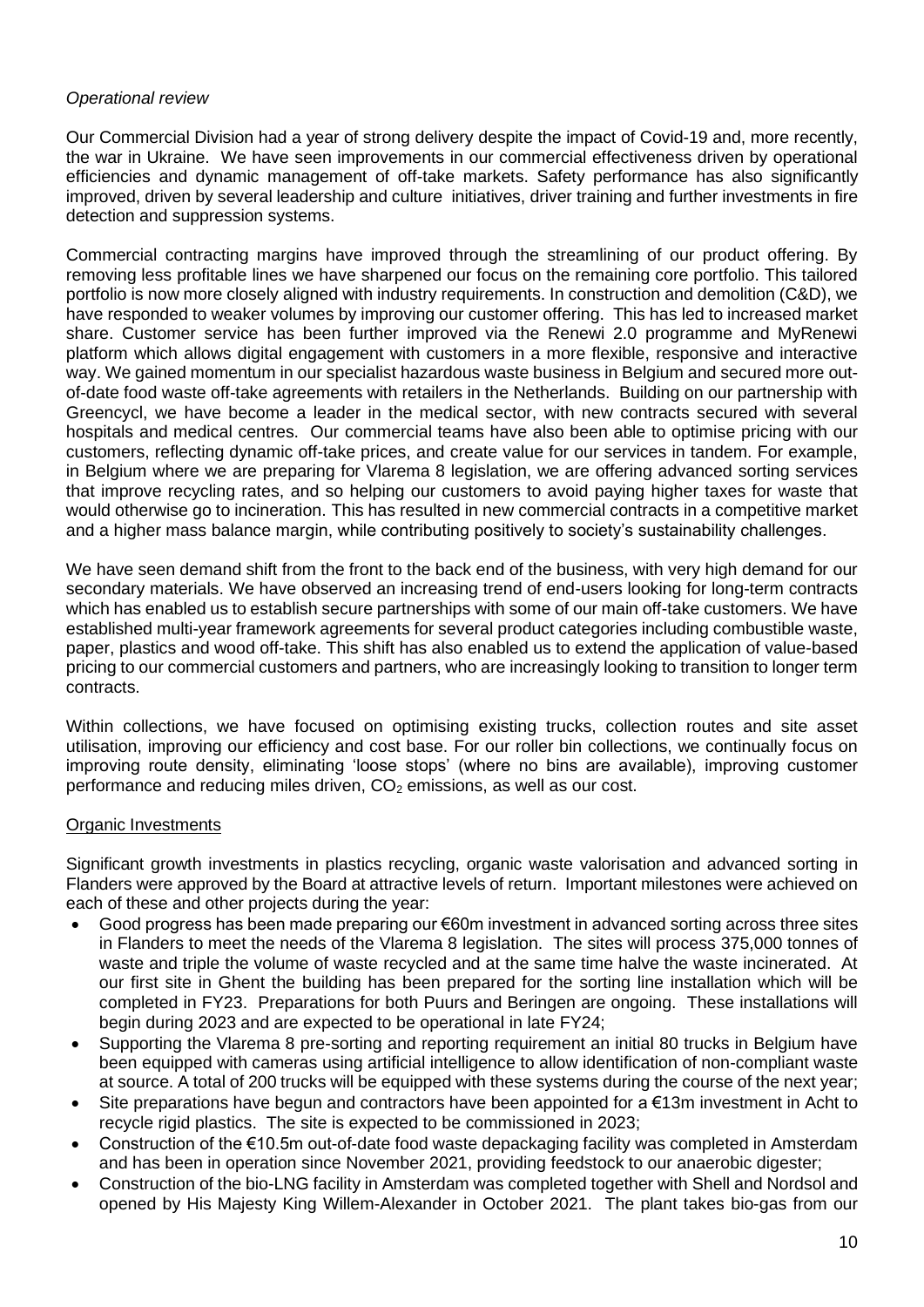# *Operational review*

Our Commercial Division had a year of strong delivery despite the impact of Covid-19 and, more recently, the war in Ukraine. We have seen improvements in our commercial effectiveness driven by operational efficiencies and dynamic management of off-take markets. Safety performance has also significantly improved, driven by several leadership and culture initiatives, driver training and further investments in fire detection and suppression systems.

Commercial contracting margins have improved through the streamlining of our product offering. By removing less profitable lines we have sharpened our focus on the remaining core portfolio. This tailored portfolio is now more closely aligned with industry requirements. In construction and demolition (C&D), we have responded to weaker volumes by improving our customer offering. This has led to increased market share. Customer service has been further improved via the Renewi 2.0 programme and MyRenewi platform which allows digital engagement with customers in a more flexible, responsive and interactive way. We gained momentum in our specialist hazardous waste business in Belgium and secured more outof-date food waste off-take agreements with retailers in the Netherlands. Building on our partnership with Greencycl, we have become a leader in the medical sector, with new contracts secured with several hospitals and medical centres. Our commercial teams have also been able to optimise pricing with our customers, reflecting dynamic off-take prices, and create value for our services in tandem. For example, in Belgium where we are preparing for Vlarema 8 legislation, we are offering advanced sorting services that improve recycling rates, and so helping our customers to avoid paying higher taxes for waste that would otherwise go to incineration. This has resulted in new commercial contracts in a competitive market and a higher mass balance margin, while contributing positively to society's sustainability challenges.

We have seen demand shift from the front to the back end of the business, with very high demand for our secondary materials. We have observed an increasing trend of end-users looking for long-term contracts which has enabled us to establish secure partnerships with some of our main off-take customers. We have established multi-year framework agreements for several product categories including combustible waste, paper, plastics and wood off-take. This shift has also enabled us to extend the application of value-based pricing to our commercial customers and partners, who are increasingly looking to transition to longer term contracts.

Within collections, we have focused on optimising existing trucks, collection routes and site asset utilisation, improving our efficiency and cost base. For our roller bin collections, we continually focus on improving route density, eliminating 'loose stops' (where no bins are available), improving customer performance and reducing miles driven,  $CO<sub>2</sub>$  emissions, as well as our cost.

## Organic Investments

Significant growth investments in plastics recycling, organic waste valorisation and advanced sorting in Flanders were approved by the Board at attractive levels of return. Important milestones were achieved on each of these and other projects during the year:

- Good progress has been made preparing our €60m investment in advanced sorting across three sites in Flanders to meet the needs of the Vlarema 8 legislation. The sites will process 375,000 tonnes of waste and triple the volume of waste recycled and at the same time halve the waste incinerated. At our first site in Ghent the building has been prepared for the sorting line installation which will be completed in FY23. Preparations for both Puurs and Beringen are ongoing. These installations will begin during 2023 and are expected to be operational in late FY24;
- Supporting the Vlarema 8 pre-sorting and reporting requirement an initial 80 trucks in Belgium have been equipped with cameras using artificial intelligence to allow identification of non-compliant waste at source. A total of 200 trucks will be equipped with these systems during the course of the next year;
- Site preparations have begun and contractors have been appointed for a  $€13m$  investment in Acht to recycle rigid plastics. The site is expected to be commissioned in 2023;
- Construction of the €10.5m out-of-date food waste depackaging facility was completed in Amsterdam and has been in operation since November 2021, providing feedstock to our anaerobic digester;
- Construction of the bio-LNG facility in Amsterdam was completed together with Shell and Nordsol and opened by His Majesty King Willem-Alexander in October 2021. The plant takes bio-gas from our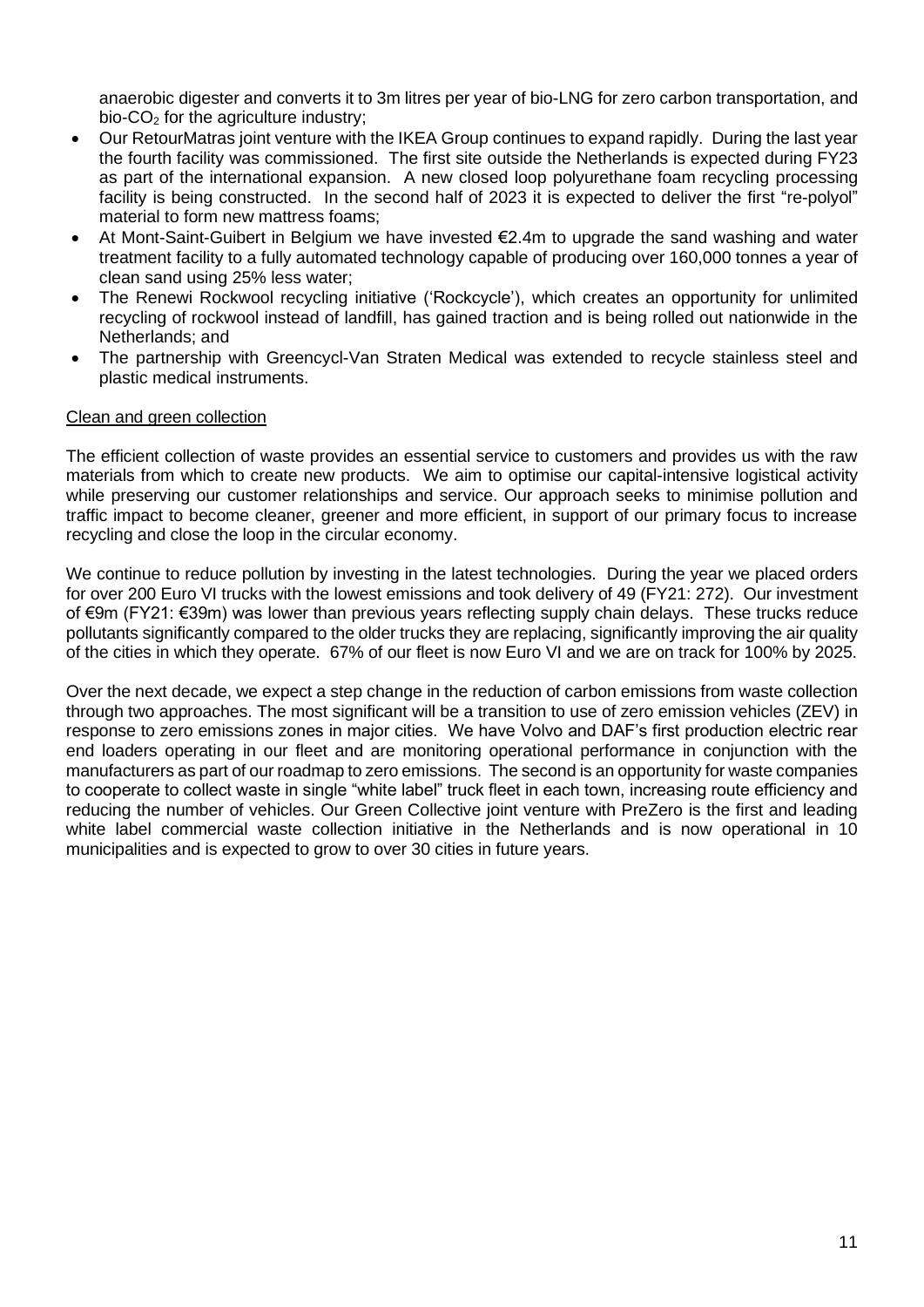anaerobic digester and converts it to 3m litres per year of bio-LNG for zero carbon transportation, and bio- $CO<sub>2</sub>$  for the agriculture industry:

- Our RetourMatras joint venture with the IKEA Group continues to expand rapidly. During the last year the fourth facility was commissioned. The first site outside the Netherlands is expected during FY23 as part of the international expansion. A new closed loop polyurethane foam recycling processing facility is being constructed. In the second half of 2023 it is expected to deliver the first "re-polyol" material to form new mattress foams;
- At Mont-Saint-Guibert in Belgium we have invested €2.4m to upgrade the sand washing and water treatment facility to a fully automated technology capable of producing over 160,000 tonnes a year of clean sand using 25% less water;
- The Renewi Rockwool recycling initiative ('Rockcycle'), which creates an opportunity for unlimited recycling of rockwool instead of landfill, has gained traction and is being rolled out nationwide in the Netherlands; and
- The partnership with Greencycl-Van Straten Medical was extended to recycle stainless steel and plastic medical instruments.

## Clean and green collection

The efficient collection of waste provides an essential service to customers and provides us with the raw materials from which to create new products. We aim to optimise our capital-intensive logistical activity while preserving our customer relationships and service. Our approach seeks to minimise pollution and traffic impact to become cleaner, greener and more efficient, in support of our primary focus to increase recycling and close the loop in the circular economy.

We continue to reduce pollution by investing in the latest technologies. During the year we placed orders for over 200 Euro VI trucks with the lowest emissions and took delivery of 49 (FY21: 272). Our investment of €9m (FY21: €39m) was lower than previous years reflecting supply chain delays. These trucks reduce pollutants significantly compared to the older trucks they are replacing, significantly improving the air quality of the cities in which they operate. 67% of our fleet is now Euro VI and we are on track for 100% by 2025.

Over the next decade, we expect a step change in the reduction of carbon emissions from waste collection through two approaches. The most significant will be a transition to use of zero emission vehicles (ZEV) in response to zero emissions zones in major cities. We have Volvo and DAF's first production electric rear end loaders operating in our fleet and are monitoring operational performance in conjunction with the manufacturers as part of our roadmap to zero emissions. The second is an opportunity for waste companies to cooperate to collect waste in single "white label" truck fleet in each town, increasing route efficiency and reducing the number of vehicles. Our Green Collective joint venture with PreZero is the first and leading white label commercial waste collection initiative in the Netherlands and is now operational in 10 municipalities and is expected to grow to over 30 cities in future years.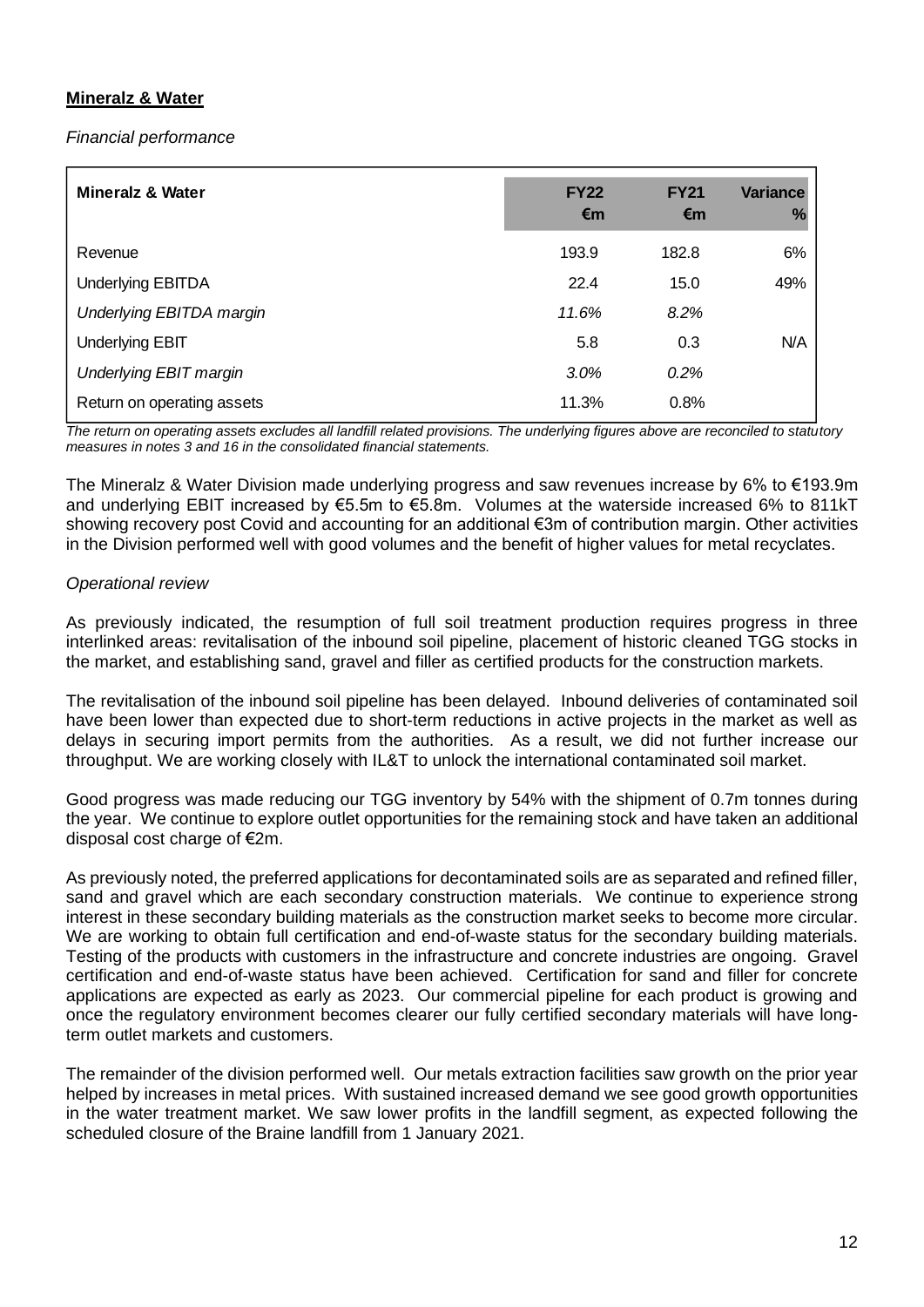# **Mineralz & Water**

*Financial performance* 

| <b>Mineralz &amp; Water</b>     | <b>FY22</b><br>€m | <b>FY21</b><br>€m | <b>Variance</b><br>% |
|---------------------------------|-------------------|-------------------|----------------------|
| Revenue                         | 193.9             | 182.8             | 6%                   |
| <b>Underlying EBITDA</b>        | 22.4              | 15.0              | 49%                  |
| <b>Underlying EBITDA margin</b> | 11.6%             | 8.2%              |                      |
| <b>Underlying EBIT</b>          | 5.8               | 0.3               | N/A                  |
| Underlying EBIT margin          | 3.0%              | 0.2%              |                      |
| Return on operating assets      | 11.3%             | 0.8%              |                      |

*The return on operating assets excludes all landfill related provisions. The underlying figures above are reconciled to statutory measures in notes 3 and 16 in the consolidated financial statements.*

The Mineralz & Water Division made underlying progress and saw revenues increase by 6% to €193.9m and underlying EBIT increased by €5.5m to €5.8m. Volumes at the waterside increased 6% to 811kT showing recovery post Covid and accounting for an additional €3m of contribution margin. Other activities in the Division performed well with good volumes and the benefit of higher values for metal recyclates.

## *Operational review*

As previously indicated, the resumption of full soil treatment production requires progress in three interlinked areas: revitalisation of the inbound soil pipeline, placement of historic cleaned TGG stocks in the market, and establishing sand, gravel and filler as certified products for the construction markets.

The revitalisation of the inbound soil pipeline has been delayed. Inbound deliveries of contaminated soil have been lower than expected due to short-term reductions in active projects in the market as well as delays in securing import permits from the authorities. As a result, we did not further increase our throughput. We are working closely with IL&T to unlock the international contaminated soil market.

Good progress was made reducing our TGG inventory by 54% with the shipment of 0.7m tonnes during the year. We continue to explore outlet opportunities for the remaining stock and have taken an additional disposal cost charge of €2m.

As previously noted, the preferred applications for decontaminated soils are as separated and refined filler, sand and gravel which are each secondary construction materials. We continue to experience strong interest in these secondary building materials as the construction market seeks to become more circular. We are working to obtain full certification and end-of-waste status for the secondary building materials. Testing of the products with customers in the infrastructure and concrete industries are ongoing. Gravel certification and end-of-waste status have been achieved. Certification for sand and filler for concrete applications are expected as early as 2023. Our commercial pipeline for each product is growing and once the regulatory environment becomes clearer our fully certified secondary materials will have longterm outlet markets and customers.

The remainder of the division performed well. Our metals extraction facilities saw growth on the prior year helped by increases in metal prices. With sustained increased demand we see good growth opportunities in the water treatment market. We saw lower profits in the landfill segment, as expected following the scheduled closure of the Braine landfill from 1 January 2021.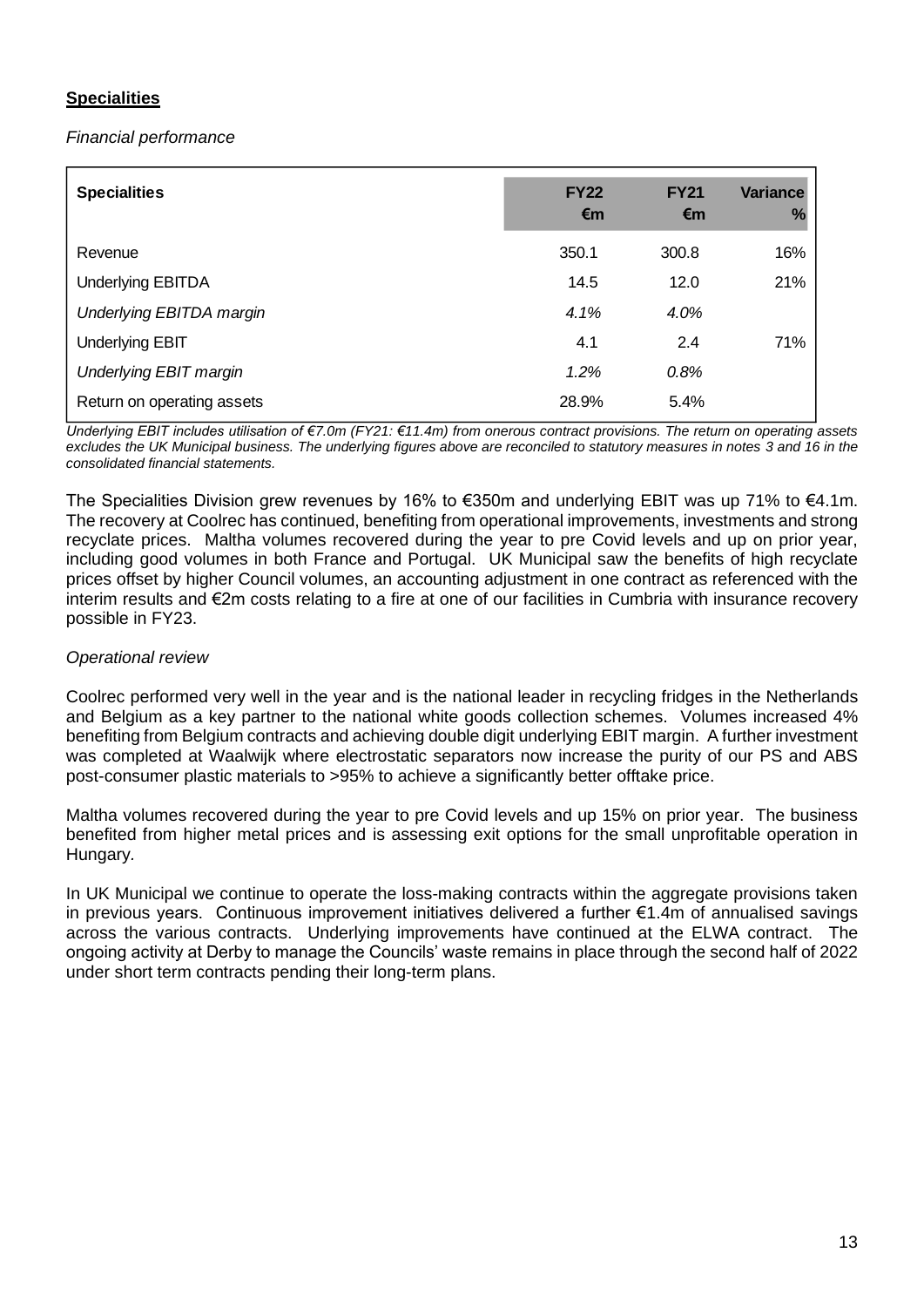# **Specialities**

*Financial performance* 

| <b>Specialities</b>             | <b>FY22</b><br>€m | <b>FY21</b><br>€m | <b>Variance</b><br>% |
|---------------------------------|-------------------|-------------------|----------------------|
| Revenue                         | 350.1             | 300.8             | 16%                  |
| <b>Underlying EBITDA</b>        | 14.5              | 12.0              | 21%                  |
| <b>Underlying EBITDA margin</b> | 4.1%              | 4.0%              |                      |
| <b>Underlying EBIT</b>          | 4.1               | 2.4               | 71%                  |
| <b>Underlying EBIT margin</b>   | 1.2%              | 0.8%              |                      |
| Return on operating assets      | 28.9%             | 5.4%              |                      |

*Underlying EBIT includes utilisation of €7.0m (FY21: €11.4m) from onerous contract provisions. The return on operating assets excludes the UK Municipal business. The underlying figures above are reconciled to statutory measures in notes 3 and 16 in the consolidated financial statements.*

The Specialities Division grew revenues by 16% to €350m and underlying EBIT was up 71% to €4.1m. The recovery at Coolrec has continued, benefiting from operational improvements, investments and strong recyclate prices. Maltha volumes recovered during the year to pre Covid levels and up on prior year, including good volumes in both France and Portugal. UK Municipal saw the benefits of high recyclate prices offset by higher Council volumes, an accounting adjustment in one contract as referenced with the interim results and €2m costs relating to a fire at one of our facilities in Cumbria with insurance recovery possible in FY23.

## *Operational review*

Coolrec performed very well in the year and is the national leader in recycling fridges in the Netherlands and Belgium as a key partner to the national white goods collection schemes. Volumes increased 4% benefiting from Belgium contracts and achieving double digit underlying EBIT margin. A further investment was completed at Waalwijk where electrostatic separators now increase the purity of our PS and ABS post-consumer plastic materials to >95% to achieve a significantly better offtake price.

Maltha volumes recovered during the year to pre Covid levels and up 15% on prior year. The business benefited from higher metal prices and is assessing exit options for the small unprofitable operation in Hungary*.*

In UK Municipal we continue to operate the loss-making contracts within the aggregate provisions taken in previous years. Continuous improvement initiatives delivered a further €1.4m of annualised savings across the various contracts. Underlying improvements have continued at the ELWA contract. The ongoing activity at Derby to manage the Councils' waste remains in place through the second half of 2022 under short term contracts pending their long-term plans.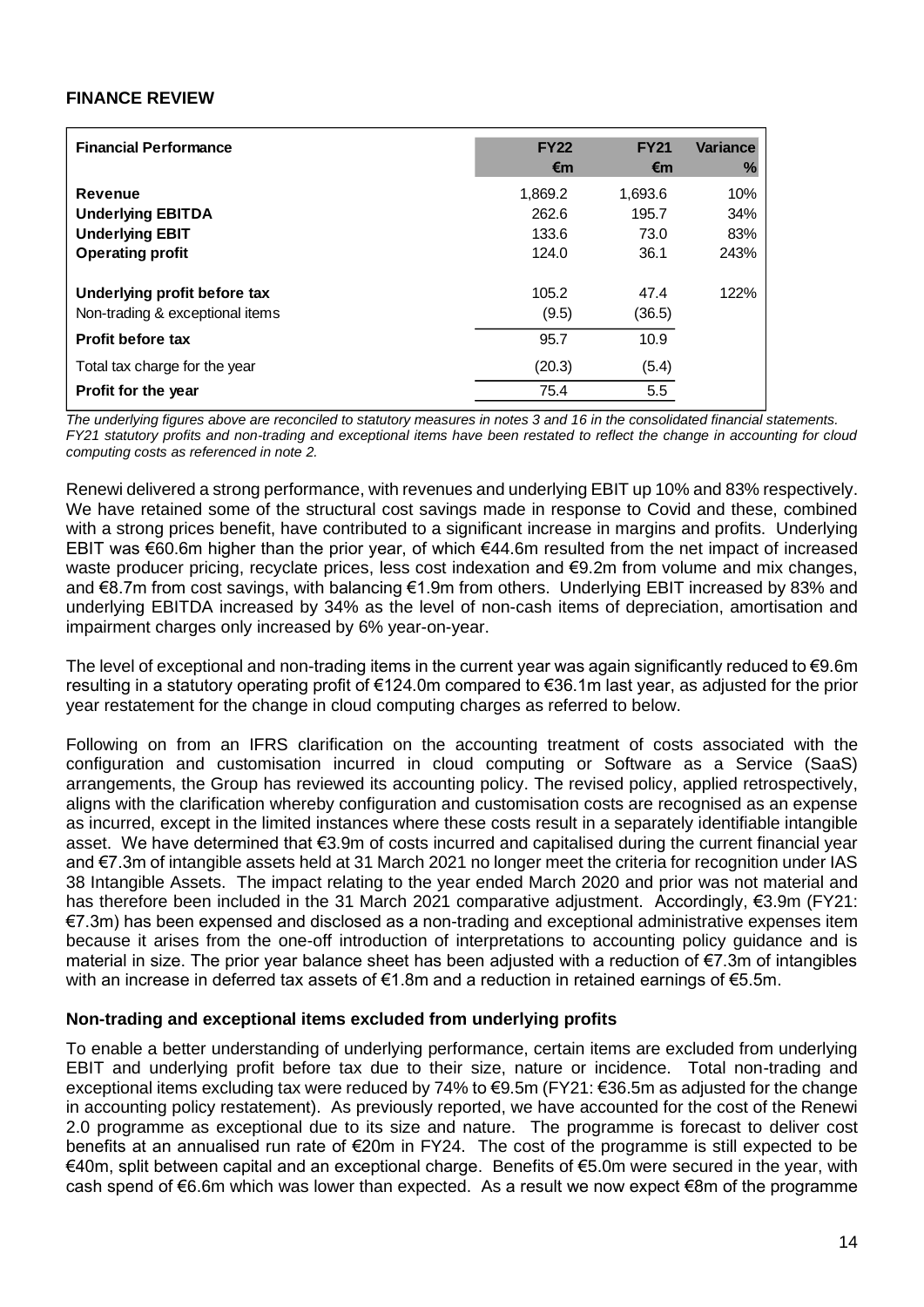## **FINANCE REVIEW**

| <b>Financial Performance</b>    | <b>FY22</b><br>€m | <b>FY21</b><br>€m | <b>Variance</b><br>% |
|---------------------------------|-------------------|-------------------|----------------------|
| <b>Revenue</b>                  | 1,869.2           | 1,693.6           | 10%                  |
| <b>Underlying EBITDA</b>        | 262.6             | 195.7             | 34%                  |
| <b>Underlying EBIT</b>          | 133.6             | 73.0              | 83%                  |
| <b>Operating profit</b>         | 124.0             | 36.1              | 243%                 |
| Underlying profit before tax    | 105.2             | 47.4              | 122%                 |
| Non-trading & exceptional items | (9.5)             | (36.5)            |                      |
| Profit before tax               | 95.7              | 10.9              |                      |
| Total tax charge for the year   | (20.3)            | (5.4)             |                      |
| Profit for the year             | 75.4              | 5.5               |                      |

*The underlying figures above are reconciled to statutory measures in notes 3 and 16 in the consolidated financial statements. FY21 statutory profits and non-trading and exceptional items have been restated to reflect the change in accounting for cloud computing costs as referenced in note 2.*

Renewi delivered a strong performance, with revenues and underlying EBIT up 10% and 83% respectively. We have retained some of the structural cost savings made in response to Covid and these, combined with a strong prices benefit, have contributed to a significant increase in margins and profits. Underlying EBIT was €60.6m higher than the prior year, of which €44.6m resulted from the net impact of increased waste producer pricing, recyclate prices, less cost indexation and €9.2m from volume and mix changes, and €8.7m from cost savings, with balancing €1.9m from others. Underlying EBIT increased by 83% and underlying EBITDA increased by 34% as the level of non-cash items of depreciation, amortisation and impairment charges only increased by 6% year-on-year.

The level of exceptional and non-trading items in the current year was again significantly reduced to  $\epsilon$ 9.6m resulting in a statutory operating profit of €124.0m compared to €36.1m last year, as adjusted for the prior year restatement for the change in cloud computing charges as referred to below.

Following on from an IFRS clarification on the accounting treatment of costs associated with the configuration and customisation incurred in cloud computing or Software as a Service (SaaS) arrangements, the Group has reviewed its accounting policy. The revised policy, applied retrospectively, aligns with the clarification whereby configuration and customisation costs are recognised as an expense as incurred, except in the limited instances where these costs result in a separately identifiable intangible asset. We have determined that €3.9m of costs incurred and capitalised during the current financial year and €7.3m of intangible assets held at 31 March 2021 no longer meet the criteria for recognition under IAS 38 Intangible Assets. The impact relating to the year ended March 2020 and prior was not material and has therefore been included in the 31 March 2021 comparative adjustment. Accordingly, €3.9m (FY21: €7.3m) has been expensed and disclosed as a non-trading and exceptional administrative expenses item because it arises from the one-off introduction of interpretations to accounting policy guidance and is material in size. The prior year balance sheet has been adjusted with a reduction of €7.3m of intangibles with an increase in deferred tax assets of €1.8m and a reduction in retained earnings of €5.5m.

## **Non-trading and exceptional items excluded from underlying profits**

To enable a better understanding of underlying performance, certain items are excluded from underlying EBIT and underlying profit before tax due to their size, nature or incidence. Total non-trading and exceptional items excluding tax were reduced by 74% to €9.5m (FY21: €36.5m as adjusted for the change in accounting policy restatement). As previously reported, we have accounted for the cost of the Renewi 2.0 programme as exceptional due to its size and nature. The programme is forecast to deliver cost benefits at an annualised run rate of €20m in FY24. The cost of the programme is still expected to be €40m, split between capital and an exceptional charge. Benefits of €5.0m were secured in the year, with cash spend of €6.6m which was lower than expected. As a result we now expect €8m of the programme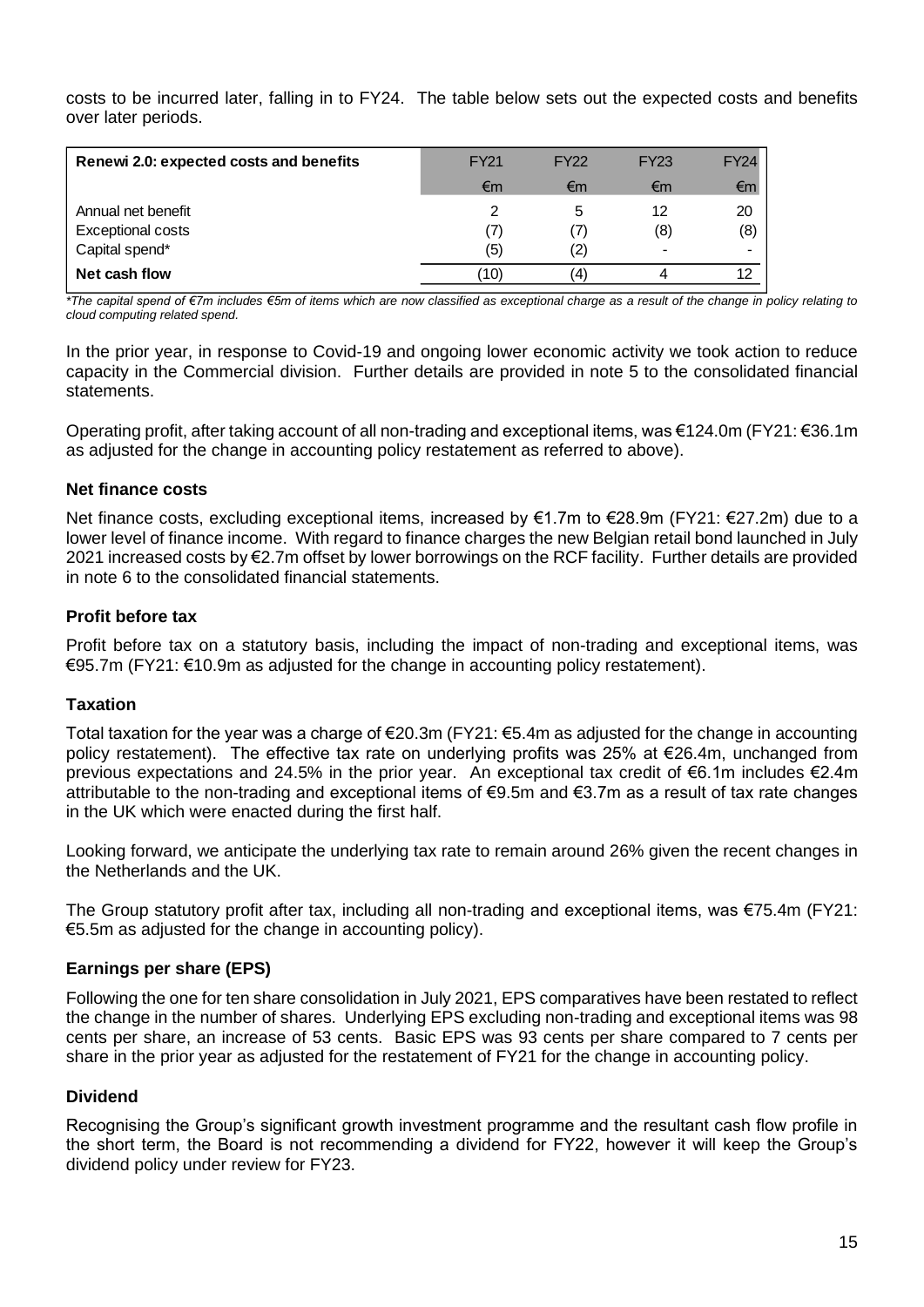costs to be incurred later, falling in to FY24. The table below sets out the expected costs and benefits over later periods.

| Renewi 2.0: expected costs and benefits | <b>FY21</b> | <b>FY22</b>    | <b>FY23</b> | <b>FY24</b> |
|-----------------------------------------|-------------|----------------|-------------|-------------|
|                                         | €m          | €m             | €m          | €m          |
| Annual net benefit                      |             | 5              | 12          | 20          |
| Exceptional costs                       | (7)         | $\overline{ }$ | (8)         | (8)         |
| Capital spend*                          | (5)         | (2)            | -           |             |
| Net cash flow                           | '10)        | (4)            |             |             |

*\*The capital spend of €7m includes €5m of items which are now classified as exceptional charge as a result of the change in policy relating to cloud computing related spend.* 

In the prior year, in response to Covid-19 and ongoing lower economic activity we took action to reduce capacity in the Commercial division. Further details are provided in note 5 to the consolidated financial statements.

Operating profit, after taking account of all non-trading and exceptional items, was €124.0m (FY21: €36.1m as adjusted for the change in accounting policy restatement as referred to above).

## **Net finance costs**

Net finance costs, excluding exceptional items, increased by €1.7m to €28.9m (FY21: €27.2m) due to a lower level of finance income. With regard to finance charges the new Belgian retail bond launched in July 2021 increased costs by €2.7m offset by lower borrowings on the RCF facility. Further details are provided in note 6 to the consolidated financial statements.

# **Profit before tax**

Profit before tax on a statutory basis, including the impact of non-trading and exceptional items, was €95.7m (FY21: €10.9m as adjusted for the change in accounting policy restatement).

## **Taxation**

Total taxation for the year was a charge of €20.3m (FY21: €5.4m as adjusted for the change in accounting policy restatement). The effective tax rate on underlying profits was 25% at €26.4m, unchanged from previous expectations and 24.5% in the prior year. An exceptional tax credit of €6.1m includes €2.4m attributable to the non-trading and exceptional items of €9.5m and €3.7m as a result of tax rate changes in the UK which were enacted during the first half.

Looking forward, we anticipate the underlying tax rate to remain around 26% given the recent changes in the Netherlands and the UK.

The Group statutory profit after tax, including all non-trading and exceptional items, was €75.4m (FY21: €5.5m as adjusted for the change in accounting policy).

## **Earnings per share (EPS)**

Following the one for ten share consolidation in July 2021, EPS comparatives have been restated to reflect the change in the number of shares. Underlying EPS excluding non-trading and exceptional items was 98 cents per share, an increase of 53 cents. Basic EPS was 93 cents per share compared to 7 cents per share in the prior year as adjusted for the restatement of FY21 for the change in accounting policy.

## **Dividend**

Recognising the Group's significant growth investment programme and the resultant cash flow profile in the short term, the Board is not recommending a dividend for FY22, however it will keep the Group's dividend policy under review for FY23.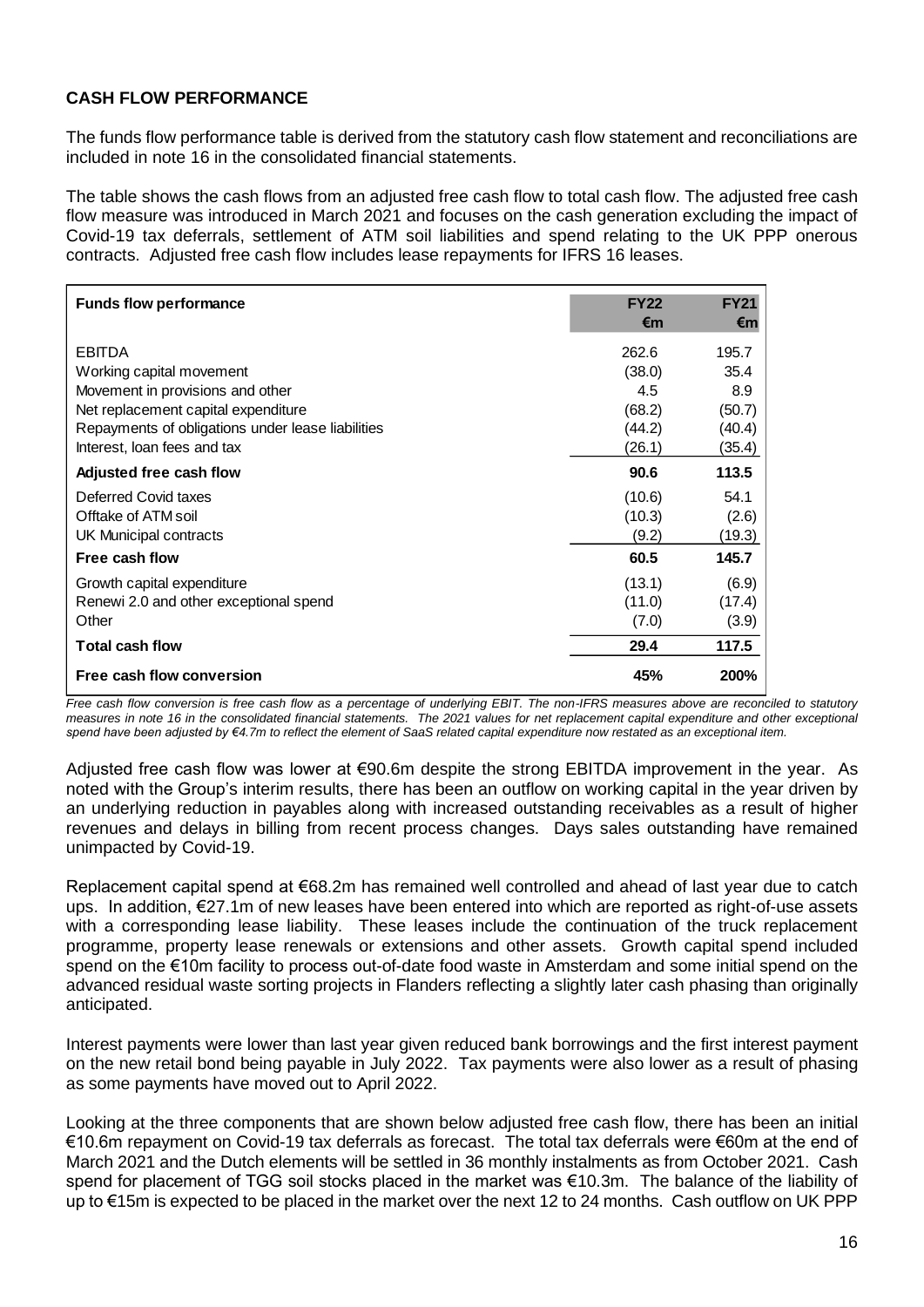# **CASH FLOW PERFORMANCE**

The funds flow performance table is derived from the statutory cash flow statement and reconciliations are included in note 16 in the consolidated financial statements.

The table shows the cash flows from an adjusted free cash flow to total cash flow. The adjusted free cash flow measure was introduced in March 2021 and focuses on the cash generation excluding the impact of Covid-19 tax deferrals, settlement of ATM soil liabilities and spend relating to the UK PPP onerous contracts. Adjusted free cash flow includes lease repayments for IFRS 16 leases.

| <b>Funds flow performance</b>                                                                                                                                                                                                                                                                                                                                                                                                                                                                                                                                                                                                                                           | <b>FY22</b><br>€m | <b>FY21</b><br>€m |  |
|-------------------------------------------------------------------------------------------------------------------------------------------------------------------------------------------------------------------------------------------------------------------------------------------------------------------------------------------------------------------------------------------------------------------------------------------------------------------------------------------------------------------------------------------------------------------------------------------------------------------------------------------------------------------------|-------------------|-------------------|--|
| <b>EBITDA</b>                                                                                                                                                                                                                                                                                                                                                                                                                                                                                                                                                                                                                                                           | 262.6             | 195.7             |  |
| Working capital movement                                                                                                                                                                                                                                                                                                                                                                                                                                                                                                                                                                                                                                                | (38.0)            | 35.4              |  |
| Movement in provisions and other                                                                                                                                                                                                                                                                                                                                                                                                                                                                                                                                                                                                                                        | 4.5               | 8.9               |  |
| Net replacement capital expenditure                                                                                                                                                                                                                                                                                                                                                                                                                                                                                                                                                                                                                                     | (68.2)            | (50.7)            |  |
| Repayments of obligations under lease liabilities                                                                                                                                                                                                                                                                                                                                                                                                                                                                                                                                                                                                                       | (44.2)            | (40.4)            |  |
| Interest, loan fees and tax                                                                                                                                                                                                                                                                                                                                                                                                                                                                                                                                                                                                                                             | (26.1)            | (35.4)            |  |
| Adjusted free cash flow                                                                                                                                                                                                                                                                                                                                                                                                                                                                                                                                                                                                                                                 | 90.6              | 113.5             |  |
| Deferred Covid taxes                                                                                                                                                                                                                                                                                                                                                                                                                                                                                                                                                                                                                                                    | (10.6)            | 54.1              |  |
| Offtake of ATM soil                                                                                                                                                                                                                                                                                                                                                                                                                                                                                                                                                                                                                                                     | (10.3)            | (2.6)             |  |
| <b>UK Municipal contracts</b>                                                                                                                                                                                                                                                                                                                                                                                                                                                                                                                                                                                                                                           | (9.2)             | (19.3)            |  |
| Free cash flow                                                                                                                                                                                                                                                                                                                                                                                                                                                                                                                                                                                                                                                          | 60.5              | 145.7             |  |
| Growth capital expenditure                                                                                                                                                                                                                                                                                                                                                                                                                                                                                                                                                                                                                                              | (13.1)            | (6.9)             |  |
| Renewi 2.0 and other exceptional spend                                                                                                                                                                                                                                                                                                                                                                                                                                                                                                                                                                                                                                  | (11.0)            | (17.4)            |  |
| Other                                                                                                                                                                                                                                                                                                                                                                                                                                                                                                                                                                                                                                                                   | (7.0)             | (3.9)             |  |
| <b>Total cash flow</b>                                                                                                                                                                                                                                                                                                                                                                                                                                                                                                                                                                                                                                                  | 29.4              | 117.5             |  |
| Free cash flow conversion                                                                                                                                                                                                                                                                                                                                                                                                                                                                                                                                                                                                                                               | 45%               | 200%              |  |
| noted with the Group's interim results, there has been an outflow on working capital in the year driven by<br>an underlying reduction in payables along with increased outstanding receivables as a result of higher<br>revenues and delays in billing from recent process changes. Days sales outstanding have remained<br>unimpacted by Covid-19.                                                                                                                                                                                                                                                                                                                     |                   |                   |  |
| Replacement capital spend at €68.2m has remained well controlled and ahead of last year due to catch<br>ups. In addition, €27.1m of new leases have been entered into which are reported as right-of-use assets<br>with a corresponding lease liability. These leases include the continuation of the truck replacement<br>programme, property lease renewals or extensions and other assets. Growth capital spend included<br>spend on the €10m facility to process out-of-date food waste in Amsterdam and some initial spend on the<br>advanced residual waste sorting projects in Flanders reflecting a slightly later cash phasing than originally<br>anticipated. |                   |                   |  |
| Interest payments were lower than last year given reduced bank borrowings and the first interest payment<br>on the new retail bond being payable in July 2022. Tax payments were also lower as a result of phasing<br>as some payments have moved out to April 2022.                                                                                                                                                                                                                                                                                                                                                                                                    |                   |                   |  |
| Looking at the three components that are shown below adjusted free cash flow, there has been an initial<br>€10.6m repayment on Covid-19 tax deferrals as forecast. The total tax deferrals were €60m at the end of<br>March 2021 and the Dutch elements will be settled in 36 monthly instalments as from October 2021. Cash<br>spend for placement of TGG soil stocks placed in the market was €10.3m. The balance of the liability of                                                                                                                                                                                                                                 |                   |                   |  |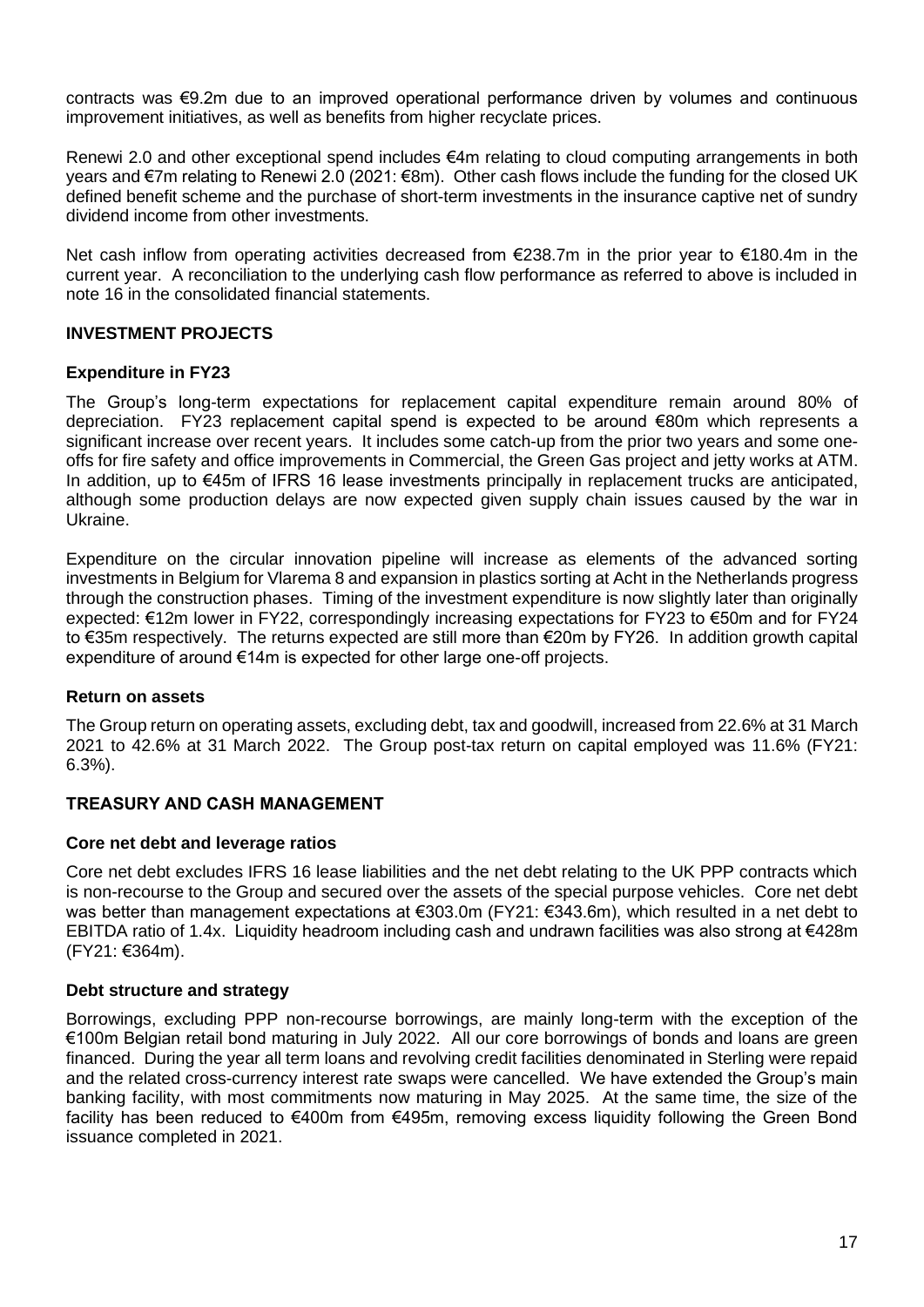contracts was €9.2m due to an improved operational performance driven by volumes and continuous improvement initiatives, as well as benefits from higher recyclate prices.

Renewi 2.0 and other exceptional spend includes €4m relating to cloud computing arrangements in both years and €7m relating to Renewi 2.0 (2021: €8m). Other cash flows include the funding for the closed UK defined benefit scheme and the purchase of short-term investments in the insurance captive net of sundry dividend income from other investments.

Net cash inflow from operating activities decreased from €238.7m in the prior year to €180.4m in the current year. A reconciliation to the underlying cash flow performance as referred to above is included in note 16 in the consolidated financial statements.

## **INVESTMENT PROJECTS**

## **Expenditure in FY23**

The Group's long-term expectations for replacement capital expenditure remain around 80% of depreciation. FY23 replacement capital spend is expected to be around €80m which represents a significant increase over recent years. It includes some catch-up from the prior two years and some oneoffs for fire safety and office improvements in Commercial, the Green Gas project and jetty works at ATM. In addition, up to €45m of IFRS 16 lease investments principally in replacement trucks are anticipated, although some production delays are now expected given supply chain issues caused by the war in Ukraine.

Expenditure on the circular innovation pipeline will increase as elements of the advanced sorting investments in Belgium for Vlarema 8 and expansion in plastics sorting at Acht in the Netherlands progress through the construction phases. Timing of the investment expenditure is now slightly later than originally expected: €12m lower in FY22, correspondingly increasing expectations for FY23 to €50m and for FY24 to €35m respectively. The returns expected are still more than €20m by FY26. In addition growth capital expenditure of around €14m is expected for other large one-off projects.

## **Return on assets**

The Group return on operating assets, excluding debt, tax and goodwill, increased from 22.6% at 31 March 2021 to 42.6% at 31 March 2022. The Group post-tax return on capital employed was 11.6% (FY21: 6.3%).

## **TREASURY AND CASH MANAGEMENT**

## **Core net debt and leverage ratios**

Core net debt excludes IFRS 16 lease liabilities and the net debt relating to the UK PPP contracts which is non-recourse to the Group and secured over the assets of the special purpose vehicles. Core net debt was better than management expectations at €303.0m (FY21: €343.6m), which resulted in a net debt to EBITDA ratio of 1.4x. Liquidity headroom including cash and undrawn facilities was also strong at €428m (FY21: €364m).

## **Debt structure and strategy**

Borrowings, excluding PPP non-recourse borrowings, are mainly long-term with the exception of the €100m Belgian retail bond maturing in July 2022. All our core borrowings of bonds and loans are green financed. During the year all term loans and revolving credit facilities denominated in Sterling were repaid and the related cross-currency interest rate swaps were cancelled. We have extended the Group's main banking facility, with most commitments now maturing in May 2025. At the same time, the size of the facility has been reduced to €400m from €495m, removing excess liquidity following the Green Bond issuance completed in 2021.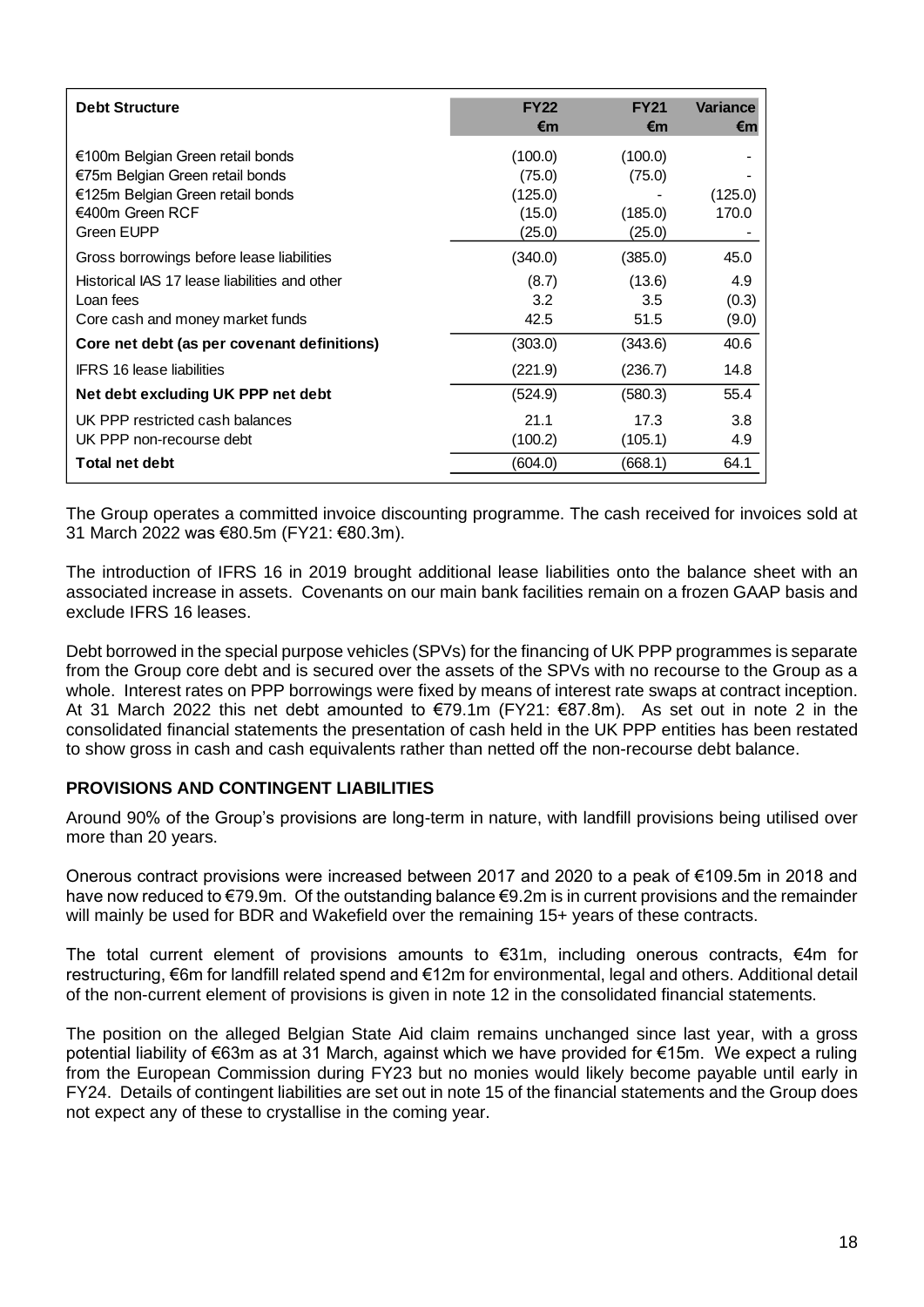| <b>Debt Structure</b>                                                                                                                    | <b>FY22</b><br>€m                                | <b>FY21</b><br>€m                      | <b>Variance</b><br>€m |
|------------------------------------------------------------------------------------------------------------------------------------------|--------------------------------------------------|----------------------------------------|-----------------------|
| €100m Belgian Green retail bonds<br>€75m Belgian Green retail bonds<br>€125m Belgian Green retail bonds<br>€400m Green RCF<br>Green EUPP | (100.0)<br>(75.0)<br>(125.0)<br>(15.0)<br>(25.0) | (100.0)<br>(75.0)<br>(185.0)<br>(25.0) | (125.0)<br>170.0      |
| Gross borrowings before lease liabilities                                                                                                | (340.0)                                          | (385.0)                                | 45.0                  |
| Historical IAS 17 lease liabilities and other<br>Loan fees<br>Core cash and money market funds                                           | (8.7)<br>3.2<br>42.5                             | (13.6)<br>3.5<br>51.5                  | 4.9<br>(0.3)<br>(9.0) |
| Core net debt (as per covenant definitions)                                                                                              | (303.0)                                          | (343.6)                                | 40.6                  |
| <b>IFRS 16 lease liabilities</b>                                                                                                         | (221.9)                                          | (236.7)                                | 14.8                  |
| Net debt excluding UK PPP net debt                                                                                                       | (524.9)                                          | (580.3)                                | 55.4                  |
| UK PPP restricted cash balances<br>UK PPP non-recourse debt                                                                              | 21.1<br>(100.2)                                  | 17.3<br>(105.1)                        | 3.8<br>4.9            |
| <b>Total net debt</b>                                                                                                                    | (604.0)                                          | (668.1)                                | 64.1                  |

The Group operates a committed invoice discounting programme. The cash received for invoices sold at 31 March 2022 was €80.5m (FY21: €80.3m).

The introduction of IFRS 16 in 2019 brought additional lease liabilities onto the balance sheet with an associated increase in assets. Covenants on our main bank facilities remain on a frozen GAAP basis and exclude IFRS 16 leases.

Debt borrowed in the special purpose vehicles (SPVs) for the financing of UK PPP programmes is separate from the Group core debt and is secured over the assets of the SPVs with no recourse to the Group as a whole. Interest rates on PPP borrowings were fixed by means of interest rate swaps at contract inception. At 31 March 2022 this net debt amounted to €79.1m (FY21: €87.8m). As set out in note 2 in the consolidated financial statements the presentation of cash held in the UK PPP entities has been restated to show gross in cash and cash equivalents rather than netted off the non-recourse debt balance.

## **PROVISIONS AND CONTINGENT LIABILITIES**

Around 90% of the Group's provisions are long-term in nature, with landfill provisions being utilised over more than 20 years.

Onerous contract provisions were increased between 2017 and 2020 to a peak of €109.5m in 2018 and have now reduced to €79.9m. Of the outstanding balance €9.2m is in current provisions and the remainder will mainly be used for BDR and Wakefield over the remaining 15+ years of these contracts.

The total current element of provisions amounts to  $€31m$ , including onerous contracts,  $€4m$  for restructuring, €6m for landfill related spend and €12m for environmental, legal and others. Additional detail of the non-current element of provisions is given in note 12 in the consolidated financial statements.

The position on the alleged Belgian State Aid claim remains unchanged since last year, with a gross potential liability of €63m as at 31 March, against which we have provided for €15m. We expect a ruling from the European Commission during FY23 but no monies would likely become payable until early in FY24. Details of contingent liabilities are set out in note 15 of the financial statements and the Group does not expect any of these to crystallise in the coming year.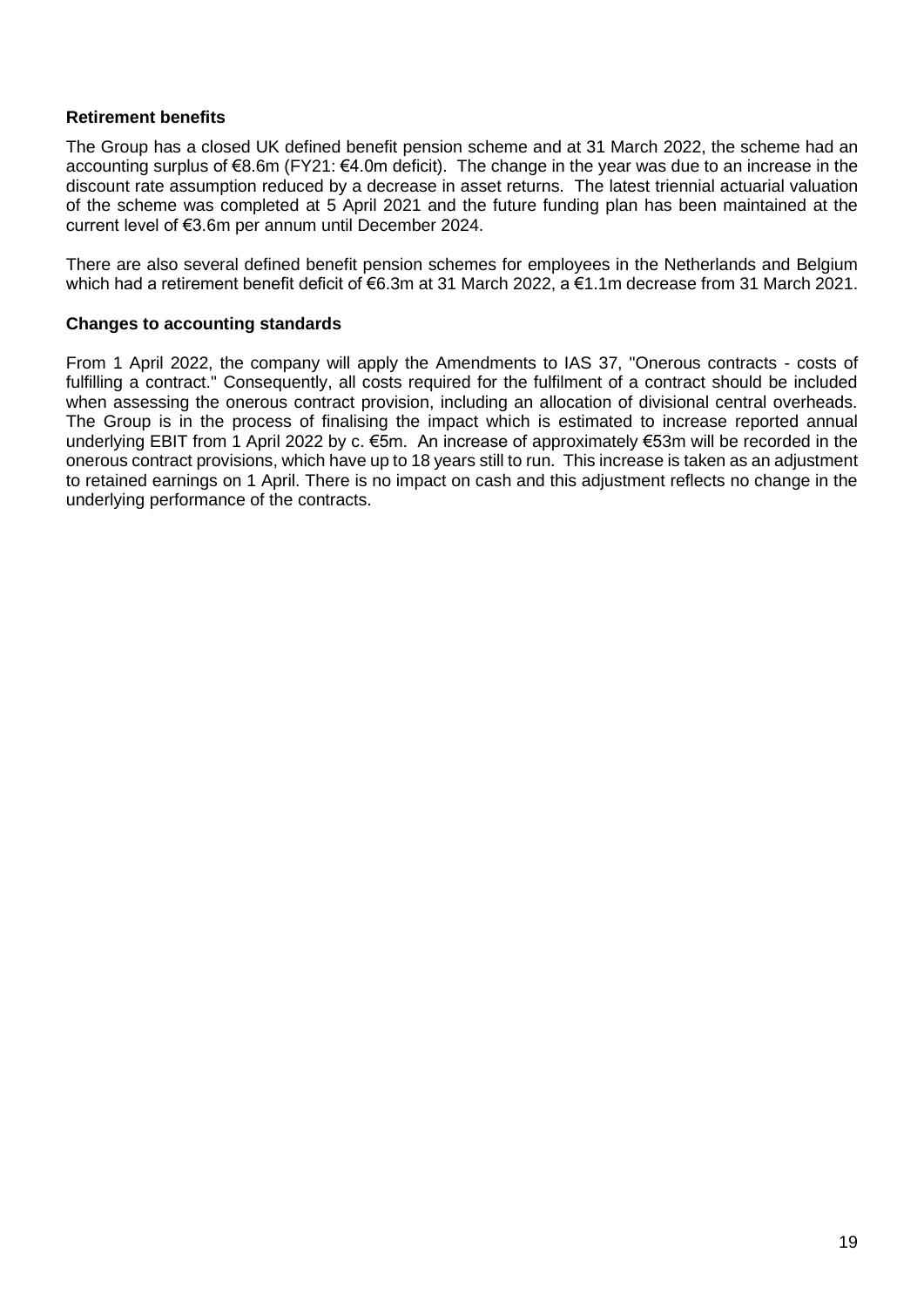## **Retirement benefits**

The Group has a closed UK defined benefit pension scheme and at 31 March 2022, the scheme had an accounting surplus of €8.6m (FY21: €4.0m deficit). The change in the year was due to an increase in the discount rate assumption reduced by a decrease in asset returns. The latest triennial actuarial valuation of the scheme was completed at 5 April 2021 and the future funding plan has been maintained at the current level of €3.6m per annum until December 2024.

There are also several defined benefit pension schemes for employees in the Netherlands and Belgium which had a retirement benefit deficit of €6.3m at 31 March 2022, a €1.1m decrease from 31 March 2021.

# **Changes to accounting standards**

From 1 April 2022, the company will apply the Amendments to IAS 37, "Onerous contracts - costs of fulfilling a contract." Consequently, all costs required for the fulfilment of a contract should be included when assessing the onerous contract provision, including an allocation of divisional central overheads. The Group is in the process of finalising the impact which is estimated to increase reported annual underlying EBIT from 1 April 2022 by c. €5m. An increase of approximately €53m will be recorded in the onerous contract provisions, which have up to 18 years still to run. This increase is taken as an adjustment to retained earnings on 1 April. There is no impact on cash and this adjustment reflects no change in the underlying performance of the contracts.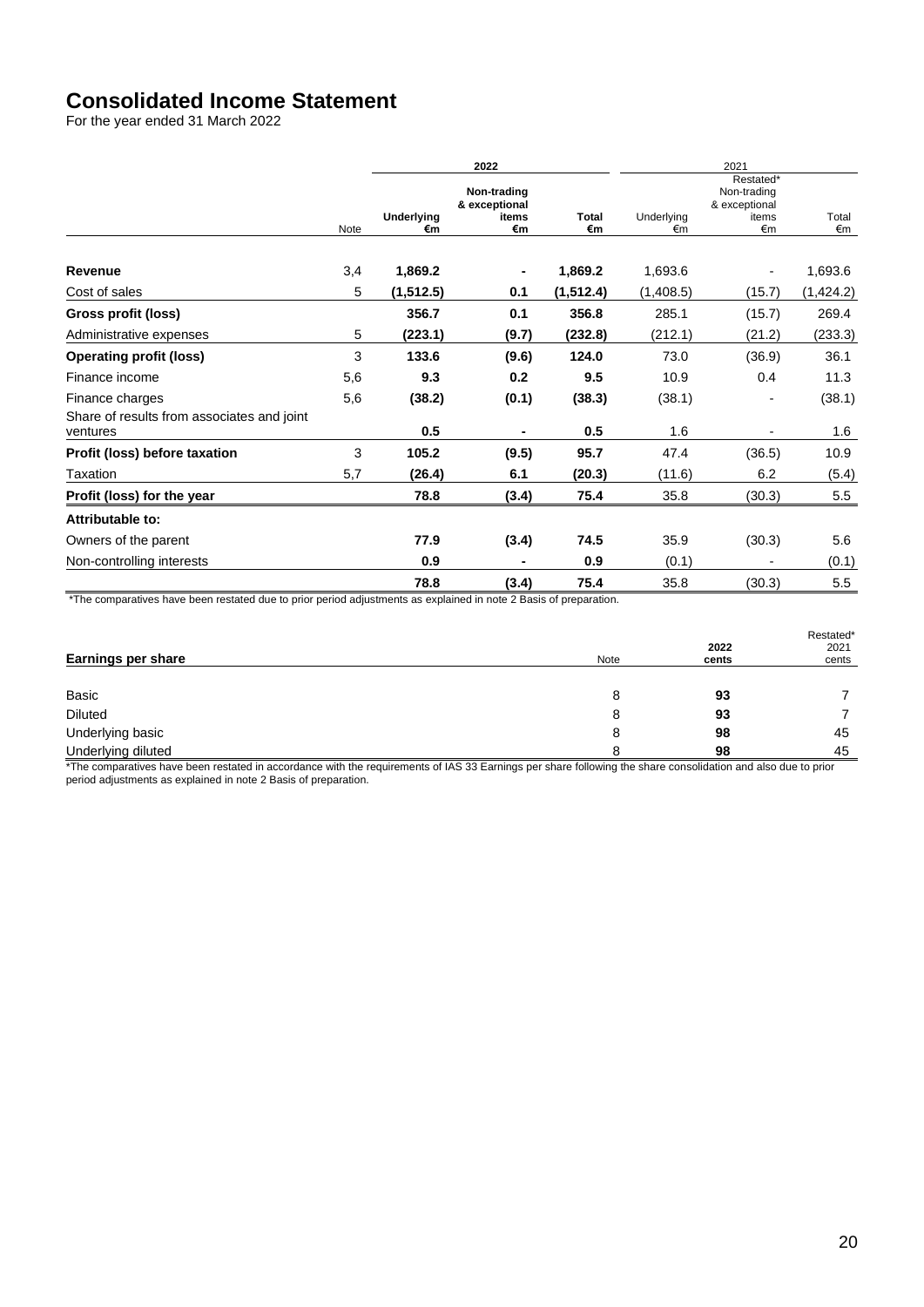# **Consolidated Income Statement**

For the year ended 31 March 2022

|                                                        |             |                  | 2022                                        |                    | 2021             |                                                          |             |  |
|--------------------------------------------------------|-------------|------------------|---------------------------------------------|--------------------|------------------|----------------------------------------------------------|-------------|--|
|                                                        | <b>Note</b> | Underlying<br>€m | Non-trading<br>& exceptional<br>items<br>€m | <b>Total</b><br>€m | Underlying<br>€m | Restated*<br>Non-trading<br>& exceptional<br>items<br>€m | Total<br>€m |  |
|                                                        |             |                  |                                             |                    |                  |                                                          |             |  |
| Revenue                                                | 3,4         | 1,869.2          |                                             | 1,869.2            | 1,693.6          | $\blacksquare$                                           | 1,693.6     |  |
| Cost of sales                                          | 5           | (1, 512.5)       | 0.1                                         | (1, 512.4)         | (1,408.5)        | (15.7)                                                   | (1,424.2)   |  |
| Gross profit (loss)                                    |             | 356.7            | 0.1                                         | 356.8              | 285.1            | (15.7)                                                   | 269.4       |  |
| Administrative expenses                                | 5           | (223.1)          | (9.7)                                       | (232.8)            | (212.1)          | (21.2)                                                   | (233.3)     |  |
| <b>Operating profit (loss)</b>                         | 3           | 133.6            | (9.6)                                       | 124.0              | 73.0             | (36.9)                                                   | 36.1        |  |
| Finance income                                         | 5,6         | 9.3              | 0.2                                         | 9.5                | 10.9             | 0.4                                                      | 11.3        |  |
| Finance charges                                        | 5,6         | (38.2)           | (0.1)                                       | (38.3)             | (38.1)           | -                                                        | (38.1)      |  |
| Share of results from associates and joint<br>ventures |             | 0.5              |                                             | 0.5                | 1.6              |                                                          | 1.6         |  |
| Profit (loss) before taxation                          | 3           | 105.2            | (9.5)                                       | 95.7               | 47.4             | (36.5)                                                   | 10.9        |  |
| Taxation                                               | 5,7         | (26.4)           | 6.1                                         | (20.3)             | (11.6)           | 6.2                                                      | (5.4)       |  |
| Profit (loss) for the year                             |             | 78.8             | (3.4)                                       | 75.4               | 35.8             | (30.3)                                                   | 5.5         |  |
| Attributable to:                                       |             |                  |                                             |                    |                  |                                                          |             |  |
| Owners of the parent                                   |             | 77.9             | (3.4)                                       | 74.5               | 35.9             | (30.3)                                                   | 5.6         |  |
| Non-controlling interests                              |             | 0.9              |                                             | 0.9                | (0.1)            |                                                          | (0.1)       |  |
|                                                        |             | 78.8             | (3.4)                                       | 75.4               | 35.8             | (30.3)                                                   | 5.5         |  |

\*The comparatives have been restated due to prior period adjustments as explained in note 2 Basis of preparation.

| <b>Earnings per share</b> | <b>Note</b> | 2022<br>cents | Restated*<br>2021<br>cents |
|---------------------------|-------------|---------------|----------------------------|
|                           |             |               |                            |
| Basic                     | 8           | 93            |                            |
| <b>Diluted</b>            | 8           | 93            |                            |
| Underlying basic          | 8           | 98            | 45                         |
| Underlying diluted        |             | 98            | 45                         |

\*The comparatives have been restated in accordance with the requirements of IAS 33 Earnings per share following the share consolidation and also due to prior period adjustments as explained in note 2 Basis of preparation.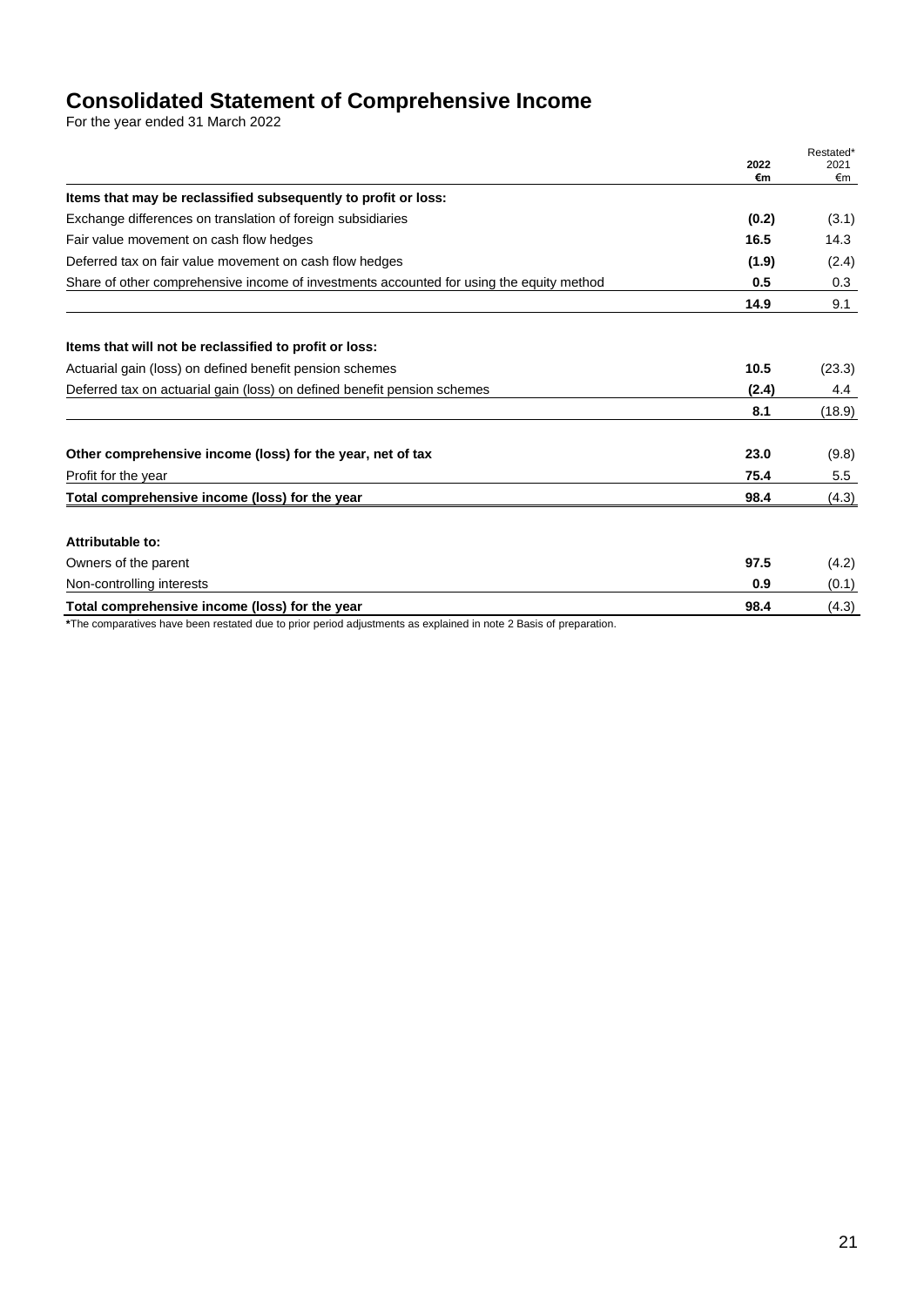# **Consolidated Statement of Comprehensive Income**

For the year ended 31 March 2022

|                                                                                                                   | 2022<br>€m | Restated*<br>2021<br>€m |
|-------------------------------------------------------------------------------------------------------------------|------------|-------------------------|
| Items that may be reclassified subsequently to profit or loss:                                                    |            |                         |
| Exchange differences on translation of foreign subsidiaries                                                       | (0.2)      | (3.1)                   |
| Fair value movement on cash flow hedges                                                                           | 16.5       | 14.3                    |
| Deferred tax on fair value movement on cash flow hedges                                                           | (1.9)      | (2.4)                   |
| Share of other comprehensive income of investments accounted for using the equity method                          | 0.5        | 0.3                     |
|                                                                                                                   | 14.9       | 9.1                     |
| Items that will not be reclassified to profit or loss:                                                            |            |                         |
| Actuarial gain (loss) on defined benefit pension schemes                                                          | 10.5       | (23.3)                  |
| Deferred tax on actuarial gain (loss) on defined benefit pension schemes                                          | (2.4)      | 4.4                     |
|                                                                                                                   | 8.1        | (18.9)                  |
| Other comprehensive income (loss) for the year, net of tax                                                        | 23.0       | (9.8)                   |
| Profit for the year                                                                                               | 75.4       | 5.5                     |
| Total comprehensive income (loss) for the year                                                                    | 98.4       | (4.3)                   |
| Attributable to:                                                                                                  |            |                         |
| Owners of the parent                                                                                              | 97.5       | (4.2)                   |
| Non-controlling interests                                                                                         | 0.9        | (0.1)                   |
| Total comprehensive income (loss) for the year                                                                    | 98.4       | (4.3)                   |
| *The comparatives have been restated due to prior period adjustments as explained in note 2 Basis of preparation. |            |                         |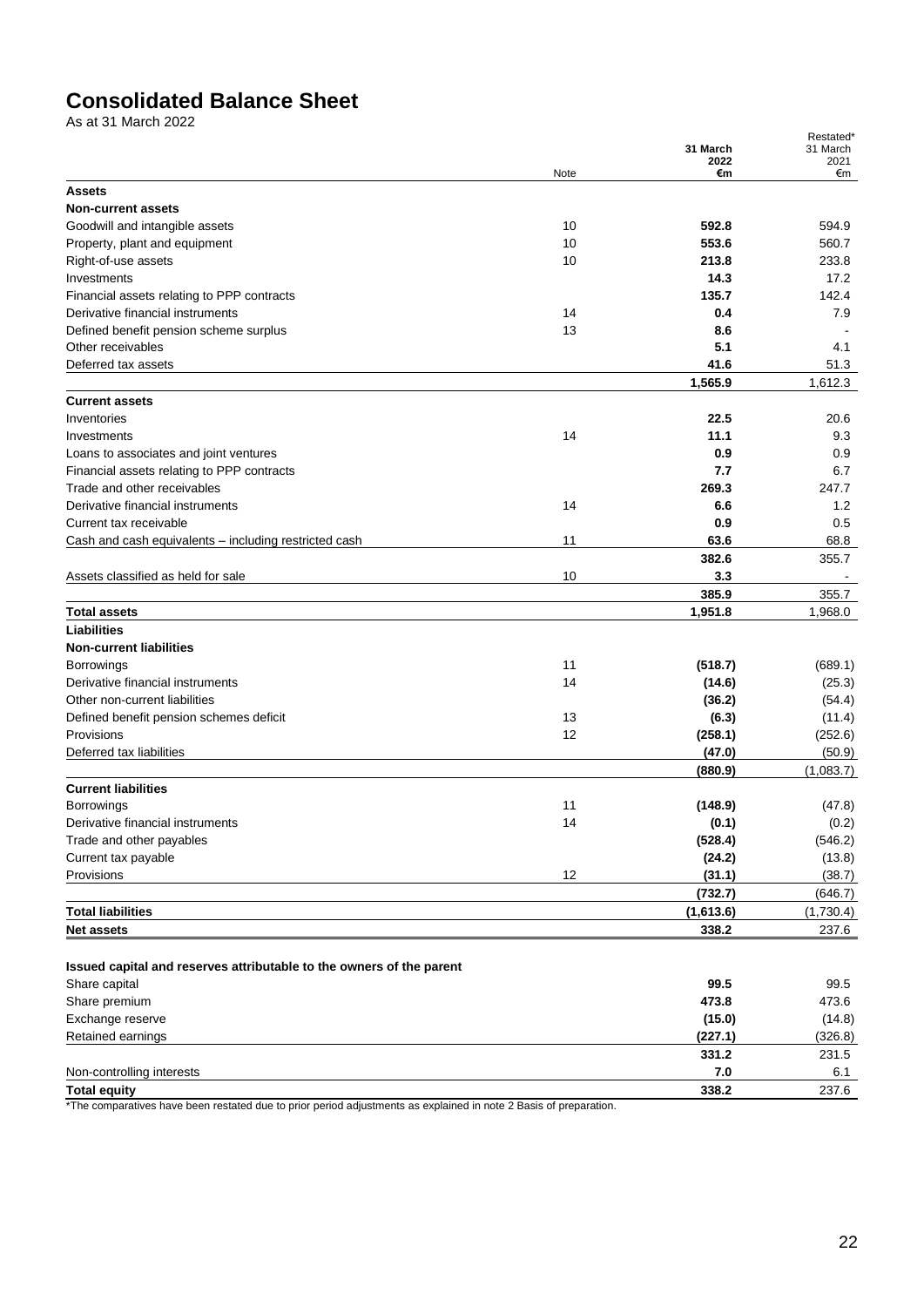# **Consolidated Balance Sheet**

As at 31 March 2022

|                                                                           |      | 31 March<br>2022 | Restated*<br>31 March<br>2021 |
|---------------------------------------------------------------------------|------|------------------|-------------------------------|
|                                                                           | Note | €m               | €m                            |
| <b>Assets</b>                                                             |      |                  |                               |
| <b>Non-current assets</b>                                                 |      |                  |                               |
| Goodwill and intangible assets                                            | 10   | 592.8            | 594.9                         |
| Property, plant and equipment                                             | 10   | 553.6            | 560.7                         |
| Right-of-use assets                                                       | 10   | 213.8            | 233.8                         |
| Investments                                                               |      | 14.3             | 17.2                          |
| Financial assets relating to PPP contracts                                |      | 135.7            | 142.4                         |
| Derivative financial instruments                                          | 14   | 0.4              | 7.9                           |
| Defined benefit pension scheme surplus                                    | 13   | 8.6              |                               |
| Other receivables                                                         |      | 5.1              | 4.1                           |
| Deferred tax assets                                                       |      | 41.6             | 51.3                          |
|                                                                           |      | 1,565.9          | 1,612.3                       |
| <b>Current assets</b><br>Inventories                                      |      | 22.5             | 20.6                          |
|                                                                           | 14   | 11.1             | 9.3                           |
| Investments                                                               |      | 0.9              | 0.9                           |
| Loans to associates and joint ventures                                    |      | 7.7              |                               |
| Financial assets relating to PPP contracts<br>Trade and other receivables |      | 269.3            | 6.7<br>247.7                  |
| Derivative financial instruments                                          | 14   | 6.6              | 1.2                           |
| Current tax receivable                                                    |      | 0.9              | 0.5                           |
| Cash and cash equivalents - including restricted cash                     | 11   | 63.6             | 68.8                          |
|                                                                           |      | 382.6            |                               |
| Assets classified as held for sale                                        | 10   | 3.3              | 355.7                         |
|                                                                           |      | 385.9            |                               |
|                                                                           |      | 1,951.8          | 355.7<br>1,968.0              |
| <b>Total assets</b><br><b>Liabilities</b>                                 |      |                  |                               |
| <b>Non-current liabilities</b>                                            |      |                  |                               |
| <b>Borrowings</b>                                                         | 11   | (518.7)          | (689.1)                       |
| Derivative financial instruments                                          | 14   | (14.6)           | (25.3)                        |
| Other non-current liabilities                                             |      | (36.2)           | (54.4)                        |
| Defined benefit pension schemes deficit                                   | 13   | (6.3)            | (11.4)                        |
| Provisions                                                                | 12   | (258.1)          | (252.6)                       |
| Deferred tax liabilities                                                  |      | (47.0)           | (50.9)                        |
|                                                                           |      | (880.9)          | (1,083.7)                     |
| <b>Current liabilities</b>                                                |      |                  |                               |
| Borrowings                                                                | 11   | (148.9)          | (47.8)                        |
| Derivative financial instruments                                          | 14   | (0.1)            | (0.2)                         |
| Trade and other payables                                                  |      | (528.4)          | (546.2)                       |
| Current tax payable                                                       |      | (24.2)           | (13.8)                        |
| Provisions                                                                | 12   | (31.1)           | (38.7)                        |
|                                                                           |      | (732.7)          | (646.7)                       |
| <b>Total liabilities</b>                                                  |      | (1,613.6)        | (1,730.4)                     |
| <b>Net assets</b>                                                         |      | 338.2            | 237.6                         |
|                                                                           |      |                  |                               |
| Issued capital and reserves attributable to the owners of the parent      |      |                  |                               |
| Share capital                                                             |      | 99.5             | 99.5                          |
| Share premium                                                             |      | 473.8            | 473.6                         |
| Exchange reserve                                                          |      | (15.0)           | (14.8)                        |
| Retained earnings                                                         |      | (227.1)          | (326.8)                       |
|                                                                           |      | 331.2            | 231.5                         |
| Non-controlling interests                                                 |      | 7.0              | 6.1                           |
| <b>Total equity</b>                                                       |      | 338.2            | 237.6                         |

\*The comparatives have been restated due to prior period adjustments as explained in note 2 Basis of preparation.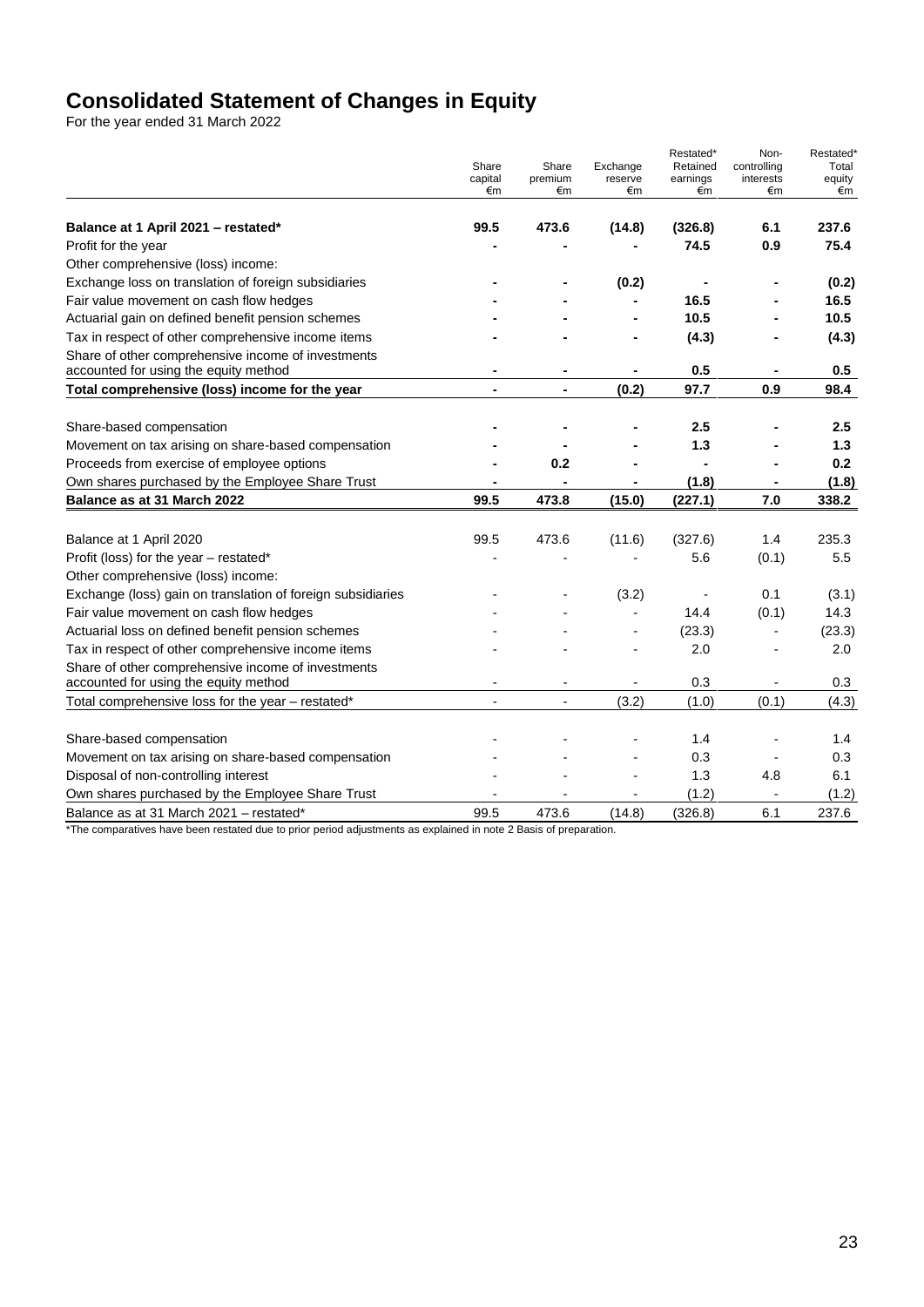# **Consolidated Statement of Changes in Equity**

For the year ended 31 March 2022

|                                                                                             | Share<br>capital<br>€m | Share<br>premium<br>€m   | Exchange<br>reserve<br>€m | Restated*<br>Retained<br>earnings<br>€m | Non-<br>controlling<br>interests<br>€m | Restated*<br>Total<br>equity<br>€m |
|---------------------------------------------------------------------------------------------|------------------------|--------------------------|---------------------------|-----------------------------------------|----------------------------------------|------------------------------------|
|                                                                                             |                        |                          |                           |                                         |                                        |                                    |
| Balance at 1 April 2021 - restated*                                                         | 99.5                   | 473.6                    | (14.8)                    | (326.8)                                 | 6.1                                    | 237.6                              |
| Profit for the year                                                                         |                        |                          |                           | 74.5                                    | 0.9                                    | 75.4                               |
| Other comprehensive (loss) income:                                                          |                        |                          |                           |                                         |                                        |                                    |
| Exchange loss on translation of foreign subsidiaries                                        |                        |                          | (0.2)                     |                                         |                                        | (0.2)                              |
| Fair value movement on cash flow hedges                                                     |                        |                          |                           | 16.5                                    |                                        | 16.5                               |
| Actuarial gain on defined benefit pension schemes                                           |                        |                          |                           | 10.5                                    |                                        | 10.5                               |
| Tax in respect of other comprehensive income items                                          |                        |                          |                           | (4.3)                                   |                                        | (4.3)                              |
| Share of other comprehensive income of investments<br>accounted for using the equity method |                        |                          |                           | 0.5                                     |                                        | 0.5                                |
| Total comprehensive (loss) income for the year                                              | $\blacksquare$         | $\blacksquare$           | (0.2)                     | 97.7                                    | 0.9                                    | 98.4                               |
|                                                                                             |                        |                          |                           |                                         |                                        |                                    |
| Share-based compensation                                                                    |                        |                          |                           | 2.5                                     |                                        | $2.5\,$                            |
| Movement on tax arising on share-based compensation                                         |                        |                          |                           | 1.3                                     |                                        | 1.3                                |
| Proceeds from exercise of employee options                                                  |                        | 0.2                      |                           |                                         |                                        | 0.2                                |
| Own shares purchased by the Employee Share Trust                                            |                        |                          |                           | (1.8)                                   |                                        | (1.8)                              |
| Balance as at 31 March 2022                                                                 | 99.5                   | 473.8                    | (15.0)                    | (227.1)                                 | 7.0                                    | 338.2                              |
|                                                                                             |                        |                          |                           |                                         |                                        |                                    |
| Balance at 1 April 2020                                                                     | 99.5                   | 473.6                    | (11.6)                    | (327.6)                                 | 1.4                                    | 235.3                              |
| Profit (loss) for the year - restated*                                                      |                        |                          |                           | 5.6                                     | (0.1)                                  | 5.5                                |
| Other comprehensive (loss) income:                                                          |                        |                          |                           |                                         |                                        |                                    |
| Exchange (loss) gain on translation of foreign subsidiaries                                 |                        |                          | (3.2)                     |                                         | 0.1                                    | (3.1)                              |
| Fair value movement on cash flow hedges                                                     |                        |                          |                           | 14.4                                    | (0.1)                                  | 14.3                               |
| Actuarial loss on defined benefit pension schemes                                           |                        |                          |                           | (23.3)                                  |                                        | (23.3)                             |
| Tax in respect of other comprehensive income items                                          |                        |                          |                           | 2.0                                     |                                        | 2.0                                |
| Share of other comprehensive income of investments<br>accounted for using the equity method |                        | $\overline{\phantom{a}}$ | $\blacksquare$            | 0.3                                     |                                        | 0.3                                |
| Total comprehensive loss for the year - restated*                                           | L,                     | $\overline{a}$           | (3.2)                     | (1.0)                                   | (0.1)                                  | (4.3)                              |
|                                                                                             |                        |                          |                           |                                         |                                        |                                    |
| Share-based compensation                                                                    |                        |                          |                           | 1.4                                     |                                        | 1.4                                |
| Movement on tax arising on share-based compensation                                         |                        |                          |                           | 0.3                                     |                                        | 0.3                                |
| Disposal of non-controlling interest                                                        |                        |                          |                           | 1.3                                     | 4.8                                    | 6.1                                |
| Own shares purchased by the Employee Share Trust                                            |                        |                          |                           | (1.2)                                   |                                        | (1.2)                              |
| Balance as at 31 March 2021 - restated*                                                     | 99.5                   | 473.6                    | (14.8)                    | (326.8)                                 | 6.1                                    | 237.6                              |

\*The comparatives have been restated due to prior period adjustments as explained in note 2 Basis of preparation.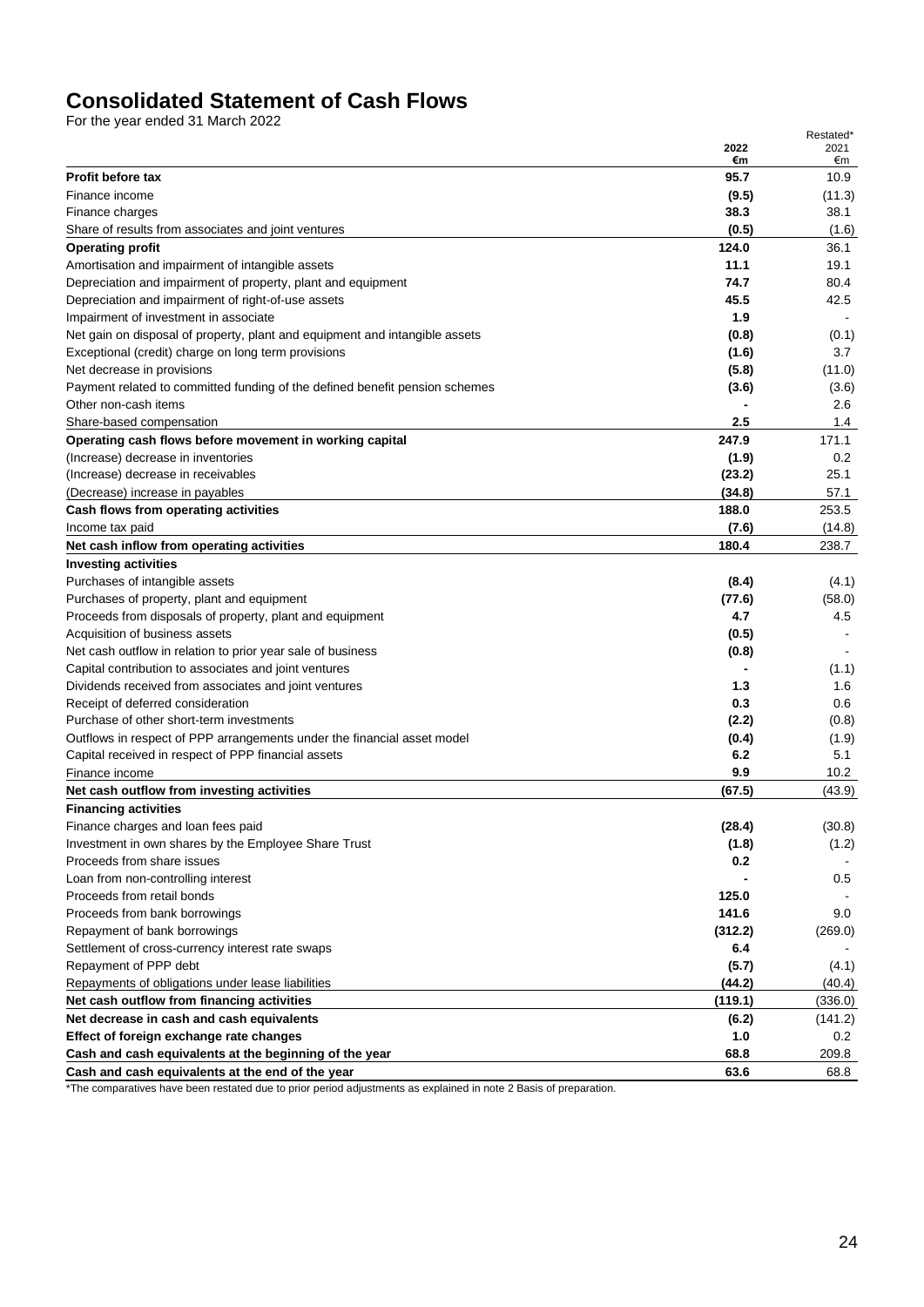# **Consolidated Statement of Cash Flows**

For the year ended 31 March 2022

|                                                                                                                                    | 2022       | 2021         |
|------------------------------------------------------------------------------------------------------------------------------------|------------|--------------|
| <b>Profit before tax</b>                                                                                                           | €m<br>95.7 | €m<br>10.9   |
| Finance income                                                                                                                     | (9.5)      | (11.3)       |
|                                                                                                                                    | 38.3       | 38.1         |
| Finance charges<br>Share of results from associates and joint ventures                                                             | (0.5)      | (1.6)        |
| <b>Operating profit</b>                                                                                                            | 124.0      | 36.1         |
|                                                                                                                                    | 11.1       | 19.1         |
| Amortisation and impairment of intangible assets                                                                                   | 74.7       |              |
| Depreciation and impairment of property, plant and equipment<br>Depreciation and impairment of right-of-use assets                 | 45.5       | 80.4<br>42.5 |
| Impairment of investment in associate                                                                                              | 1.9        |              |
|                                                                                                                                    |            |              |
| Net gain on disposal of property, plant and equipment and intangible assets<br>Exceptional (credit) charge on long term provisions | (0.8)      | (0.1)<br>3.7 |
|                                                                                                                                    | (1.6)      |              |
| Net decrease in provisions                                                                                                         | (5.8)      | (11.0)       |
| Payment related to committed funding of the defined benefit pension schemes<br>Other non-cash items                                | (3.6)      | (3.6)        |
|                                                                                                                                    |            | 2.6          |
| Share-based compensation                                                                                                           | 2.5        | 1.4          |
| Operating cash flows before movement in working capital                                                                            | 247.9      | 171.1        |
| (Increase) decrease in inventories                                                                                                 | (1.9)      | 0.2<br>25.1  |
| (Increase) decrease in receivables                                                                                                 | (23.2)     |              |
| (Decrease) increase in payables                                                                                                    | (34.8)     | 57.1         |
| Cash flows from operating activities                                                                                               | 188.0      | 253.5        |
| Income tax paid                                                                                                                    | (7.6)      | (14.8)       |
| Net cash inflow from operating activities                                                                                          | 180.4      | 238.7        |
| <b>Investing activities</b>                                                                                                        |            |              |
| Purchases of intangible assets                                                                                                     | (8.4)      | (4.1)        |
| Purchases of property, plant and equipment                                                                                         | (77.6)     | (58.0)       |
| Proceeds from disposals of property, plant and equipment                                                                           | 4.7        | 4.5          |
| Acquisition of business assets                                                                                                     | (0.5)      |              |
| Net cash outflow in relation to prior year sale of business                                                                        | (0.8)      |              |
| Capital contribution to associates and joint ventures                                                                              |            | (1.1)        |
| Dividends received from associates and joint ventures                                                                              | 1.3        | 1.6          |
| Receipt of deferred consideration                                                                                                  | 0.3        | 0.6          |
| Purchase of other short-term investments                                                                                           | (2.2)      | (0.8)        |
| Outflows in respect of PPP arrangements under the financial asset model                                                            | (0.4)      | (1.9)        |
| Capital received in respect of PPP financial assets                                                                                | 6.2        | 5.1          |
| Finance income                                                                                                                     | 9.9        | 10.2         |
| Net cash outflow from investing activities                                                                                         | (67.5)     | (43.9)       |
| <b>Financing activities</b>                                                                                                        |            |              |
| Finance charges and loan fees paid                                                                                                 | (28.4)     | (30.8)       |
| Investment in own shares by the Employee Share Trust                                                                               | (1.8)      | (1.2)        |
| Proceeds from share issues                                                                                                         | 0.2        |              |
| Loan from non-controlling interest                                                                                                 |            | 0.5          |
| Proceeds from retail bonds                                                                                                         | 125.0      |              |
| Proceeds from bank borrowings                                                                                                      | 141.6      | 9.0          |
| Repayment of bank borrowings                                                                                                       | (312.2)    | (269.0)      |
| Settlement of cross-currency interest rate swaps                                                                                   | 6.4        |              |
| Repayment of PPP debt                                                                                                              | (5.7)      | (4.1)        |
| Repayments of obligations under lease liabilities                                                                                  | (44.2)     | (40.4)       |
| Net cash outflow from financing activities                                                                                         | (119.1)    | (336.0)      |
| Net decrease in cash and cash equivalents                                                                                          | (6.2)      | (141.2)      |
| Effect of foreign exchange rate changes                                                                                            | 1.0        | 0.2          |
| Cash and cash equivalents at the beginning of the year                                                                             | 68.8       | 209.8        |
| Cash and cash equivalents at the end of the year                                                                                   | 63.6       | 68.8         |

\*The comparatives have been restated due to prior period adjustments as explained in note 2 Basis of preparation.

Restated\*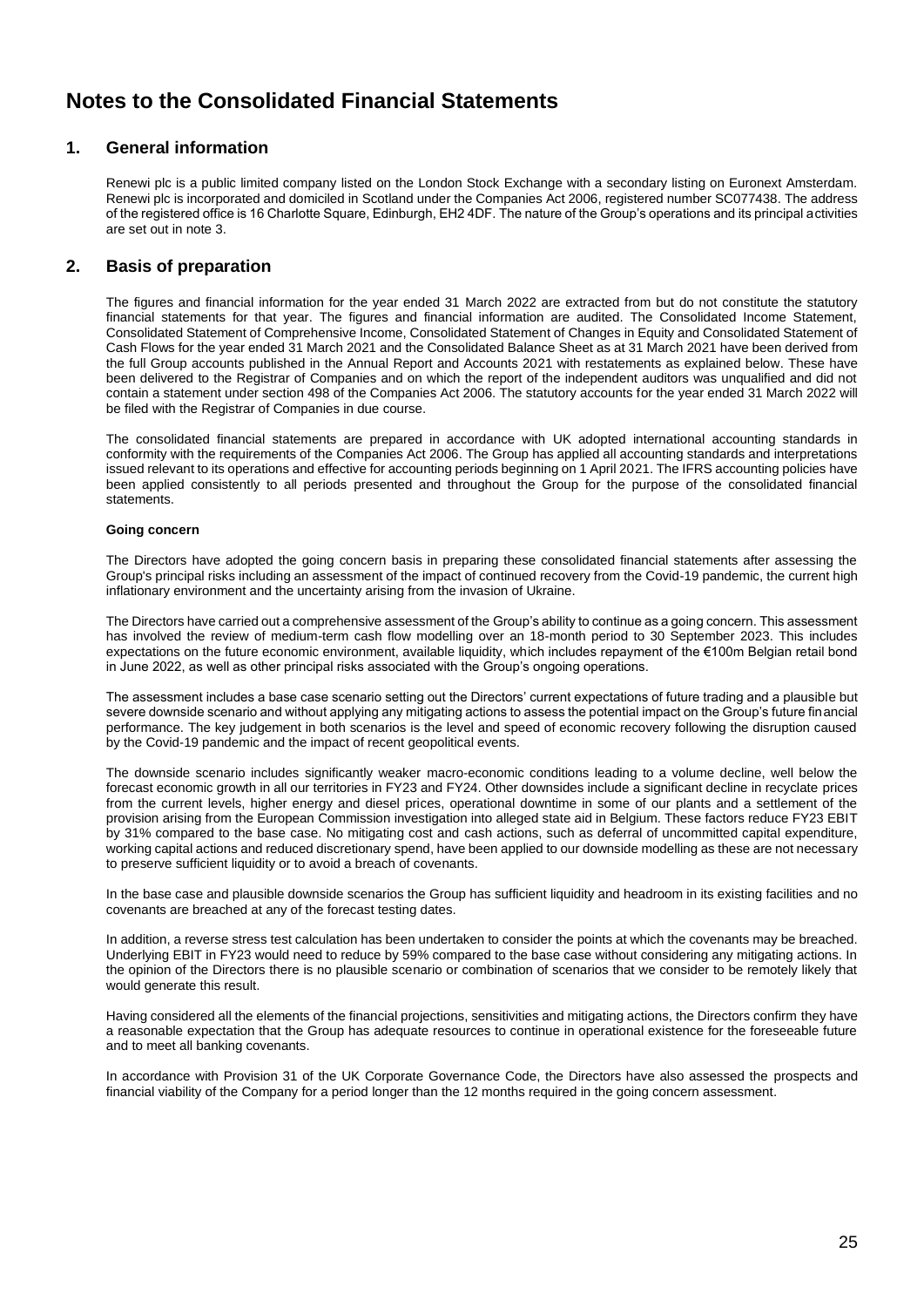# **Notes to the Consolidated Financial Statements**

## **1. General information**

Renewi plc is a public limited company listed on the London Stock Exchange with a secondary listing on Euronext Amsterdam. Renewi plc is incorporated and domiciled in Scotland under the Companies Act 2006, registered number SC077438. The address of the registered office is 16 Charlotte Square, Edinburgh, EH2 4DF. The nature of the Group's operations and its principal activities are set out in note 3.

## **2. Basis of preparation**

The figures and financial information for the year ended 31 March 2022 are extracted from but do not constitute the statutory financial statements for that year. The figures and financial information are audited. The Consolidated Income Statement, Consolidated Statement of Comprehensive Income, Consolidated Statement of Changes in Equity and Consolidated Statement of Cash Flows for the year ended 31 March 2021 and the Consolidated Balance Sheet as at 31 March 2021 have been derived from the full Group accounts published in the Annual Report and Accounts 2021 with restatements as explained below. These have been delivered to the Registrar of Companies and on which the report of the independent auditors was unqualified and did not contain a statement under section 498 of the Companies Act 2006. The statutory accounts for the year ended 31 March 2022 will be filed with the Registrar of Companies in due course.

The consolidated financial statements are prepared in accordance with UK adopted international accounting standards in conformity with the requirements of the Companies Act 2006. The Group has applied all accounting standards and interpretations issued relevant to its operations and effective for accounting periods beginning on 1 April 2021. The IFRS accounting policies have been applied consistently to all periods presented and throughout the Group for the purpose of the consolidated financial statements.

## **Going concern**

The Directors have adopted the going concern basis in preparing these consolidated financial statements after assessing the Group's principal risks including an assessment of the impact of continued recovery from the Covid-19 pandemic, the current high inflationary environment and the uncertainty arising from the invasion of Ukraine.

The Directors have carried out a comprehensive assessment of the Group's ability to continue as a going concern. This assessment has involved the review of medium-term cash flow modelling over an 18-month period to 30 September 2023. This includes expectations on the future economic environment, available liquidity, which includes repayment of the €100m Belgian retail bond in June 2022, as well as other principal risks associated with the Group's ongoing operations.

The assessment includes a base case scenario setting out the Directors' current expectations of future trading and a plausible but severe downside scenario and without applying any mitigating actions to assess the potential impact on the Group's future financial performance. The key judgement in both scenarios is the level and speed of economic recovery following the disruption caused by the Covid-19 pandemic and the impact of recent geopolitical events.

The downside scenario includes significantly weaker macro-economic conditions leading to a volume decline, well below the forecast economic growth in all our territories in FY23 and FY24. Other downsides include a significant decline in recyclate prices from the current levels, higher energy and diesel prices, operational downtime in some of our plants and a settlement of the provision arising from the European Commission investigation into alleged state aid in Belgium. These factors reduce FY23 EBIT by 31% compared to the base case. No mitigating cost and cash actions, such as deferral of uncommitted capital expenditure, working capital actions and reduced discretionary spend, have been applied to our downside modelling as these are not necessary to preserve sufficient liquidity or to avoid a breach of covenants.

In the base case and plausible downside scenarios the Group has sufficient liquidity and headroom in its existing facilities and no covenants are breached at any of the forecast testing dates.

In addition, a reverse stress test calculation has been undertaken to consider the points at which the covenants may be breached. Underlying EBIT in FY23 would need to reduce by 59% compared to the base case without considering any mitigating actions. In the opinion of the Directors there is no plausible scenario or combination of scenarios that we consider to be remotely likely that would generate this result.

Having considered all the elements of the financial projections, sensitivities and mitigating actions, the Directors confirm they have a reasonable expectation that the Group has adequate resources to continue in operational existence for the foreseeable future and to meet all banking covenants.

In accordance with Provision 31 of the UK Corporate Governance Code, the Directors have also assessed the prospects and financial viability of the Company for a period longer than the 12 months required in the going concern assessment.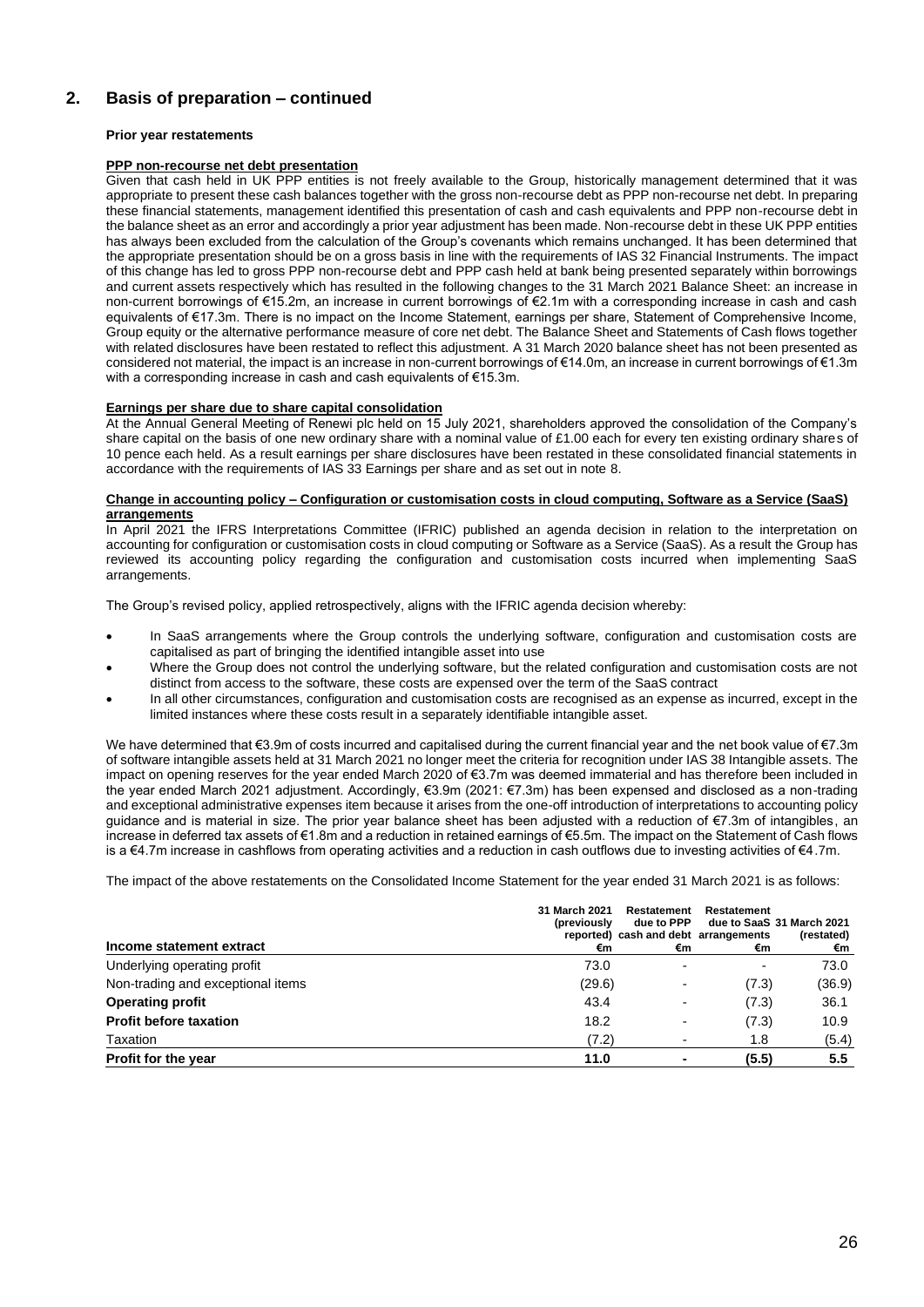## **Prior year restatements**

## **PPP non-recourse net debt presentation**

Given that cash held in UK PPP entities is not freely available to the Group, historically management determined that it was appropriate to present these cash balances together with the gross non-recourse debt as PPP non-recourse net debt. In preparing these financial statements, management identified this presentation of cash and cash equivalents and PPP non-recourse debt in the balance sheet as an error and accordingly a prior year adjustment has been made. Non-recourse debt in these UK PPP entities has always been excluded from the calculation of the Group's covenants which remains unchanged. It has been determined that the appropriate presentation should be on a gross basis in line with the requirements of IAS 32 Financial Instruments. The impact of this change has led to gross PPP non-recourse debt and PPP cash held at bank being presented separately within borrowings and current assets respectively which has resulted in the following changes to the 31 March 2021 Balance Sheet: an increase in non-current borrowings of €15.2m, an increase in current borrowings of €2.1m with a corresponding increase in cash and cash equivalents of €17.3m. There is no impact on the Income Statement, earnings per share, Statement of Comprehensive Income, Group equity or the alternative performance measure of core net debt. The Balance Sheet and Statements of Cash flows together with related disclosures have been restated to reflect this adjustment. A 31 March 2020 balance sheet has not been presented as considered not material, the impact is an increase in non-current borrowings of €14.0m, an increase in current borrowings of €1.3m with a corresponding increase in cash and cash equivalents of €15.3m.

## **Earnings per share due to share capital consolidation**

At the Annual General Meeting of Renewi plc held on 15 July 2021, shareholders approved the consolidation of the Company's share capital on the basis of one new ordinary share with a nominal value of £1.00 each for every ten existing ordinary shares of 10 pence each held. As a result earnings per share disclosures have been restated in these consolidated financial statements in accordance with the requirements of IAS 33 Earnings per share and as set out in note 8.

#### **Change in accounting policy – Configuration or customisation costs in cloud computing, Software as a Service (SaaS) arrangements**

In April 2021 the IFRS Interpretations Committee (IFRIC) published an agenda decision in relation to the interpretation on accounting for configuration or customisation costs in cloud computing or Software as a Service (SaaS). As a result the Group has reviewed its accounting policy regarding the configuration and customisation costs incurred when implementing SaaS arrangements.

The Group's revised policy, applied retrospectively, aligns with the IFRIC agenda decision whereby:

- In SaaS arrangements where the Group controls the underlying software, configuration and customisation costs are capitalised as part of bringing the identified intangible asset into use
- Where the Group does not control the underlying software, but the related configuration and customisation costs are not distinct from access to the software, these costs are expensed over the term of the SaaS contract
- In all other circumstances, configuration and customisation costs are recognised as an expense as incurred, except in the limited instances where these costs result in a separately identifiable intangible asset.

We have determined that €3.9m of costs incurred and capitalised during the current financial year and the net book value of €7.3m of software intangible assets held at 31 March 2021 no longer meet the criteria for recognition under IAS 38 Intangible assets. The impact on opening reserves for the year ended March 2020 of €3.7m was deemed immaterial and has therefore been included in the year ended March 2021 adjustment. Accordingly, €3.9m (2021: €7.3m) has been expensed and disclosed as a non-trading and exceptional administrative expenses item because it arises from the one-off introduction of interpretations to accounting policy guidance and is material in size. The prior year balance sheet has been adjusted with a reduction of €7.3m of intangibles, an increase in deferred tax assets of €1.8m and a reduction in retained earnings of €5.5m. The impact on the Statement of Cash flows is a €4.7m increase in cashflows from operating activities and a reduction in cash outflows due to investing activities of €4.7m.

The impact of the above restatements on the Consolidated Income Statement for the year ended 31 March 2021 is as follows:

| Income statement extract          | 31 March 2021<br>(previously<br>€m | Restatement<br>due to PPP<br>reported) cash and debt arrangements<br>€m | Restatement<br>€m        | due to SaaS 31 March 2021<br>(restated)<br>€m |
|-----------------------------------|------------------------------------|-------------------------------------------------------------------------|--------------------------|-----------------------------------------------|
| Underlying operating profit       | 73.0                               |                                                                         | $\overline{\phantom{0}}$ | 73.0                                          |
| Non-trading and exceptional items | (29.6)                             |                                                                         | (7.3)                    | (36.9)                                        |
| <b>Operating profit</b>           | 43.4                               |                                                                         | (7.3)                    | 36.1                                          |
| <b>Profit before taxation</b>     | 18.2                               |                                                                         | (7.3)                    | 10.9                                          |
| Taxation                          | (7.2)                              |                                                                         | 1.8                      | (5.4)                                         |
| Profit for the year               | 11.0                               |                                                                         | (5.5)                    | 5.5                                           |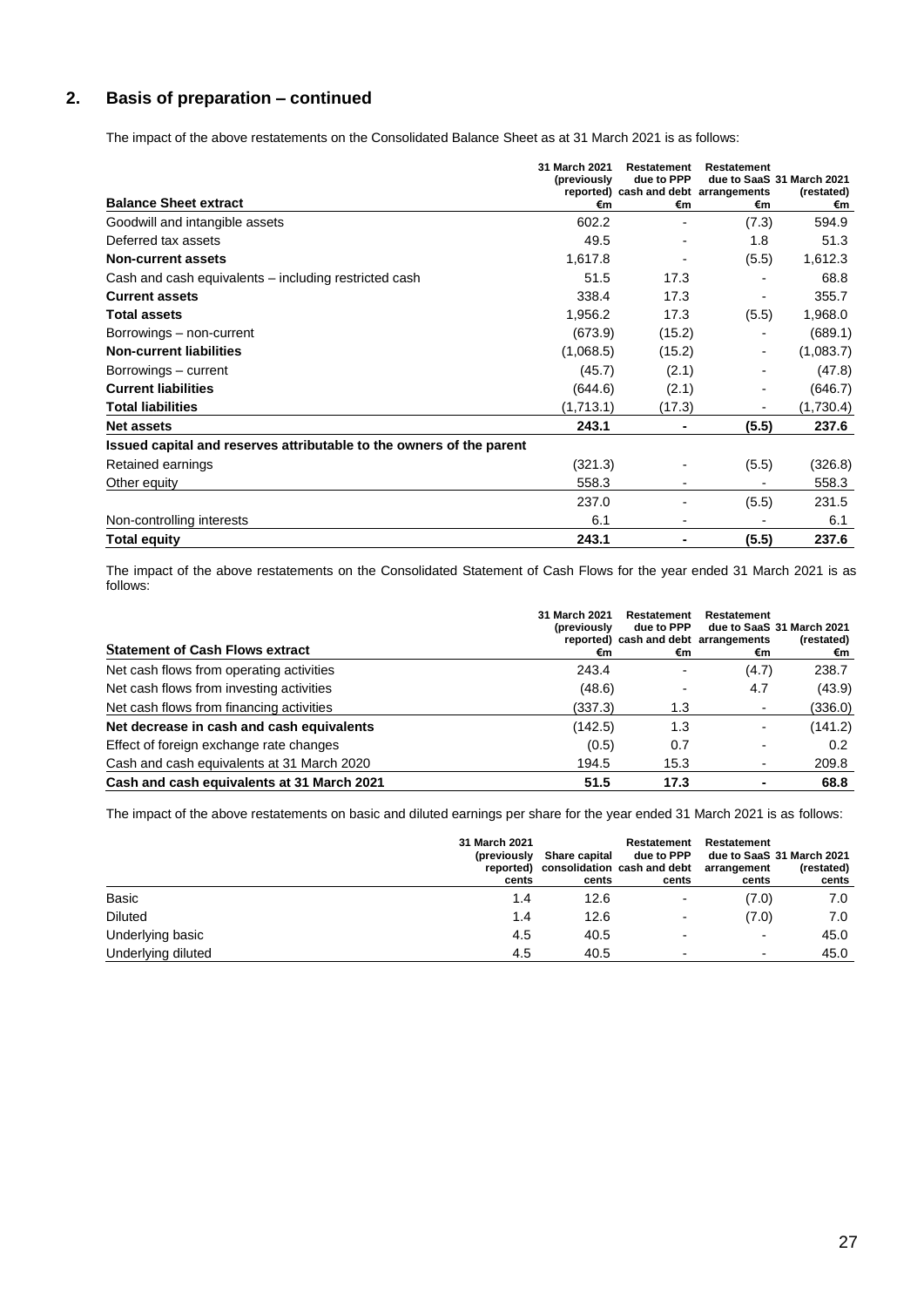The impact of the above restatements on the Consolidated Balance Sheet as at 31 March 2021 is as follows:

|                                                                      | 31 March 2021<br>(previously | Restatement<br>due to PPP                  | Restatement | due to SaaS 31 March 2021 |
|----------------------------------------------------------------------|------------------------------|--------------------------------------------|-------------|---------------------------|
| <b>Balance Sheet extract</b>                                         | €m                           | reported) cash and debt arrangements<br>€m | €m          | (restated)<br>€m          |
| Goodwill and intangible assets                                       | 602.2                        |                                            | (7.3)       | 594.9                     |
| Deferred tax assets                                                  | 49.5                         |                                            | 1.8         | 51.3                      |
| <b>Non-current assets</b>                                            | 1,617.8                      |                                            | (5.5)       | 1,612.3                   |
| Cash and cash equivalents – including restricted cash                | 51.5                         | 17.3                                       |             | 68.8                      |
| <b>Current assets</b>                                                | 338.4                        | 17.3                                       |             | 355.7                     |
| <b>Total assets</b>                                                  | 1,956.2                      | 17.3                                       | (5.5)       | 1,968.0                   |
| Borrowings - non-current                                             | (673.9)                      | (15.2)                                     |             | (689.1)                   |
| <b>Non-current liabilities</b>                                       | (1,068.5)                    | (15.2)                                     |             | (1,083.7)                 |
| Borrowings – current                                                 | (45.7)                       | (2.1)                                      |             | (47.8)                    |
| <b>Current liabilities</b>                                           | (644.6)                      | (2.1)                                      |             | (646.7)                   |
| <b>Total liabilities</b>                                             | (1,713.1)                    | (17.3)                                     |             | (1,730.4)                 |
| <b>Net assets</b>                                                    | 243.1                        |                                            | (5.5)       | 237.6                     |
| Issued capital and reserves attributable to the owners of the parent |                              |                                            |             |                           |
| Retained earnings                                                    | (321.3)                      |                                            | (5.5)       | (326.8)                   |
| Other equity                                                         | 558.3                        |                                            |             | 558.3                     |
|                                                                      | 237.0                        |                                            | (5.5)       | 231.5                     |
| Non-controlling interests                                            | 6.1                          |                                            |             | 6.1                       |
| Total equity                                                         | 243.1                        |                                            | (5.5)       | 237.6                     |

The impact of the above restatements on the Consolidated Statement of Cash Flows for the year ended 31 March 2021 is as follows:

| <b>Statement of Cash Flows extract</b>     | 31 March 2021<br><i>(previously)</i><br>€m | Restatement<br>due to PPP<br>reported) cash and debt arrangements<br>€m | Restatement<br>€m | due to SaaS 31 March 2021<br>(restated)<br>€m |
|--------------------------------------------|--------------------------------------------|-------------------------------------------------------------------------|-------------------|-----------------------------------------------|
| Net cash flows from operating activities   | 243.4                                      |                                                                         | (4.7)             | 238.7                                         |
| Net cash flows from investing activities   | (48.6)                                     |                                                                         | 4.7               | (43.9)                                        |
| Net cash flows from financing activities   | (337.3)                                    | 1.3                                                                     |                   | (336.0)                                       |
| Net decrease in cash and cash equivalents  | (142.5)                                    | 1.3                                                                     |                   | (141.2)                                       |
| Effect of foreign exchange rate changes    | (0.5)                                      | 0.7                                                                     |                   | $0.2^{\circ}$                                 |
| Cash and cash equivalents at 31 March 2020 | 194.5                                      | 15.3                                                                    |                   | 209.8                                         |
| Cash and cash equivalents at 31 March 2021 | 51.5                                       | 17.3                                                                    |                   | 68.8                                          |

The impact of the above restatements on basic and diluted earnings per share for the year ended 31 March 2021 is as follows:

|                    | 31 March 2021<br><i>(previously)</i><br>cents | Share capital<br>cents | Restatement<br>due to PPP<br>reported) consolidation cash and debt<br>cents | Restatement<br>arrangement<br>cents | due to SaaS 31 March 2021<br>(restated)<br>cents |
|--------------------|-----------------------------------------------|------------------------|-----------------------------------------------------------------------------|-------------------------------------|--------------------------------------------------|
| Basic              | 1.4                                           | 12.6                   | ٠                                                                           | (7.0)                               | 7.0                                              |
| <b>Diluted</b>     | 1.4                                           | 12.6                   | ٠                                                                           | (7.0)                               | 7.0                                              |
| Underlying basic   | 4.5                                           | 40.5                   |                                                                             | ۰                                   | 45.0                                             |
| Underlying diluted | 4.5                                           | 40.5                   | $\overline{\phantom{0}}$                                                    | $\overline{\phantom{a}}$            | 45.0                                             |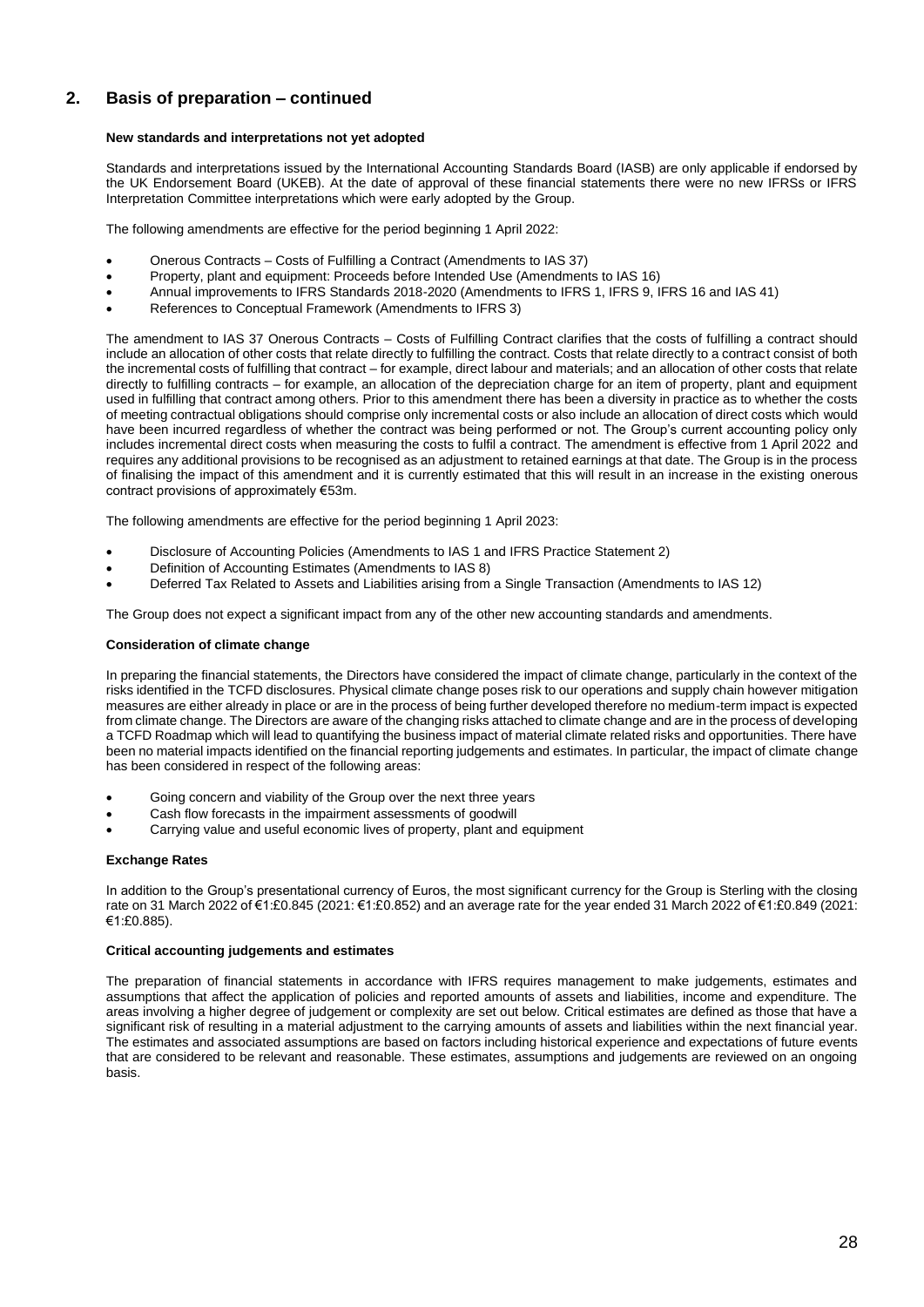## **New standards and interpretations not yet adopted**

Standards and interpretations issued by the International Accounting Standards Board (IASB) are only applicable if endorsed by the UK Endorsement Board (UKEB). At the date of approval of these financial statements there were no new IFRSs or IFRS Interpretation Committee interpretations which were early adopted by the Group.

The following amendments are effective for the period beginning 1 April 2022:

- Onerous Contracts Costs of Fulfilling a Contract (Amendments to IAS 37)
- Property, plant and equipment: Proceeds before Intended Use (Amendments to IAS 16)
- Annual improvements to IFRS Standards 2018-2020 (Amendments to IFRS 1, IFRS 9, IFRS 16 and IAS 41)
- References to Conceptual Framework (Amendments to IFRS 3)

The amendment to IAS 37 Onerous Contracts – Costs of Fulfilling Contract clarifies that the costs of fulfilling a contract should include an allocation of other costs that relate directly to fulfilling the contract. Costs that relate directly to a contract consist of both the incremental costs of fulfilling that contract – for example, direct labour and materials; and an allocation of other costs that relate directly to fulfilling contracts – for example, an allocation of the depreciation charge for an item of property, plant and equipment used in fulfilling that contract among others. Prior to this amendment there has been a diversity in practice as to whether the costs of meeting contractual obligations should comprise only incremental costs or also include an allocation of direct costs which would have been incurred regardless of whether the contract was being performed or not. The Group's current accounting policy only includes incremental direct costs when measuring the costs to fulfil a contract. The amendment is effective from 1 April 2022 and requires any additional provisions to be recognised as an adjustment to retained earnings at that date. The Group is in the process of finalising the impact of this amendment and it is currently estimated that this will result in an increase in the existing onerous contract provisions of approximately €53m.

The following amendments are effective for the period beginning 1 April 2023:

- Disclosure of Accounting Policies (Amendments to IAS 1 and IFRS Practice Statement 2)
- Definition of Accounting Estimates (Amendments to IAS 8)
- Deferred Tax Related to Assets and Liabilities arising from a Single Transaction (Amendments to IAS 12)

The Group does not expect a significant impact from any of the other new accounting standards and amendments.

## **Consideration of climate change**

In preparing the financial statements, the Directors have considered the impact of climate change, particularly in the context of the risks identified in the TCFD disclosures. Physical climate change poses risk to our operations and supply chain however mitigation measures are either already in place or are in the process of being further developed therefore no medium-term impact is expected from climate change. The Directors are aware of the changing risks attached to climate change and are in the process of developing a TCFD Roadmap which will lead to quantifying the business impact of material climate related risks and opportunities. There have been no material impacts identified on the financial reporting judgements and estimates. In particular, the impact of climate change has been considered in respect of the following areas:

- Going concern and viability of the Group over the next three years
- Cash flow forecasts in the impairment assessments of goodwill
- Carrying value and useful economic lives of property, plant and equipment

#### **Exchange Rates**

In addition to the Group's presentational currency of Euros, the most significant currency for the Group is Sterling with the closing rate on 31 March 2022 of €1:£0.845 (2021: €1:£0.852) and an average rate for the year ended 31 March 2022 of €1:£0.849 (2021: €1:£0.885).

## **Critical accounting judgements and estimates**

The preparation of financial statements in accordance with IFRS requires management to make judgements, estimates and assumptions that affect the application of policies and reported amounts of assets and liabilities, income and expenditure. The areas involving a higher degree of judgement or complexity are set out below. Critical estimates are defined as those that have a significant risk of resulting in a material adjustment to the carrying amounts of assets and liabilities within the next financial year. The estimates and associated assumptions are based on factors including historical experience and expectations of future events that are considered to be relevant and reasonable. These estimates, assumptions and judgements are reviewed on an ongoing basis.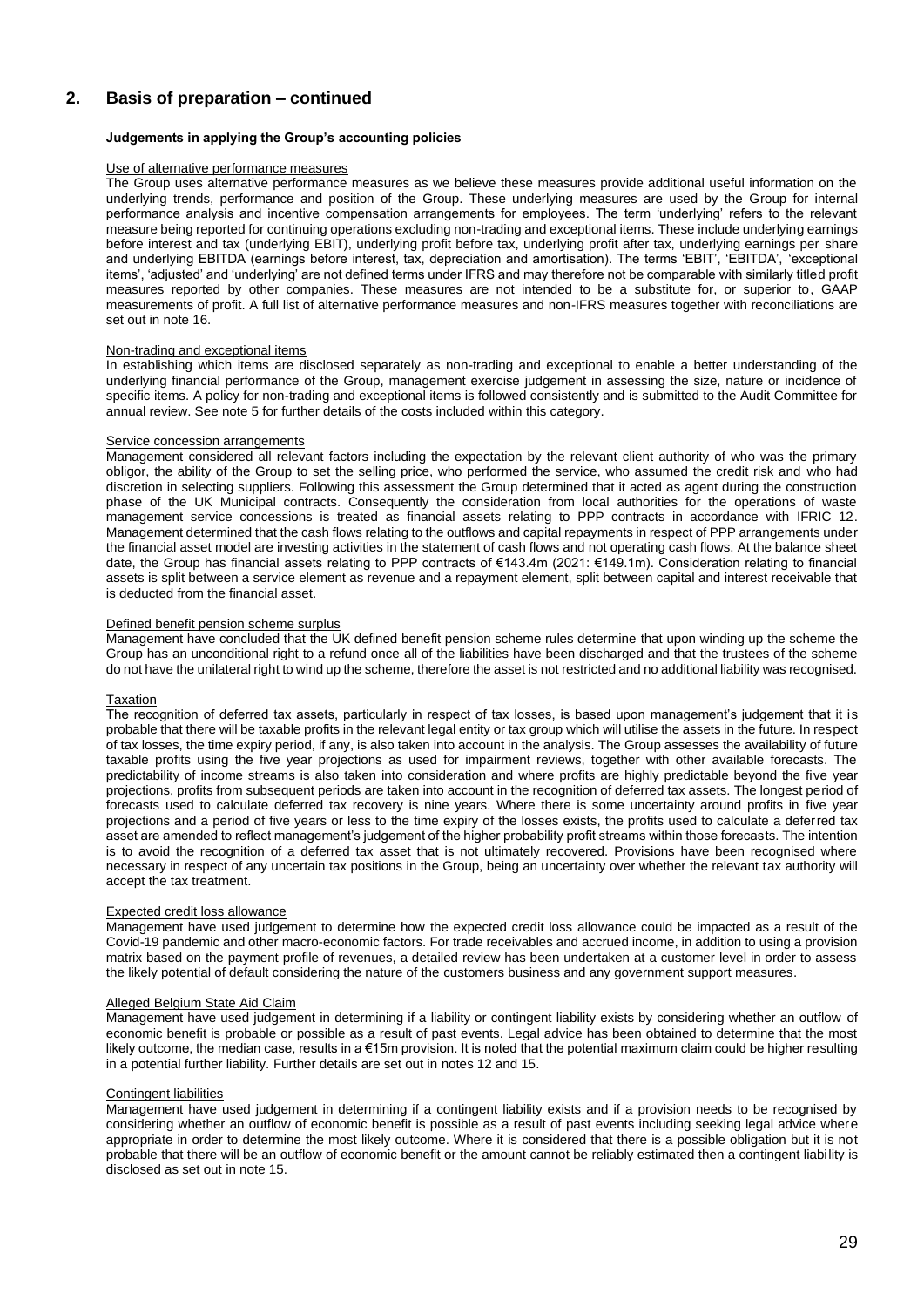## **Judgements in applying the Group's accounting policies**

#### Use of alternative performance measures

The Group uses alternative performance measures as we believe these measures provide additional useful information on the underlying trends, performance and position of the Group. These underlying measures are used by the Group for internal performance analysis and incentive compensation arrangements for employees. The term 'underlying' refers to the relevant measure being reported for continuing operations excluding non-trading and exceptional items. These include underlying earnings before interest and tax (underlying EBIT), underlying profit before tax, underlying profit after tax, underlying earnings per share and underlying EBITDA (earnings before interest, tax, depreciation and amortisation). The terms 'EBIT', 'EBITDA', 'exceptional items', 'adjusted' and 'underlying' are not defined terms under IFRS and may therefore not be comparable with similarly titled profit measures reported by other companies. These measures are not intended to be a substitute for, or superior to, GAAP measurements of profit. A full list of alternative performance measures and non-IFRS measures together with reconciliations are set out in note 16.

#### Non-trading and exceptional items

In establishing which items are disclosed separately as non-trading and exceptional to enable a better understanding of the underlying financial performance of the Group, management exercise judgement in assessing the size, nature or incidence of specific items. A policy for non-trading and exceptional items is followed consistently and is submitted to the Audit Committee for annual review. See note 5 for further details of the costs included within this category.

#### Service concession arrangements

Management considered all relevant factors including the expectation by the relevant client authority of who was the primary obligor, the ability of the Group to set the selling price, who performed the service, who assumed the credit risk and who had discretion in selecting suppliers. Following this assessment the Group determined that it acted as agent during the construction phase of the UK Municipal contracts. Consequently the consideration from local authorities for the operations of waste management service concessions is treated as financial assets relating to PPP contracts in accordance with IFRIC 12. Management determined that the cash flows relating to the outflows and capital repayments in respect of PPP arrangements under the financial asset model are investing activities in the statement of cash flows and not operating cash flows. At the balance sheet date, the Group has financial assets relating to PPP contracts of €143.4m (2021: €149.1m). Consideration relating to financial assets is split between a service element as revenue and a repayment element, split between capital and interest receivable that is deducted from the financial asset.

#### Defined benefit pension scheme surplus

Management have concluded that the UK defined benefit pension scheme rules determine that upon winding up the scheme the Group has an unconditional right to a refund once all of the liabilities have been discharged and that the trustees of the scheme do not have the unilateral right to wind up the scheme, therefore the asset is not restricted and no additional liability was recognised.

#### **Taxation**

The recognition of deferred tax assets, particularly in respect of tax losses, is based upon management's judgement that it is probable that there will be taxable profits in the relevant legal entity or tax group which will utilise the assets in the future. In respect of tax losses, the time expiry period, if any, is also taken into account in the analysis. The Group assesses the availability of future taxable profits using the five year projections as used for impairment reviews, together with other available forecasts. The predictability of income streams is also taken into consideration and where profits are highly predictable beyond the five year projections, profits from subsequent periods are taken into account in the recognition of deferred tax assets. The longest period of forecasts used to calculate deferred tax recovery is nine years. Where there is some uncertainty around profits in five year projections and a period of five years or less to the time expiry of the losses exists, the profits used to calculate a deferred tax asset are amended to reflect management's judgement of the higher probability profit streams within those forecasts. The intention is to avoid the recognition of a deferred tax asset that is not ultimately recovered. Provisions have been recognised where necessary in respect of any uncertain tax positions in the Group, being an uncertainty over whether the relevant tax authority will accept the tax treatment.

#### Expected credit loss allowance

Management have used judgement to determine how the expected credit loss allowance could be impacted as a result of the Covid-19 pandemic and other macro-economic factors. For trade receivables and accrued income, in addition to using a provision matrix based on the payment profile of revenues, a detailed review has been undertaken at a customer level in order to assess the likely potential of default considering the nature of the customers business and any government support measures.

#### Alleged Belgium State Aid Claim

Management have used judgement in determining if a liability or contingent liability exists by considering whether an outflow of economic benefit is probable or possible as a result of past events. Legal advice has been obtained to determine that the most likely outcome, the median case, results in a €15m provision. It is noted that the potential maximum claim could be higher resulting in a potential further liability. Further details are set out in notes 12 and 15.

## Contingent liabilities

Management have used judgement in determining if a contingent liability exists and if a provision needs to be recognised by considering whether an outflow of economic benefit is possible as a result of past events including seeking legal advice where appropriate in order to determine the most likely outcome. Where it is considered that there is a possible obligation but it is not probable that there will be an outflow of economic benefit or the amount cannot be reliably estimated then a contingent liability is disclosed as set out in note 15.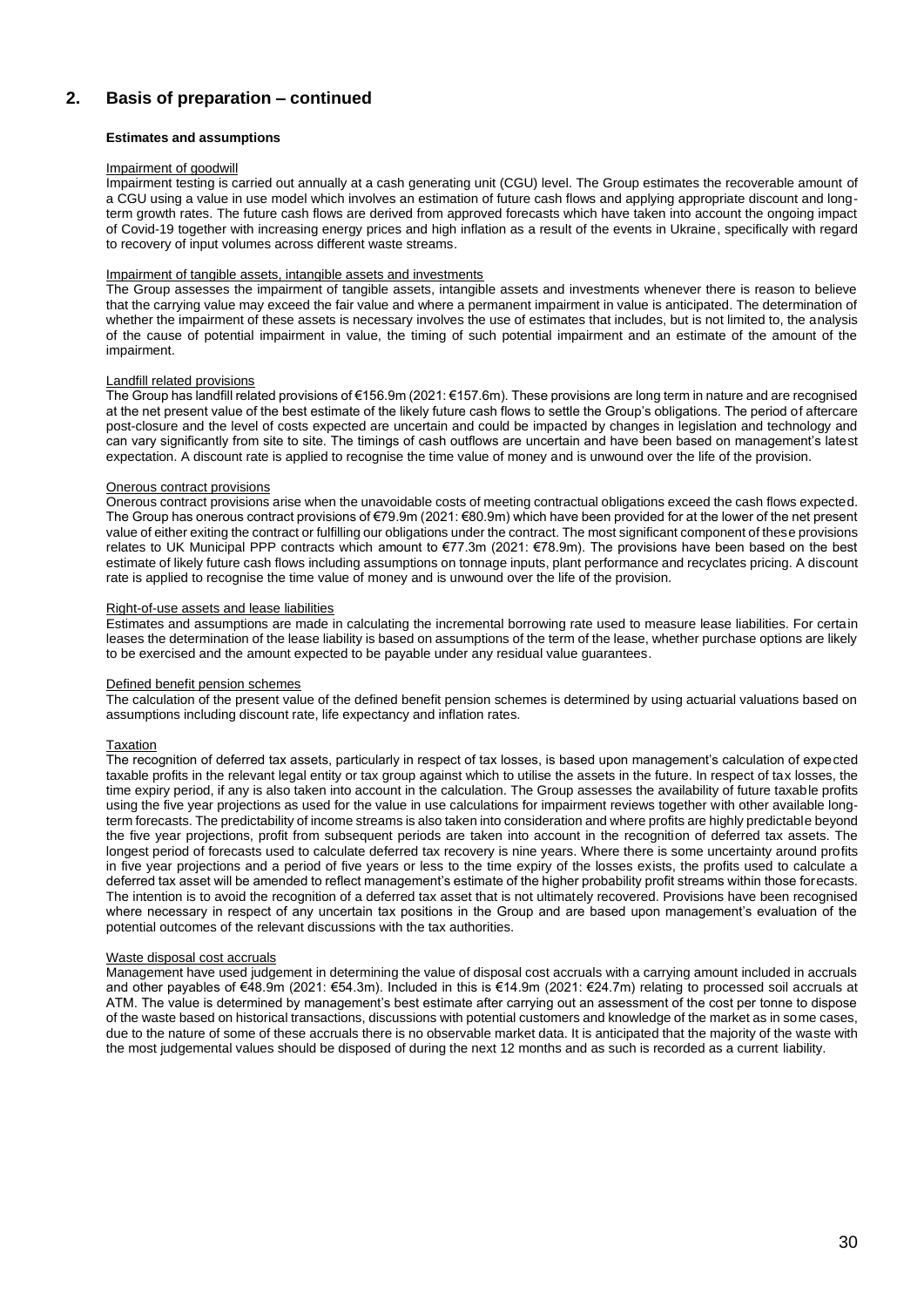## **Estimates and assumptions**

#### Impairment of goodwill

Impairment testing is carried out annually at a cash generating unit (CGU) level. The Group estimates the recoverable amount of a CGU using a value in use model which involves an estimation of future cash flows and applying appropriate discount and longterm growth rates. The future cash flows are derived from approved forecasts which have taken into account the ongoing impact of Covid-19 together with increasing energy prices and high inflation as a result of the events in Ukraine, specifically with regard to recovery of input volumes across different waste streams.

## Impairment of tangible assets, intangible assets and investments

The Group assesses the impairment of tangible assets, intangible assets and investments whenever there is reason to believe that the carrying value may exceed the fair value and where a permanent impairment in value is anticipated. The determination of whether the impairment of these assets is necessary involves the use of estimates that includes, but is not limited to, the analysis of the cause of potential impairment in value, the timing of such potential impairment and an estimate of the amount of the impairment.

## Landfill related provisions

The Group has landfill related provisions of €156.9m (2021: €157.6m). These provisions are long term in nature and are recognised at the net present value of the best estimate of the likely future cash flows to settle the Group's obligations. The period of aftercare post-closure and the level of costs expected are uncertain and could be impacted by changes in legislation and technology and can vary significantly from site to site. The timings of cash outflows are uncertain and have been based on management's latest expectation. A discount rate is applied to recognise the time value of money and is unwound over the life of the provision.

#### Onerous contract provisions

Onerous contract provisions arise when the unavoidable costs of meeting contractual obligations exceed the cash flows expected. The Group has onerous contract provisions of €79.9m (2021: €80.9m) which have been provided for at the lower of the net present value of either exiting the contract or fulfilling our obligations under the contract. The most significant component of these provisions relates to UK Municipal PPP contracts which amount to €77.3m (2021: €78.9m). The provisions have been based on the best estimate of likely future cash flows including assumptions on tonnage inputs, plant performance and recyclates pricing. A discount rate is applied to recognise the time value of money and is unwound over the life of the provision.

#### Right-of-use assets and lease liabilities

Estimates and assumptions are made in calculating the incremental borrowing rate used to measure lease liabilities. For certain leases the determination of the lease liability is based on assumptions of the term of the lease, whether purchase options are likely to be exercised and the amount expected to be payable under any residual value guarantees.

#### Defined benefit pension schemes

The calculation of the present value of the defined benefit pension schemes is determined by using actuarial valuations based on assumptions including discount rate, life expectancy and inflation rates.

#### Taxation

The recognition of deferred tax assets, particularly in respect of tax losses, is based upon management's calculation of expected taxable profits in the relevant legal entity or tax group against which to utilise the assets in the future. In respect of tax losses, the time expiry period, if any is also taken into account in the calculation. The Group assesses the availability of future taxable profits using the five year projections as used for the value in use calculations for impairment reviews together with other available longterm forecasts. The predictability of income streams is also taken into consideration and where profits are highly predictable beyond the five year projections, profit from subsequent periods are taken into account in the recognition of deferred tax assets. The longest period of forecasts used to calculate deferred tax recovery is nine years. Where there is some uncertainty around profits in five year projections and a period of five years or less to the time expiry of the losses exists, the profits used to calculate a deferred tax asset will be amended to reflect management's estimate of the higher probability profit streams within those forecasts. The intention is to avoid the recognition of a deferred tax asset that is not ultimately recovered. Provisions have been recognised where necessary in respect of any uncertain tax positions in the Group and are based upon management's evaluation of the potential outcomes of the relevant discussions with the tax authorities.

#### Waste disposal cost accruals

Management have used judgement in determining the value of disposal cost accruals with a carrying amount included in accruals and other payables of €48.9m (2021: €54.3m). Included in this is €14.9m (2021: €24.7m) relating to processed soil accruals at ATM. The value is determined by management's best estimate after carrying out an assessment of the cost per tonne to dispose of the waste based on historical transactions, discussions with potential customers and knowledge of the market as in some cases, due to the nature of some of these accruals there is no observable market data. It is anticipated that the majority of the waste with the most judgemental values should be disposed of during the next 12 months and as such is recorded as a current liability.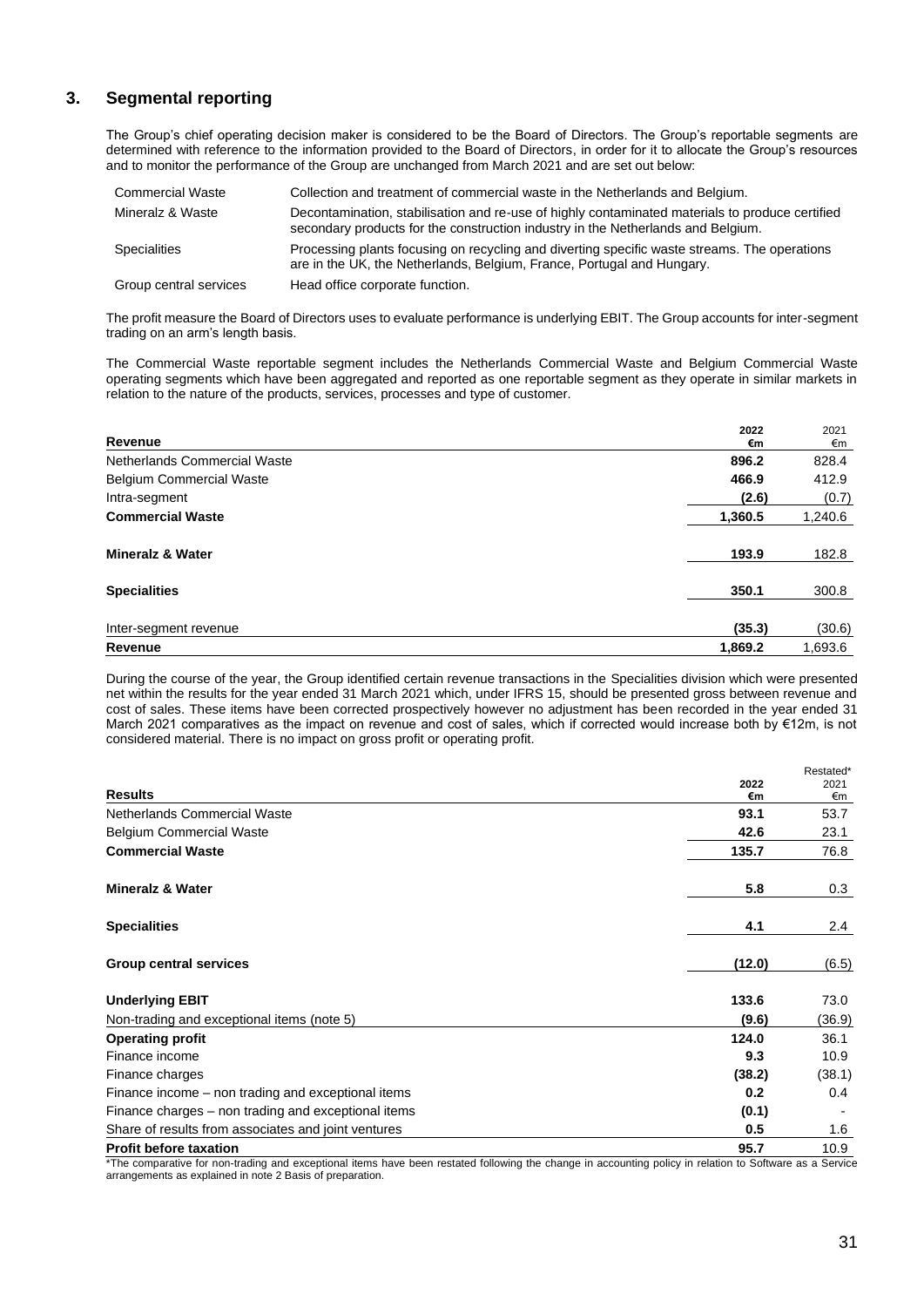## **3. Segmental reporting**

The Group's chief operating decision maker is considered to be the Board of Directors. The Group's reportable segments are determined with reference to the information provided to the Board of Directors, in order for it to allocate the Group's resources and to monitor the performance of the Group are unchanged from March 2021 and are set out below:

| <b>Commercial Waste</b> | Collection and treatment of commercial waste in the Netherlands and Belgium.                                                                                                        |
|-------------------------|-------------------------------------------------------------------------------------------------------------------------------------------------------------------------------------|
| Mineralz & Waste        | Decontamination, stabilisation and re-use of highly contaminated materials to produce certified<br>secondary products for the construction industry in the Netherlands and Belgium. |
| Specialities            | Processing plants focusing on recycling and diverting specific waste streams. The operations<br>are in the UK, the Netherlands, Belgium, France, Portugal and Hungary.              |
| Group central services  | Head office corporate function.                                                                                                                                                     |

The profit measure the Board of Directors uses to evaluate performance is underlying EBIT. The Group accounts for inter-segment trading on an arm's length basis.

The Commercial Waste reportable segment includes the Netherlands Commercial Waste and Belgium Commercial Waste operating segments which have been aggregated and reported as one reportable segment as they operate in similar markets in relation to the nature of the products, services, processes and type of customer.

| Revenue                         | 2022<br>€m | 2021<br>€m |
|---------------------------------|------------|------------|
| Netherlands Commercial Waste    | 896.2      | 828.4      |
| <b>Belgium Commercial Waste</b> | 466.9      | 412.9      |
| Intra-segment                   | (2.6)      | (0.7)      |
| <b>Commercial Waste</b>         | 1,360.5    | 1,240.6    |
| <b>Mineralz &amp; Water</b>     | 193.9      | 182.8      |
| <b>Specialities</b>             | 350.1      | 300.8      |
| Inter-segment revenue           | (35.3)     | (30.6)     |
| Revenue                         | 1,869.2    | 1,693.6    |

During the course of the year, the Group identified certain revenue transactions in the Specialities division which were presented net within the results for the year ended 31 March 2021 which, under IFRS 15, should be presented gross between revenue and cost of sales. These items have been corrected prospectively however no adjustment has been recorded in the year ended 31 March 2021 comparatives as the impact on revenue and cost of sales, which if corrected would increase both by €12m, is not considered material. There is no impact on gross profit or operating profit.

|                                                     |        | Restated* |
|-----------------------------------------------------|--------|-----------|
|                                                     | 2022   | 2021      |
| <b>Results</b>                                      | €m     | €m        |
| Netherlands Commercial Waste                        | 93.1   | 53.7      |
| <b>Belgium Commercial Waste</b>                     | 42.6   | 23.1      |
| <b>Commercial Waste</b>                             | 135.7  | 76.8      |
| <b>Mineralz &amp; Water</b>                         | 5.8    | 0.3       |
| <b>Specialities</b>                                 | 4.1    | $2.4\,$   |
| <b>Group central services</b>                       | (12.0) | (6.5)     |
| <b>Underlying EBIT</b>                              | 133.6  | 73.0      |
| Non-trading and exceptional items (note 5)          | (9.6)  | (36.9)    |
| <b>Operating profit</b>                             | 124.0  | 36.1      |
| Finance income                                      | 9.3    | 10.9      |
| Finance charges                                     | (38.2) | (38.1)    |
| Finance income – non trading and exceptional items  | 0.2    | 0.4       |
| Finance charges – non trading and exceptional items | (0.1)  |           |
| Share of results from associates and joint ventures | 0.5    | 1.6       |
| <b>Profit before taxation</b>                       | 95.7   | 10.9      |

\*The comparative for non-trading and exceptional items have been restated following the change in accounting policy in relation to Software as a Service arrangements as explained in note 2 Basis of preparation.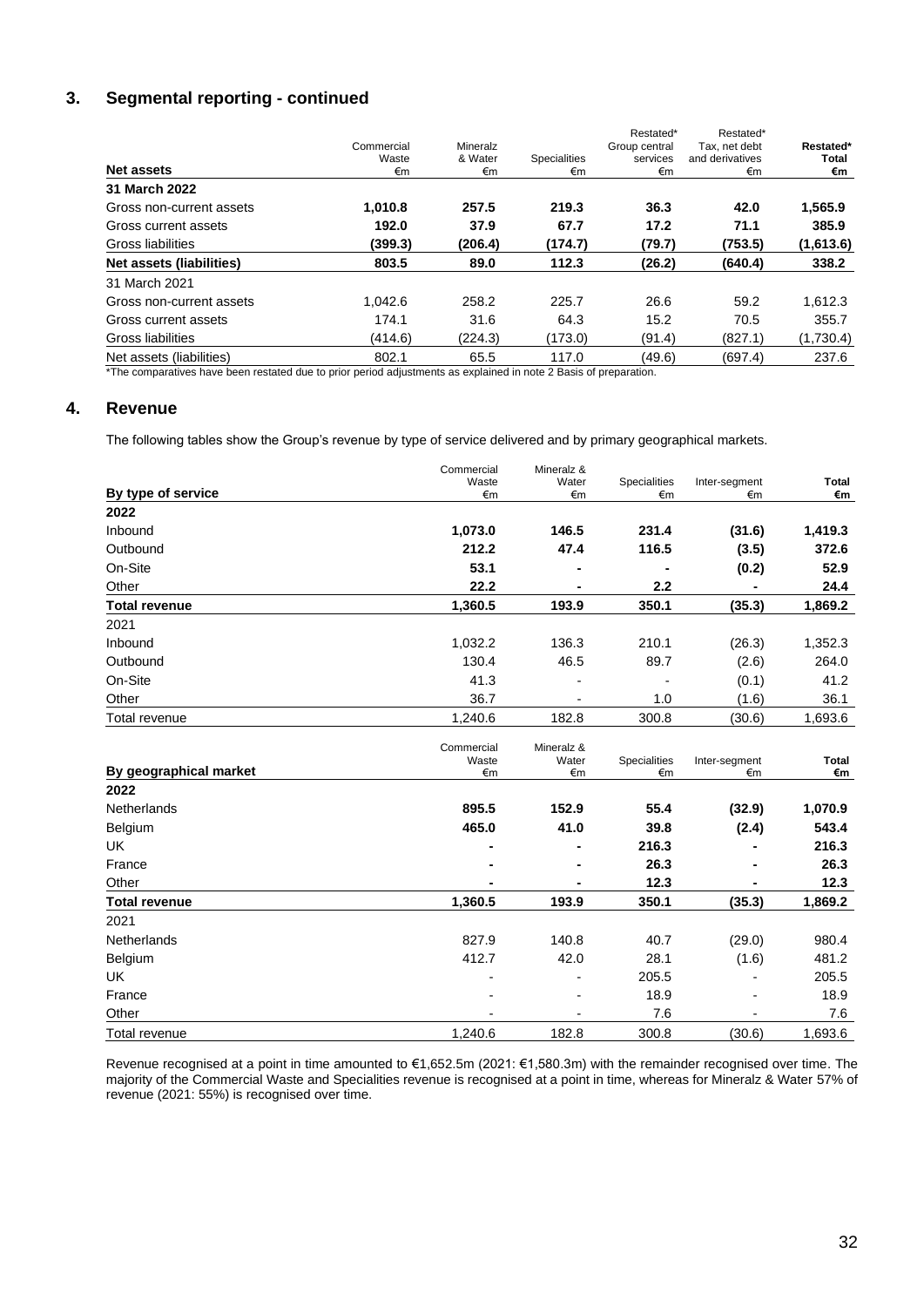# **3. Segmental reporting - continued**

| Net assets               | Commercial<br>Waste<br>€m | Mineralz<br>& Water<br>€m | <b>Specialities</b><br>€m | Restated*<br>Group central<br>services<br>€m | Restated*<br>Tax, net debt<br>and derivatives<br>€m | Restated*<br>Total<br>€m |
|--------------------------|---------------------------|---------------------------|---------------------------|----------------------------------------------|-----------------------------------------------------|--------------------------|
| 31 March 2022            |                           |                           |                           |                                              |                                                     |                          |
| Gross non-current assets | 1,010.8                   | 257.5                     | 219.3                     | 36.3                                         | 42.0                                                | 1,565.9                  |
| Gross current assets     | 192.0                     | 37.9                      | 67.7                      | 17.2                                         | 71.1                                                | 385.9                    |
| Gross liabilities        | (399.3)                   | (206.4)                   | (174.7)                   | (79.7)                                       | (753.5)                                             | (1,613.6)                |
| Net assets (liabilities) | 803.5                     | 89.0                      | 112.3                     | (26.2)                                       | (640.4)                                             | 338.2                    |
| 31 March 2021            |                           |                           |                           |                                              |                                                     |                          |
| Gross non-current assets | 1.042.6                   | 258.2                     | 225.7                     | 26.6                                         | 59.2                                                | 1,612.3                  |
| Gross current assets     | 174.1                     | 31.6                      | 64.3                      | 15.2                                         | 70.5                                                | 355.7                    |
| Gross liabilities        | (414.6)                   | (224.3)                   | (173.0)                   | (91.4)                                       | (827.1)                                             | (1,730.4)                |
| Net assets (liabilities) | 802.1                     | 65.5                      | 117.0                     | (49.6)                                       | (697.4)                                             | 237.6                    |

\*The comparatives have been restated due to prior period adjustments as explained in note 2 Basis of preparation.

## **4. Revenue**

The following tables show the Group's revenue by type of service delivered and by primary geographical markets.

|                        | Commercial<br>Waste       | Mineralz &<br>Water       | Specialities                        | Inter-segment       | <b>Total</b>       |
|------------------------|---------------------------|---------------------------|-------------------------------------|---------------------|--------------------|
| By type of service     | €m                        | €m                        | €m                                  | €m                  | €m                 |
| 2022                   |                           |                           |                                     |                     |                    |
| Inbound                | 1,073.0                   | 146.5                     | 231.4                               | (31.6)              | 1,419.3            |
| Outbound               | 212.2                     | 47.4                      | 116.5                               | (3.5)               | 372.6              |
| On-Site                | 53.1                      |                           |                                     | (0.2)               | 52.9               |
| Other                  | 22.2                      |                           | 2.2                                 |                     | 24.4               |
| <b>Total revenue</b>   | 1,360.5                   | 193.9                     | 350.1                               | (35.3)              | 1,869.2            |
| 2021                   |                           |                           |                                     |                     |                    |
| Inbound                | 1,032.2                   | 136.3                     | 210.1                               | (26.3)              | 1,352.3            |
| Outbound               | 130.4                     | 46.5                      | 89.7                                | (2.6)               | 264.0              |
| On-Site                | 41.3                      |                           |                                     | (0.1)               | 41.2               |
| Other                  | 36.7                      |                           | 1.0                                 | (1.6)               | 36.1               |
| Total revenue          | 1,240.6                   | 182.8                     | 300.8                               | (30.6)              | 1,693.6            |
| By geographical market | Commercial<br>Waste<br>€m | Mineralz &<br>Water<br>€m | <b>Specialities</b><br>$\epsilon$ m | Inter-segment<br>€m | <b>Total</b><br>€m |
| 2022                   |                           |                           |                                     |                     |                    |
| Netherlands            | 895.5                     | 152.9                     | 55.4                                | (32.9)              | 1,070.9            |
| Belgium                | 465.0                     | 41.0                      | 39.8                                | (2.4)               | 543.4              |
| <b>UK</b>              |                           |                           | 216.3                               |                     | 216.3              |
| France                 |                           |                           | 26.3                                |                     | 26.3               |
| Other                  |                           |                           | 12.3                                | ۰                   | 12.3               |
| <b>Total revenue</b>   | 1,360.5                   | 193.9                     | 350.1                               | (35.3)              | 1,869.2            |
| 2021                   |                           |                           |                                     |                     |                    |
| Netherlands            | 827.9                     | 140.8                     | 40.7                                | (29.0)              | 980.4              |
| Belgium                | 412.7                     | 42.0                      | 28.1                                | (1.6)               | 481.2              |
| <b>UK</b>              |                           |                           | 205.5                               |                     | 205.5              |
| France                 |                           |                           | 18.9                                |                     | 18.9               |
| Other                  |                           |                           | 7.6                                 |                     | 7.6                |
| Total revenue          | 1,240.6                   | 182.8                     | 300.8                               | (30.6)              | 1,693.6            |

Revenue recognised at a point in time amounted to €1,652.5m (2021: €1,580.3m) with the remainder recognised over time. The majority of the Commercial Waste and Specialities revenue is recognised at a point in time, whereas for Mineralz & Water 57% of revenue (2021: 55%) is recognised over time.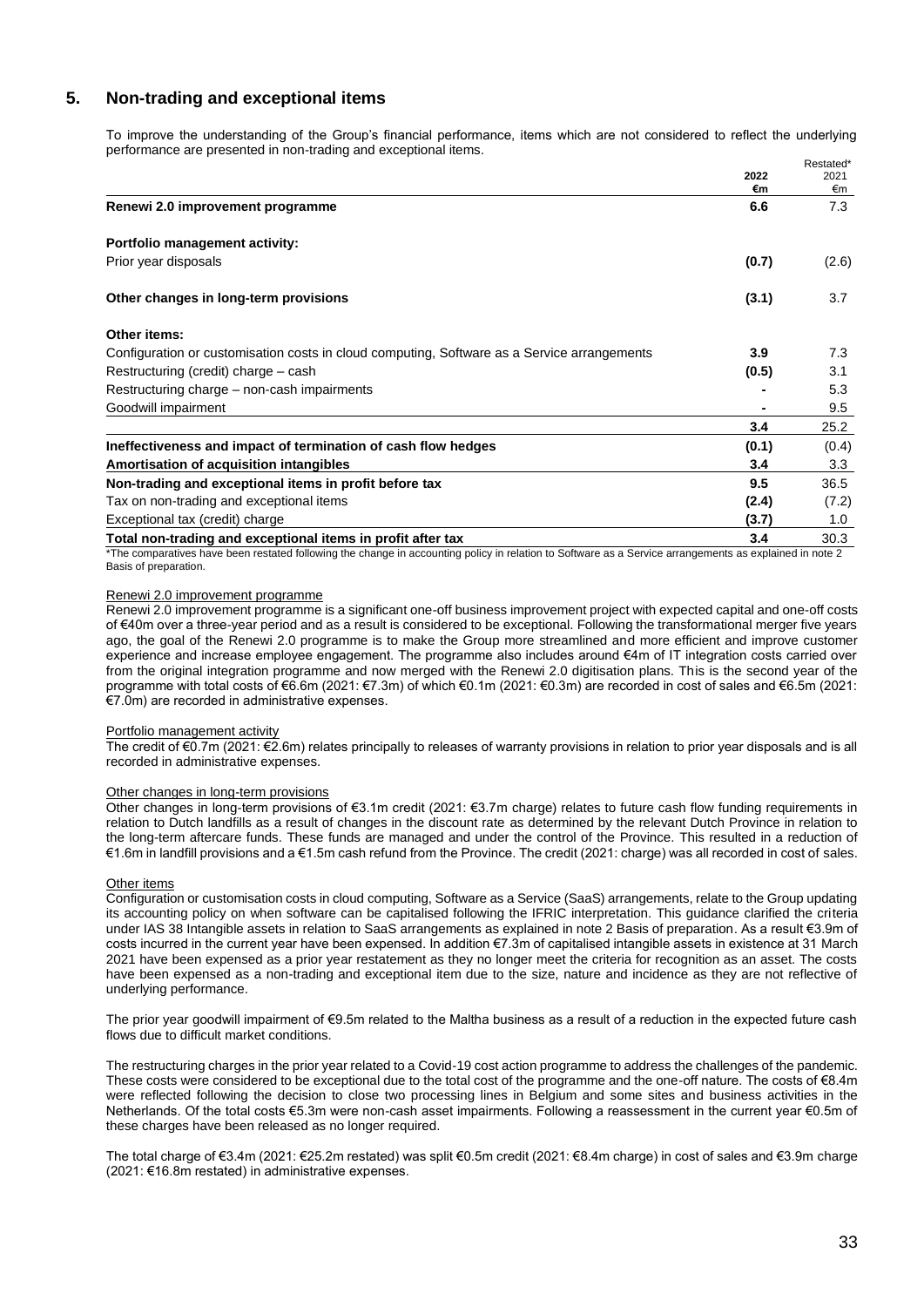## **5. Non-trading and exceptional items**

To improve the understanding of the Group's financial performance, items which are not considered to reflect the underlying performance are presented in non-trading and exceptional items. Restated\*

|                                                                                             |           | nesialeu  |
|---------------------------------------------------------------------------------------------|-----------|-----------|
|                                                                                             | 2022      | 2021      |
|                                                                                             | €m<br>6.6 | €m<br>7.3 |
| Renewi 2.0 improvement programme                                                            |           |           |
| Portfolio management activity:                                                              |           |           |
| Prior year disposals                                                                        | (0.7)     | (2.6)     |
| Other changes in long-term provisions                                                       | (3.1)     | 3.7       |
| Other items:                                                                                |           |           |
| Configuration or customisation costs in cloud computing, Software as a Service arrangements | 3.9       | 7.3       |
| Restructuring (credit) charge – cash                                                        | (0.5)     | 3.1       |
| Restructuring charge – non-cash impairments                                                 |           | 5.3       |
| Goodwill impairment                                                                         |           | 9.5       |
|                                                                                             | 3.4       | 25.2      |
| Ineffectiveness and impact of termination of cash flow hedges                               | (0.1)     | (0.4)     |
| Amortisation of acquisition intangibles                                                     | 3.4       | 3.3       |
| Non-trading and exceptional items in profit before tax                                      | 9.5       | 36.5      |
| Tax on non-trading and exceptional items                                                    | (2.4)     | (7.2)     |
| Exceptional tax (credit) charge                                                             | (3.7)     | 1.0       |
| Total non-trading and exceptional items in profit after tax                                 | 3.4       | 30.3      |

\*The comparatives have been restated following the change in accounting policy in relation to Software as a Service arrangements as explained in note 2 Basis of preparation.

## Renewi 2.0 improvement programme

Renewi 2.0 improvement programme is a significant one-off business improvement project with expected capital and one-off costs of €40m over a three-year period and as a result is considered to be exceptional. Following the transformational merger five years ago, the goal of the Renewi 2.0 programme is to make the Group more streamlined and more efficient and improve customer experience and increase employee engagement. The programme also includes around €4m of IT integration costs carried over from the original integration programme and now merged with the Renewi 2.0 digitisation plans. This is the second year of the programme with total costs of €6.6m (2021: €7.3m) of which €0.1m (2021: €0.3m) are recorded in cost of sales and €6.5m (2021: €7.0m) are recorded in administrative expenses.

#### Portfolio management activity

The credit of €0.7m (2021: €2.6m) relates principally to releases of warranty provisions in relation to prior year disposals and is all recorded in administrative expenses.

#### Other changes in long-term provisions

Other changes in long-term provisions of €3.1m credit (2021: €3.7m charge) relates to future cash flow funding requirements in relation to Dutch landfills as a result of changes in the discount rate as determined by the relevant Dutch Province in relation to the long-term aftercare funds. These funds are managed and under the control of the Province. This resulted in a reduction of €1.6m in landfill provisions and a €1.5m cash refund from the Province. The credit (2021: charge) was all recorded in cost of sales.

## Other items

Configuration or customisation costs in cloud computing, Software as a Service (SaaS) arrangements, relate to the Group updating its accounting policy on when software can be capitalised following the IFRIC interpretation. This guidance clarified the criteria under IAS 38 Intangible assets in relation to SaaS arrangements as explained in note 2 Basis of preparation. As a result €3.9m of costs incurred in the current year have been expensed. In addition €7.3m of capitalised intangible assets in existence at 31 March 2021 have been expensed as a prior year restatement as they no longer meet the criteria for recognition as an asset. The costs have been expensed as a non-trading and exceptional item due to the size, nature and incidence as they are not reflective of underlying performance.

The prior year goodwill impairment of €9.5m related to the Maltha business as a result of a reduction in the expected future cash flows due to difficult market conditions.

The restructuring charges in the prior year related to a Covid-19 cost action programme to address the challenges of the pandemic. These costs were considered to be exceptional due to the total cost of the programme and the one-off nature. The costs of €8.4m were reflected following the decision to close two processing lines in Belgium and some sites and business activities in the Netherlands. Of the total costs €5.3m were non-cash asset impairments. Following a reassessment in the current year €0.5m of these charges have been released as no longer required.

The total charge of €3.4m (2021: €25.2m restated) was split €0.5m credit (2021: €8.4m charge) in cost of sales and €3.9m charge (2021: €16.8m restated) in administrative expenses.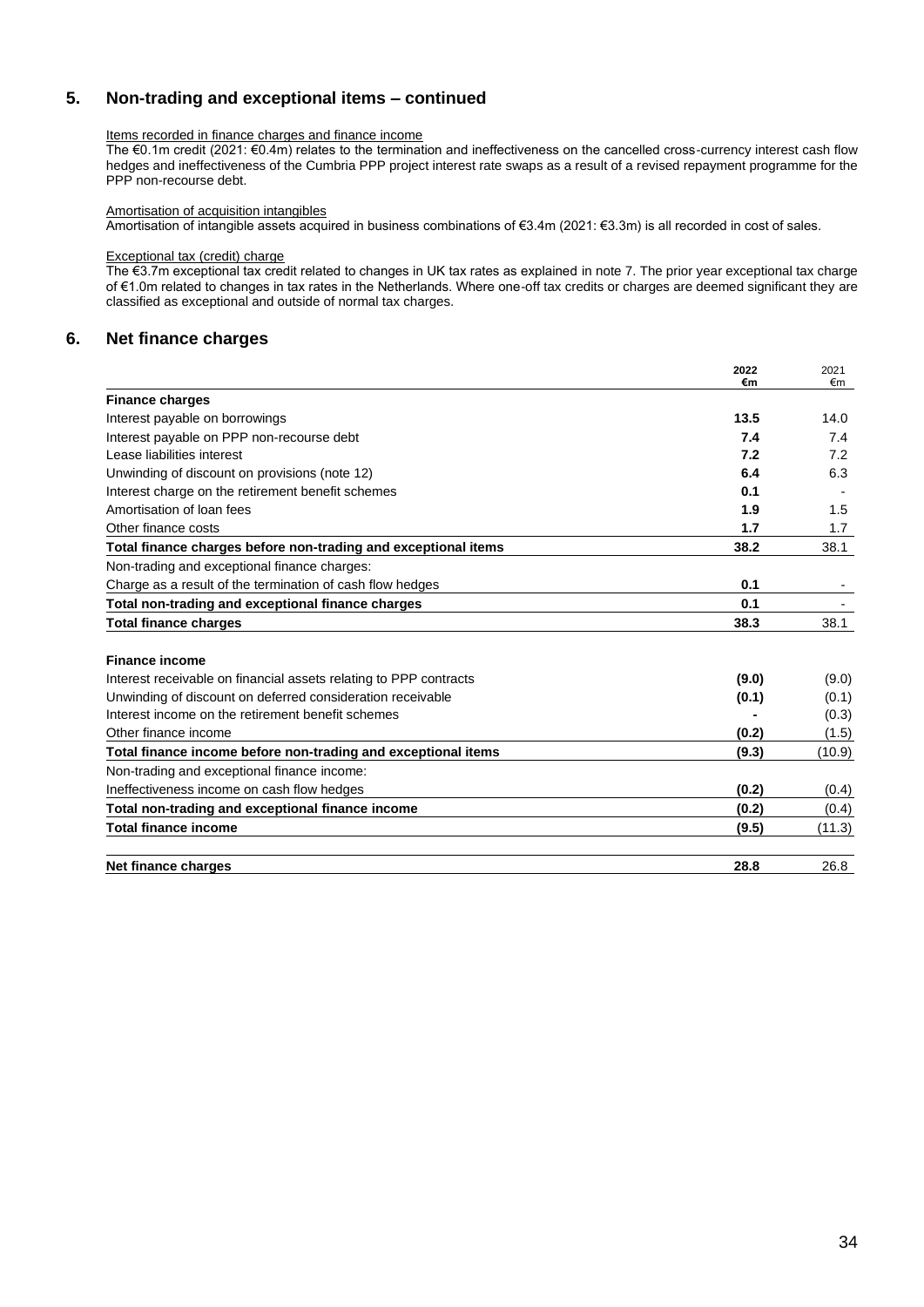## **5. Non-trading and exceptional items – continued**

## Items recorded in finance charges and finance income

The €0.1m credit (2021: €0.4m) relates to the termination and ineffectiveness on the cancelled cross-currency interest cash flow hedges and ineffectiveness of the Cumbria PPP project interest rate swaps as a result of a revised repayment programme for the PPP non-recourse debt.

## Amortisation of acquisition intangibles

Amortisation of intangible assets acquired in business combinations of €3.4m (2021: €3.3m) is all recorded in cost of sales.

## Exceptional tax (credit) charge

The €3.7m exceptional tax credit related to changes in UK tax rates as explained in note 7. The prior year exceptional tax charge of €1.0m related to changes in tax rates in the Netherlands. Where one-off tax credits or charges are deemed significant they are classified as exceptional and outside of normal tax charges.

## **6. Net finance charges**

|                                                                   | 2022<br>€m | 2021<br>€m |
|-------------------------------------------------------------------|------------|------------|
| <b>Finance charges</b>                                            |            |            |
| Interest payable on borrowings                                    | 13.5       | 14.0       |
| Interest payable on PPP non-recourse debt                         | 7.4        | 7.4        |
| Lease liabilities interest                                        | 7.2        | 7.2        |
| Unwinding of discount on provisions (note 12)                     | 6.4        | 6.3        |
| Interest charge on the retirement benefit schemes                 | 0.1        |            |
| Amortisation of loan fees                                         | 1.9        | 1.5        |
| Other finance costs                                               | 1.7        | 1.7        |
| Total finance charges before non-trading and exceptional items    | 38.2       | 38.1       |
| Non-trading and exceptional finance charges:                      |            |            |
| Charge as a result of the termination of cash flow hedges         | 0.1        |            |
| Total non-trading and exceptional finance charges                 | 0.1        |            |
| <b>Total finance charges</b>                                      | 38.3       | 38.1       |
| <b>Finance income</b>                                             |            |            |
| Interest receivable on financial assets relating to PPP contracts | (9.0)      | (9.0)      |
| Unwinding of discount on deferred consideration receivable        | (0.1)      | (0.1)      |
| Interest income on the retirement benefit schemes                 |            | (0.3)      |
| Other finance income                                              | (0.2)      | (1.5)      |
| Total finance income before non-trading and exceptional items     | (9.3)      | (10.9)     |
| Non-trading and exceptional finance income:                       |            |            |
| Ineffectiveness income on cash flow hedges                        | (0.2)      | (0.4)      |
| Total non-trading and exceptional finance income                  | (0.2)      | (0.4)      |
| <b>Total finance income</b>                                       | (9.5)      | (11.3)     |
| Net finance charges                                               | 28.8       | 26.8       |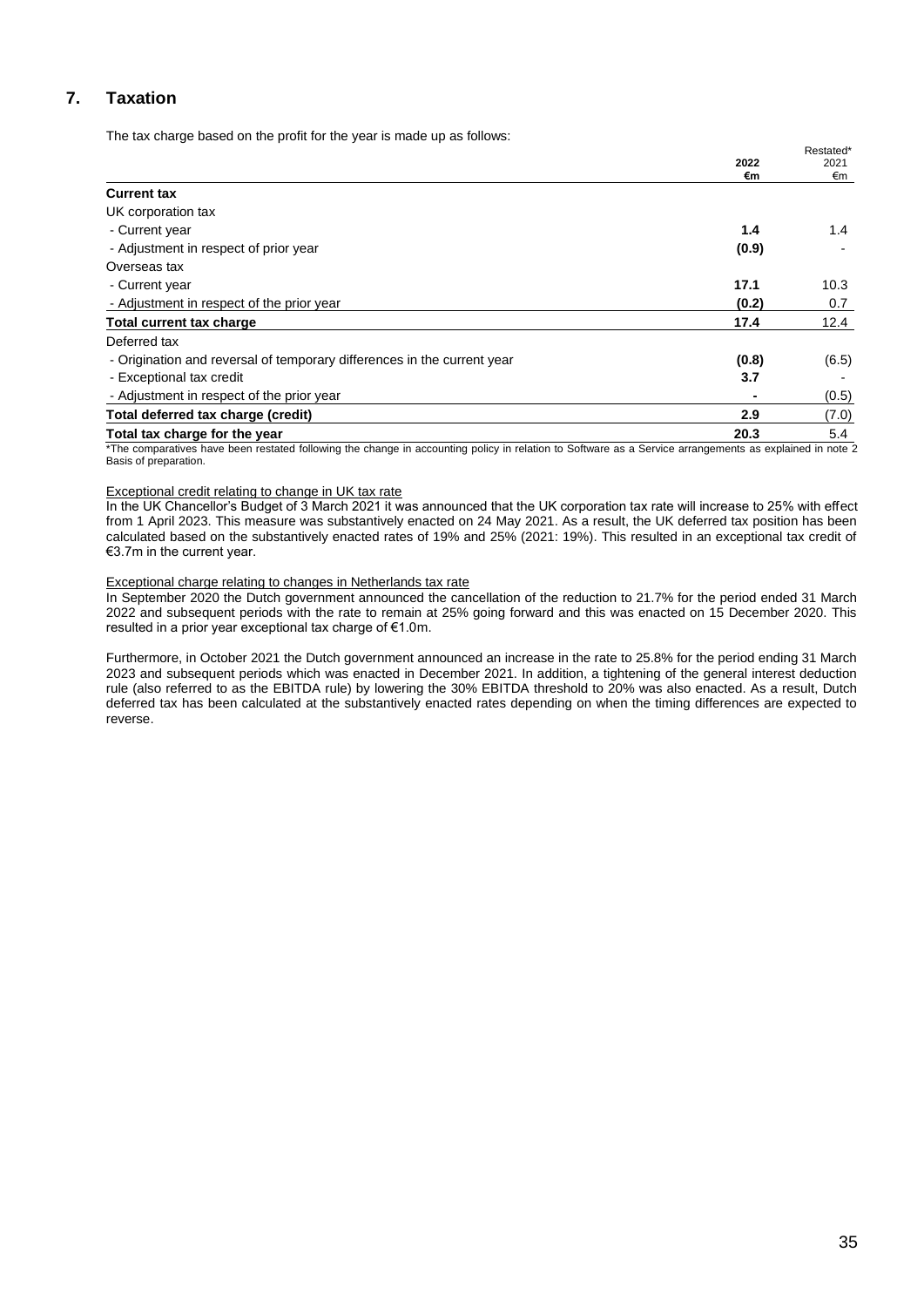# **7. Taxation**

The tax charge based on the profit for the year is made up as follows:

|                                                                         | 2022  | Restated*<br>2021 |
|-------------------------------------------------------------------------|-------|-------------------|
|                                                                         | €m    | €m                |
| <b>Current tax</b>                                                      |       |                   |
| UK corporation tax                                                      |       |                   |
| - Current year                                                          | 1.4   | $1.4^{\circ}$     |
| - Adjustment in respect of prior year                                   | (0.9) |                   |
| Overseas tax                                                            |       |                   |
| - Current year                                                          | 17.1  | 10.3              |
| - Adjustment in respect of the prior year                               | (0.2) | 0.7               |
| <b>Total current tax charge</b>                                         | 17.4  | 12.4              |
| Deferred tax                                                            |       |                   |
| - Origination and reversal of temporary differences in the current year | (0.8) | (6.5)             |
| - Exceptional tax credit                                                | 3.7   |                   |
| - Adjustment in respect of the prior year                               |       | (0.5)             |
| Total deferred tax charge (credit)                                      | 2.9   | (7.0)             |
| Total tax charge for the year                                           | 20.3  | 5.4               |

\*The comparatives have been restated following the change in accounting policy in relation to Software as a Service arrangements as explained in note 2 Basis of preparation.

#### Exceptional credit relating to change in UK tax rate

In the UK Chancellor's Budget of 3 March 2021 it was announced that the UK corporation tax rate will increase to 25% with effect from 1 April 2023. This measure was substantively enacted on 24 May 2021. As a result, the UK deferred tax position has been calculated based on the substantively enacted rates of 19% and 25% (2021: 19%). This resulted in an exceptional tax credit of €3.7m in the current year.

## Exceptional charge relating to changes in Netherlands tax rate

In September 2020 the Dutch government announced the cancellation of the reduction to 21.7% for the period ended 31 March 2022 and subsequent periods with the rate to remain at 25% going forward and this was enacted on 15 December 2020. This resulted in a prior year exceptional tax charge of €1.0m.

Furthermore, in October 2021 the Dutch government announced an increase in the rate to 25.8% for the period ending 31 March 2023 and subsequent periods which was enacted in December 2021. In addition, a tightening of the general interest deduction rule (also referred to as the EBITDA rule) by lowering the 30% EBITDA threshold to 20% was also enacted. As a result, Dutch deferred tax has been calculated at the substantively enacted rates depending on when the timing differences are expected to reverse.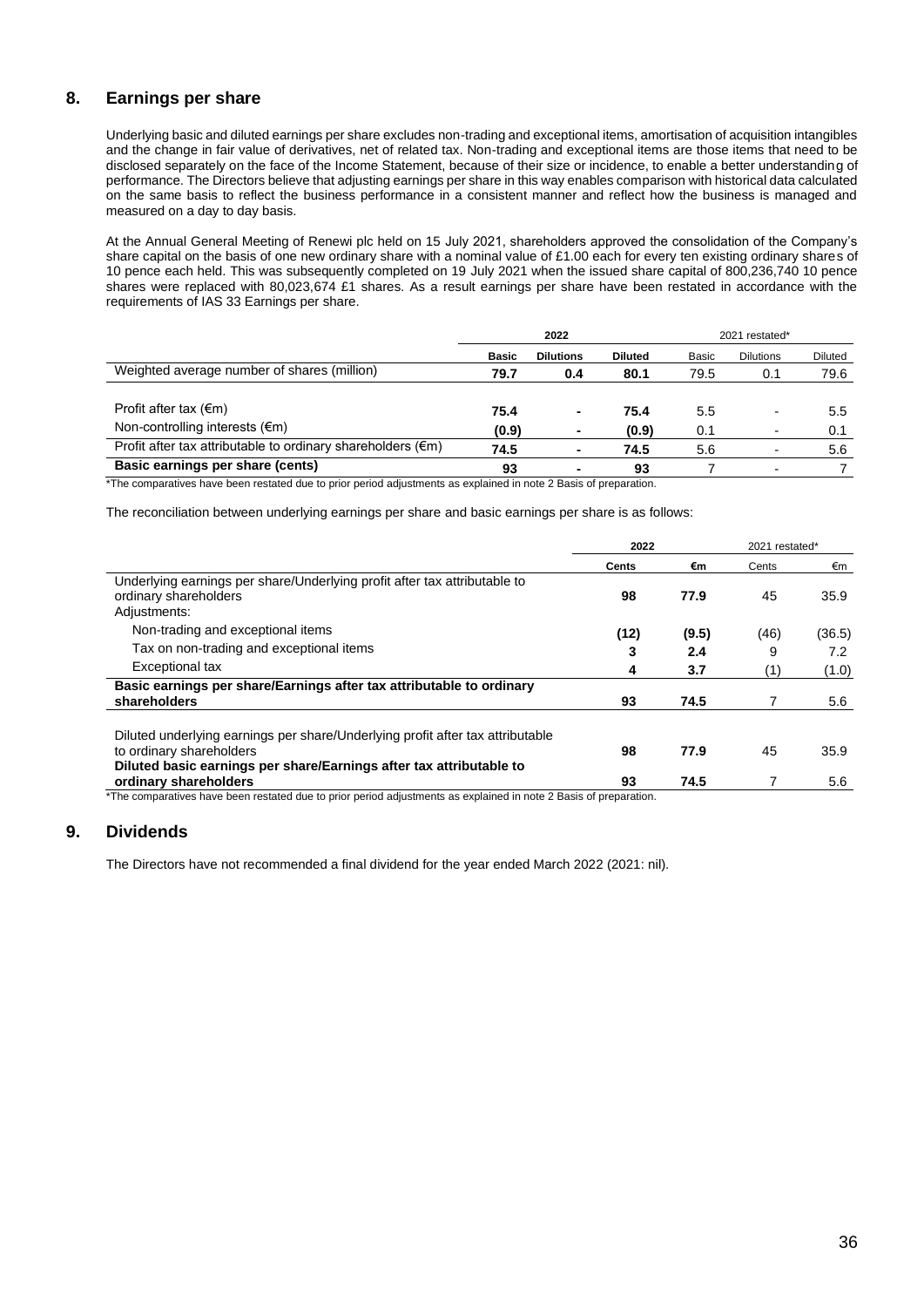## **8. Earnings per share**

Underlying basic and diluted earnings per share excludes non-trading and exceptional items, amortisation of acquisition intangibles and the change in fair value of derivatives, net of related tax. Non-trading and exceptional items are those items that need to be disclosed separately on the face of the Income Statement, because of their size or incidence, to enable a better understanding of performance. The Directors believe that adjusting earnings per share in this way enables comparison with historical data calculated on the same basis to reflect the business performance in a consistent manner and reflect how the business is managed and measured on a day to day basis.

At the Annual General Meeting of Renewi plc held on 15 July 2021, shareholders approved the consolidation of the Company's share capital on the basis of one new ordinary share with a nominal value of £1.00 each for every ten existing ordinary shares of 10 pence each held. This was subsequently completed on 19 July 2021 when the issued share capital of 800,236,740 10 pence shares were replaced with 80,023,674 £1 shares. As a result earnings per share have been restated in accordance with the requirements of IAS 33 Earnings per share.

|                                                                       | 2022         |                  |                | 2021 restated* |                  |                |
|-----------------------------------------------------------------------|--------------|------------------|----------------|----------------|------------------|----------------|
|                                                                       | <b>Basic</b> | <b>Dilutions</b> | <b>Diluted</b> | Basic          | <b>Dilutions</b> | <b>Diluted</b> |
| Weighted average number of shares (million)                           | 79.7         | 0.4              | 80.1           | 79.5           | 0.1              | 79.6           |
|                                                                       |              |                  |                |                |                  |                |
| Profit after tax $(\epsilon m)$                                       | 75.4         | ٠                | 75.4           | 5.5            |                  | 5.5            |
| Non-controlling interests $(\epsilon m)$                              | (0.9)        |                  | (0.9)          | 0.1            |                  | 0.1            |
| Profit after tax attributable to ordinary shareholders $(\epsilon m)$ | 74.5         |                  | 74.5           | 5.6            |                  | 5.6            |
| Basic earnings per share (cents)                                      | 93           |                  | 93             |                |                  |                |

\*The comparatives have been restated due to prior period adjustments as explained in note 2 Basis of preparation.

The reconciliation between underlying earnings per share and basic earnings per share is as follows:

|                                                                                                                                                                                   | 2022  |       | 2021 restated* |        |
|-----------------------------------------------------------------------------------------------------------------------------------------------------------------------------------|-------|-------|----------------|--------|
|                                                                                                                                                                                   | Cents | €m    | Cents          | €m     |
| Underlying earnings per share/Underlying profit after tax attributable to<br>ordinary shareholders<br>Adjustments:                                                                | 98    | 77.9  | 45             | 35.9   |
| Non-trading and exceptional items                                                                                                                                                 | (12)  | (9.5) | (46)           | (36.5) |
| Tax on non-trading and exceptional items                                                                                                                                          | 3     | 2.4   | 9              | 7.2    |
| <b>Exceptional tax</b>                                                                                                                                                            | 4     | 3.7   | (1)            | (1.0)  |
| Basic earnings per share/Earnings after tax attributable to ordinary<br>shareholders                                                                                              | 93    | 74.5  |                | 5.6    |
| Diluted underlying earnings per share/Underlying profit after tax attributable<br>to ordinary shareholders<br>Diluted basic earnings per share/Earnings after tax attributable to | 98    | 77.9  | 45             | 35.9   |
| ordinary shareholders                                                                                                                                                             | 93    | 74.5  |                | 5.6    |

\*The comparatives have been restated due to prior period adjustments as explained in note 2 Basis of preparation.

## **9. Dividends**

The Directors have not recommended a final dividend for the year ended March 2022 (2021: nil).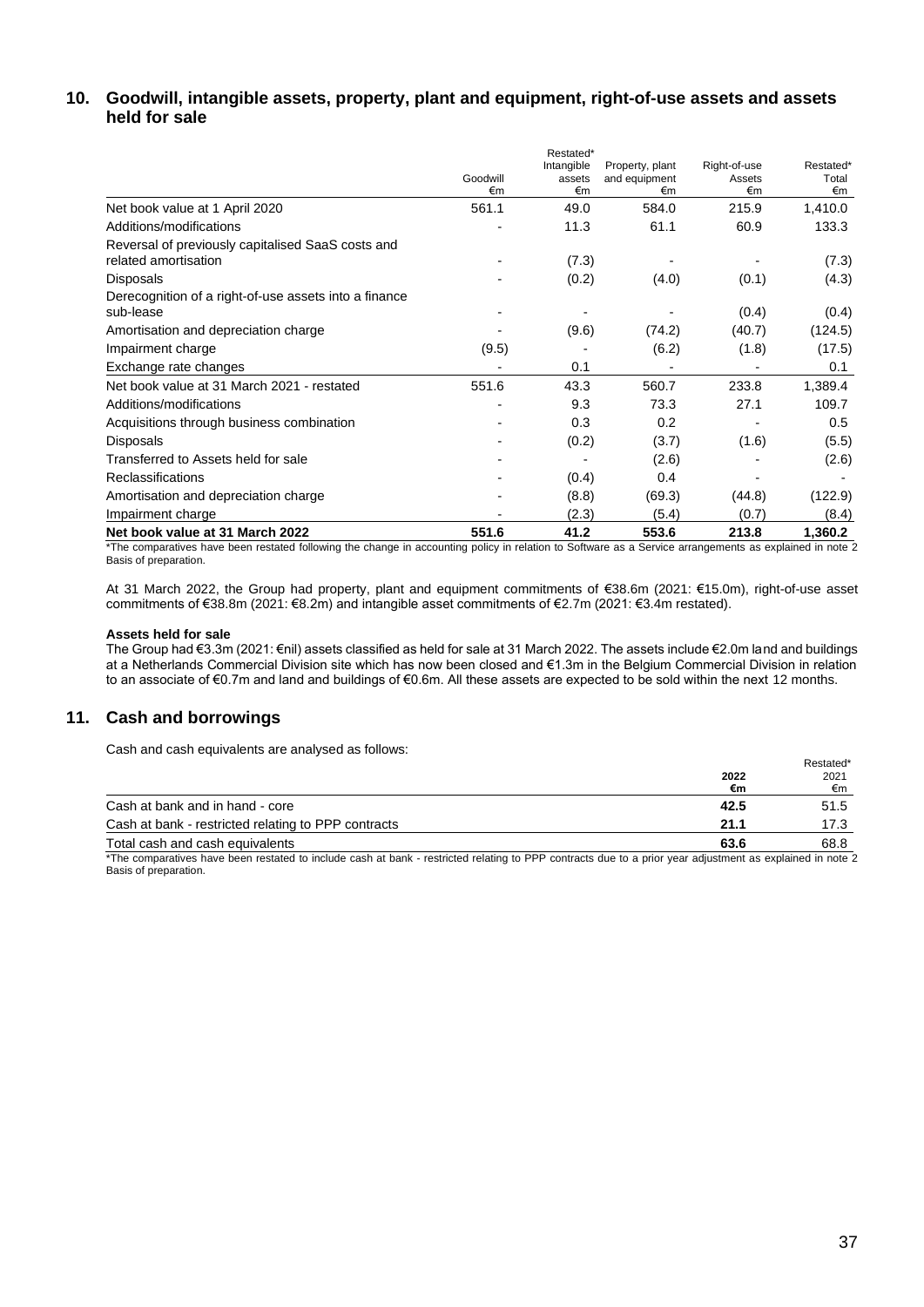## **10. Goodwill, intangible assets, property, plant and equipment, right-of-use assets and assets held for sale**

|                                                                           | Goodwill<br>€m | Restated*<br>Intangible<br>assets<br>€m | Property, plant<br>and equipment<br>€m | Right-of-use<br>Assets<br>€m | Restated*<br>Total<br>€m |
|---------------------------------------------------------------------------|----------------|-----------------------------------------|----------------------------------------|------------------------------|--------------------------|
| Net book value at 1 April 2020                                            | 561.1          | 49.0                                    | 584.0                                  | 215.9                        | 1,410.0                  |
| Additions/modifications                                                   |                | 11.3                                    | 61.1                                   | 60.9                         | 133.3                    |
| Reversal of previously capitalised SaaS costs and<br>related amortisation |                | (7.3)                                   |                                        |                              | (7.3)                    |
| <b>Disposals</b>                                                          |                | (0.2)                                   | (4.0)                                  | (0.1)                        | (4.3)                    |
| Derecognition of a right-of-use assets into a finance<br>sub-lease        |                |                                         |                                        | (0.4)                        | (0.4)                    |
| Amortisation and depreciation charge                                      |                | (9.6)                                   | (74.2)                                 | (40.7)                       | (124.5)                  |
| Impairment charge                                                         | (9.5)          |                                         | (6.2)                                  | (1.8)                        | (17.5)                   |
| Exchange rate changes                                                     |                | 0.1                                     |                                        |                              | 0.1                      |
| Net book value at 31 March 2021 - restated                                | 551.6          | 43.3                                    | 560.7                                  | 233.8                        | 1,389.4                  |
| Additions/modifications                                                   |                | 9.3                                     | 73.3                                   | 27.1                         | 109.7                    |
| Acquisitions through business combination                                 |                | 0.3                                     | 0.2                                    |                              | 0.5                      |
| <b>Disposals</b>                                                          |                | (0.2)                                   | (3.7)                                  | (1.6)                        | (5.5)                    |
| Transferred to Assets held for sale                                       |                |                                         | (2.6)                                  |                              | (2.6)                    |
| <b>Reclassifications</b>                                                  |                | (0.4)                                   | 0.4                                    |                              |                          |
| Amortisation and depreciation charge                                      |                | (8.8)                                   | (69.3)                                 | (44.8)                       | (122.9)                  |
| Impairment charge                                                         |                | (2.3)                                   | (5.4)                                  | (0.7)                        | (8.4)                    |
| Net book value at 31 March 2022                                           | 551.6          | 41.2                                    | 553.6                                  | 213.8                        | 1,360.2                  |

\*The comparatives have been restated following the change in accounting policy in relation to Software as a Service arrangements as explained in note 2 Basis of preparation.

At 31 March 2022, the Group had property, plant and equipment commitments of €38.6m (2021: €15.0m), right-of-use asset commitments of €38.8m (2021: €8.2m) and intangible asset commitments of €2.7m (2021: €3.4m restated).

## **Assets held for sale**

The Group had €3.3m (2021: €nil) assets classified as held for sale at 31 March 2022. The assets include €2.0m land and buildings at a Netherlands Commercial Division site which has now been closed and €1.3m in the Belgium Commercial Division in relation to an associate of €0.7m and land and buildings of €0.6m. All these assets are expected to be sold within the next 12 months.

## **11. Cash and borrowings**

Cash and cash equivalents are analysed as follows:

| Cash and cash equivalents are analysed as follows.                                                                                                       |      | Restated* |
|----------------------------------------------------------------------------------------------------------------------------------------------------------|------|-----------|
|                                                                                                                                                          | 2022 | 2021      |
|                                                                                                                                                          | €m   | €m        |
| Cash at bank and in hand - core                                                                                                                          | 42.5 | 51.5      |
| Cash at bank - restricted relating to PPP contracts                                                                                                      | 21.1 | 17.3      |
| Total cash and cash equivalents                                                                                                                          | 63.6 | 68.8      |
| The composition hous hone restated to include angle of houle, restricted relation to DDD contrasts due to a prior user adjustment on cuplained in note ? |      |           |

The comparatives have been restated to include cash at bank - restricted relating to PPP contracts due to a prior year adjustment as explained in note 2 Basis of preparation.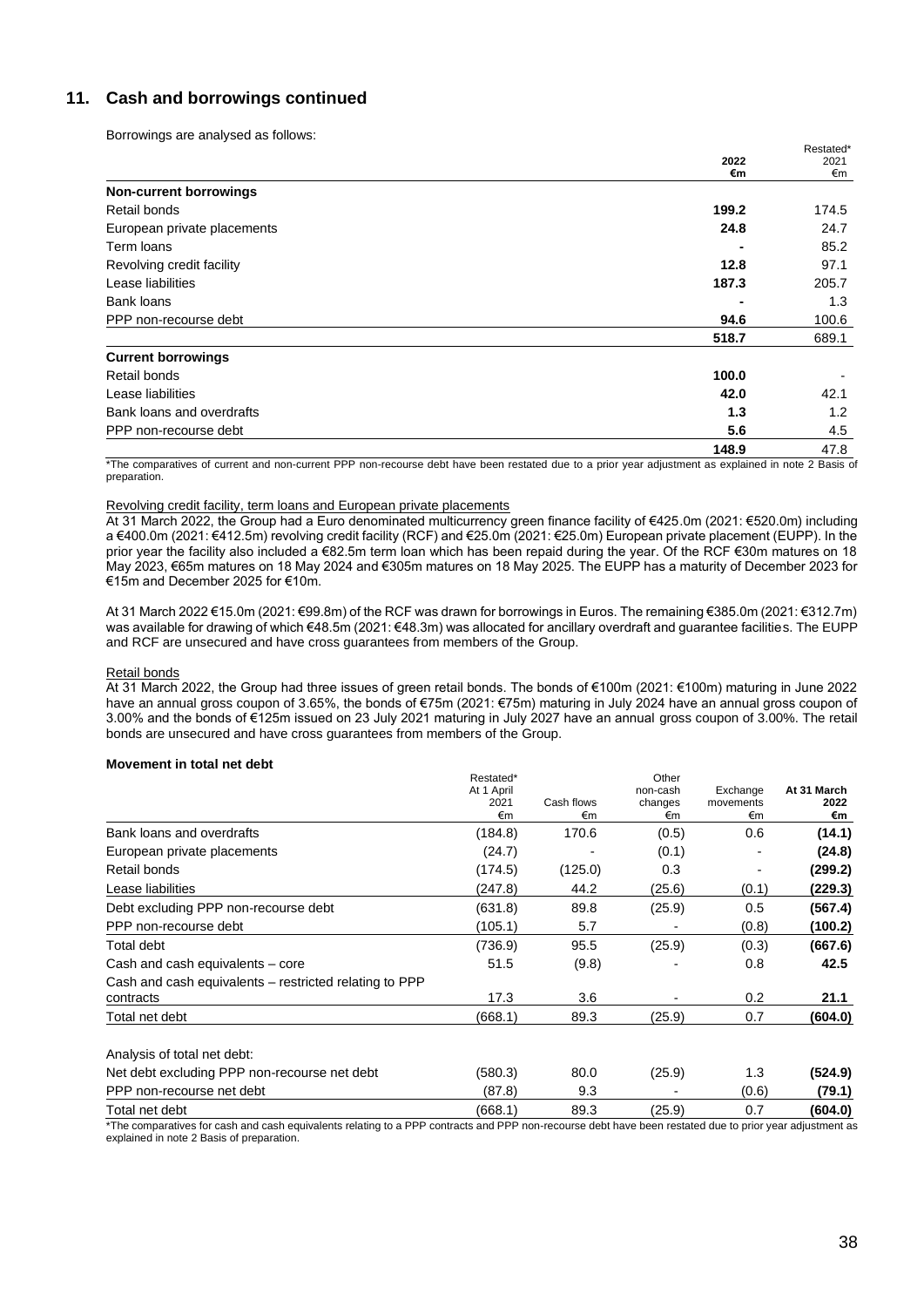## **11. Cash and borrowings continued**

Borrowings are analysed as follows:

|                             |       | Restated* |
|-----------------------------|-------|-----------|
|                             | 2022  | 2021      |
|                             | €m    | €m        |
| Non-current borrowings      |       |           |
| Retail bonds                | 199.2 | 174.5     |
| European private placements | 24.8  | 24.7      |
| Term loans                  |       | 85.2      |
| Revolving credit facility   | 12.8  | 97.1      |
| Lease liabilities           | 187.3 | 205.7     |
| Bank loans                  |       | 1.3       |
| PPP non-recourse debt       | 94.6  | 100.6     |
|                             | 518.7 | 689.1     |
| <b>Current borrowings</b>   |       |           |
| Retail bonds                | 100.0 |           |
| Lease liabilities           | 42.0  | 42.1      |
| Bank loans and overdrafts   | 1.3   | 1.2       |
| PPP non-recourse debt       | 5.6   | 4.5       |
|                             | 148.9 | 47.8      |

\*The comparatives of current and non-current PPP non-recourse debt have been restated due to a prior year adjustment as explained in note 2 Basis of preparation.

## Revolving credit facility, term loans and European private placements

At 31 March 2022, the Group had a Euro denominated multicurrency green finance facility of €425.0m (2021: €520.0m) including a €400.0m (2021: €412.5m) revolving credit facility (RCF) and €25.0m (2021: €25.0m) European private placement (EUPP). In the prior year the facility also included a €82.5m term loan which has been repaid during the year. Of the RCF €30m matures on 18 May 2023, €65m matures on 18 May 2024 and €305m matures on 18 May 2025. The EUPP has a maturity of December 2023 for €15m and December 2025 for €10m.

At 31 March 2022 €15.0m (2021: €99.8m) of the RCF was drawn for borrowings in Euros. The remaining €385.0m (2021: €312.7m) was available for drawing of which €48.5m (2021: €48.3m) was allocated for ancillary overdraft and guarantee facilities. The EUPP and RCF are unsecured and have cross guarantees from members of the Group.

#### Retail bonds

At 31 March 2022, the Group had three issues of green retail bonds. The bonds of €100m (2021: €100m) maturing in June 2022 have an annual gross coupon of 3.65%, the bonds of €75m (2021: €75m) maturing in July 2024 have an annual gross coupon of 3.00% and the bonds of €125m issued on 23 July 2021 maturing in July 2027 have an annual gross coupon of 3.00%. The retail bonds are unsecured and have cross guarantees from members of the Group.

## **Movement in total net debt**

|                                                                     | Restated*<br>At 1 April<br>2021<br>€m | Cash flows<br>€m | Other<br>non-cash<br>changes<br>€m | Exchange<br>movements<br>€m | At 31 March<br>2022<br>€m |
|---------------------------------------------------------------------|---------------------------------------|------------------|------------------------------------|-----------------------------|---------------------------|
| Bank loans and overdrafts                                           | (184.8)                               | 170.6            | (0.5)                              | 0.6                         | (14.1)                    |
| European private placements                                         | (24.7)                                |                  | (0.1)                              |                             | (24.8)                    |
| Retail bonds                                                        | (174.5)                               | (125.0)          | 0.3                                |                             | (299.2)                   |
| Lease liabilities                                                   | (247.8)                               | 44.2             | (25.6)                             | (0.1)                       | (229.3)                   |
| Debt excluding PPP non-recourse debt                                | (631.8)                               | 89.8             | (25.9)                             | 0.5                         | (567.4)                   |
| PPP non-recourse debt                                               | (105.1)                               | 5.7              |                                    | (0.8)                       | (100.2)                   |
| Total debt                                                          | (736.9)                               | 95.5             | (25.9)                             | (0.3)                       | (667.6)                   |
| Cash and cash equivalents – core                                    | 51.5                                  | (9.8)            |                                    | 0.8                         | 42.5                      |
| Cash and cash equivalents – restricted relating to PPP<br>contracts | 17.3                                  | 3.6              |                                    | 0.2                         | 21.1                      |
| Total net debt                                                      | (668.1)                               | 89.3             | (25.9)                             | 0.7                         | (604.0)                   |
| Analysis of total net debt:                                         |                                       |                  |                                    |                             |                           |
| Net debt excluding PPP non-recourse net debt                        | (580.3)                               | 80.0             | (25.9)                             | 1.3                         | (524.9)                   |
| PPP non-recourse net debt                                           | (87.8)                                | 9.3              |                                    | (0.6)                       | (79.1)                    |
| Total net debt                                                      | (668.1)                               | 89.3             | (25.9)                             | 0.7                         | (604.0)                   |

\*The comparatives for cash and cash equivalents relating to a PPP contracts and PPP non-recourse debt have been restated due to prior year adjustment as explained in note 2 Basis of preparation.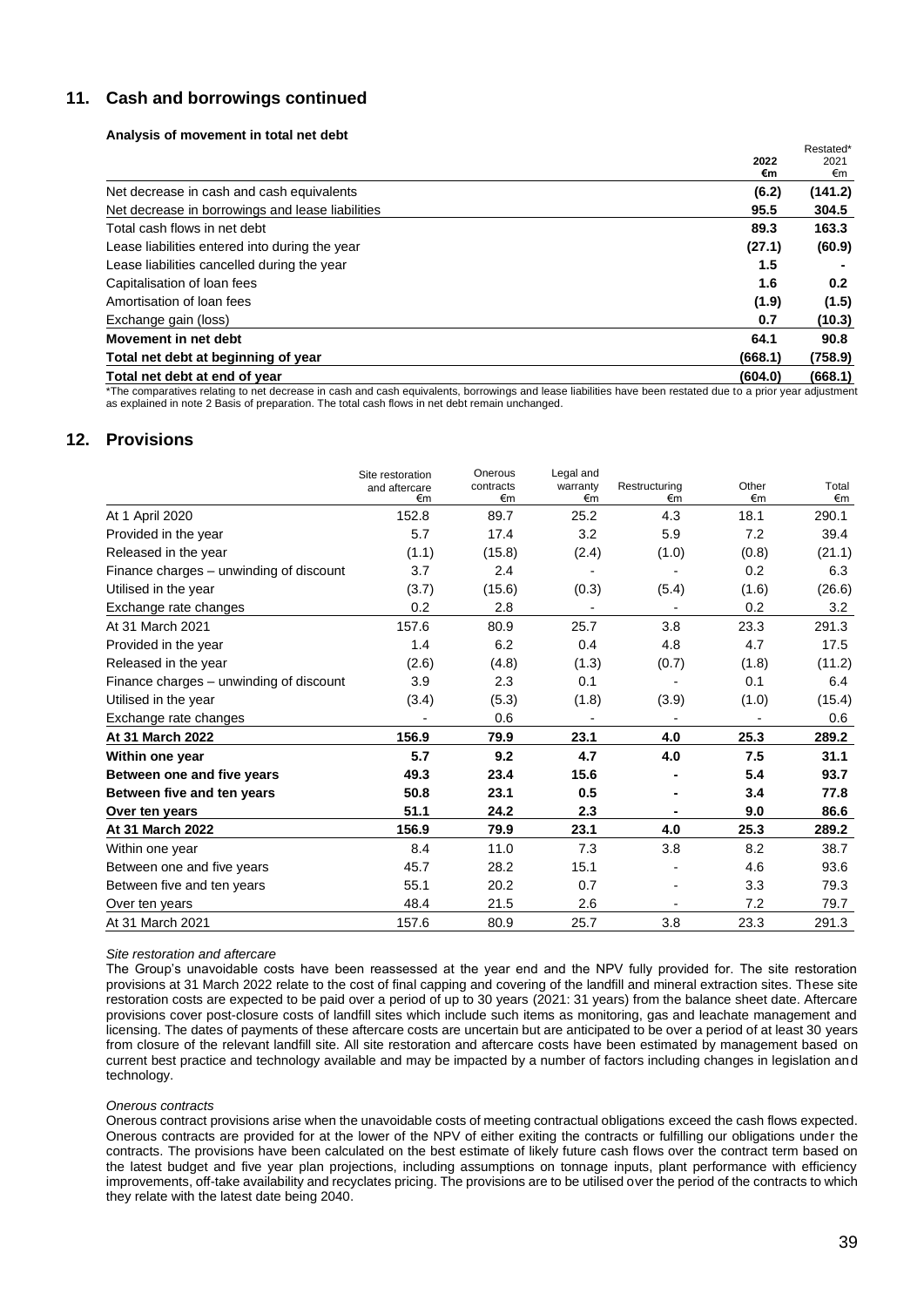## **11. Cash and borrowings continued**

## **Analysis of movement in total net debt**

|                                                  | 2022<br>€m | Restated*<br>2021<br>€m |
|--------------------------------------------------|------------|-------------------------|
| Net decrease in cash and cash equivalents        | (6.2)      | (141.2)                 |
| Net decrease in borrowings and lease liabilities | 95.5       | 304.5                   |
| Total cash flows in net debt                     | 89.3       | 163.3                   |
| Lease liabilities entered into during the year   | (27.1)     | (60.9)                  |
| Lease liabilities cancelled during the year      | 1.5        |                         |
| Capitalisation of loan fees                      | 1.6        | 0.2                     |
| Amortisation of loan fees                        | (1.9)      | (1.5)                   |
| Exchange gain (loss)                             | 0.7        | (10.3)                  |
| Movement in net debt                             | 64.1       | 90.8                    |
| Total net debt at beginning of year              | (668.1)    | (758.9)                 |
| Total net debt at end of year                    | (604.0)    | (668.1)                 |

\*The comparatives relating to net decrease in cash and cash equivalents, borrowings and lease liabilities have been restated due to a prior year adjustment as explained in note 2 Basis of preparation. The total cash flows in net debt remain unchanged.

# **12. Provisions**

|                                         | Site restoration<br>and aftercare<br>€m | Onerous<br>contracts<br>€m | Legal and<br>warranty<br>€m | Restructuring<br>€m | Other<br>€m | Total<br>€m |
|-----------------------------------------|-----------------------------------------|----------------------------|-----------------------------|---------------------|-------------|-------------|
| At 1 April 2020                         | 152.8                                   | 89.7                       | 25.2                        | 4.3                 | 18.1        | 290.1       |
| Provided in the year                    | 5.7                                     | 17.4                       | 3.2                         | 5.9                 | 7.2         | 39.4        |
| Released in the year                    | (1.1)                                   | (15.8)                     | (2.4)                       | (1.0)               | (0.8)       | (21.1)      |
| Finance charges - unwinding of discount | 3.7                                     | 2.4                        |                             |                     | 0.2         | 6.3         |
| Utilised in the year                    | (3.7)                                   | (15.6)                     | (0.3)                       | (5.4)               | (1.6)       | (26.6)      |
| Exchange rate changes                   | 0.2                                     | 2.8                        |                             |                     | 0.2         | 3.2         |
| At 31 March 2021                        | 157.6                                   | 80.9                       | 25.7                        | 3.8                 | 23.3        | 291.3       |
| Provided in the year                    | 1.4                                     | 6.2                        | 0.4                         | 4.8                 | 4.7         | 17.5        |
| Released in the year                    | (2.6)                                   | (4.8)                      | (1.3)                       | (0.7)               | (1.8)       | (11.2)      |
| Finance charges - unwinding of discount | 3.9                                     | 2.3                        | 0.1                         |                     | 0.1         | 6.4         |
| Utilised in the year                    | (3.4)                                   | (5.3)                      | (1.8)                       | (3.9)               | (1.0)       | (15.4)      |
| Exchange rate changes                   |                                         | 0.6                        |                             |                     |             | 0.6         |
| At 31 March 2022                        | 156.9                                   | 79.9                       | 23.1                        | 4.0                 | 25.3        | 289.2       |
| Within one year                         | 5.7                                     | 9.2                        | 4.7                         | 4.0                 | 7.5         | 31.1        |
| Between one and five years              | 49.3                                    | 23.4                       | 15.6                        |                     | 5.4         | 93.7        |
| Between five and ten years              | 50.8                                    | 23.1                       | 0.5                         |                     | 3.4         | 77.8        |
| Over ten years                          | 51.1                                    | 24.2                       | 2.3                         |                     | 9.0         | 86.6        |
| At 31 March 2022                        | 156.9                                   | 79.9                       | 23.1                        | 4.0                 | 25.3        | 289.2       |
| Within one year                         | 8.4                                     | 11.0                       | 7.3                         | 3.8                 | 8.2         | 38.7        |
| Between one and five years              | 45.7                                    | 28.2                       | 15.1                        |                     | 4.6         | 93.6        |
| Between five and ten years              | 55.1                                    | 20.2                       | 0.7                         |                     | 3.3         | 79.3        |
| Over ten years                          | 48.4                                    | 21.5                       | 2.6                         |                     | 7.2         | 79.7        |
| At 31 March 2021                        | 157.6                                   | 80.9                       | 25.7                        | 3.8                 | 23.3        | 291.3       |

## *Site restoration and aftercare*

The Group's unavoidable costs have been reassessed at the year end and the NPV fully provided for. The site restoration provisions at 31 March 2022 relate to the cost of final capping and covering of the landfill and mineral extraction sites. These site restoration costs are expected to be paid over a period of up to 30 years (2021: 31 years) from the balance sheet date. Aftercare provisions cover post-closure costs of landfill sites which include such items as monitoring, gas and leachate management and licensing. The dates of payments of these aftercare costs are uncertain but are anticipated to be over a period of at least 30 years from closure of the relevant landfill site. All site restoration and aftercare costs have been estimated by management based on current best practice and technology available and may be impacted by a number of factors including changes in legislation and technology.

## *Onerous contracts*

Onerous contract provisions arise when the unavoidable costs of meeting contractual obligations exceed the cash flows expected. Onerous contracts are provided for at the lower of the NPV of either exiting the contracts or fulfilling our obligations under the contracts. The provisions have been calculated on the best estimate of likely future cash flows over the contract term based on the latest budget and five year plan projections, including assumptions on tonnage inputs, plant performance with efficiency improvements, off-take availability and recyclates pricing. The provisions are to be utilised over the period of the contracts to which they relate with the latest date being 2040.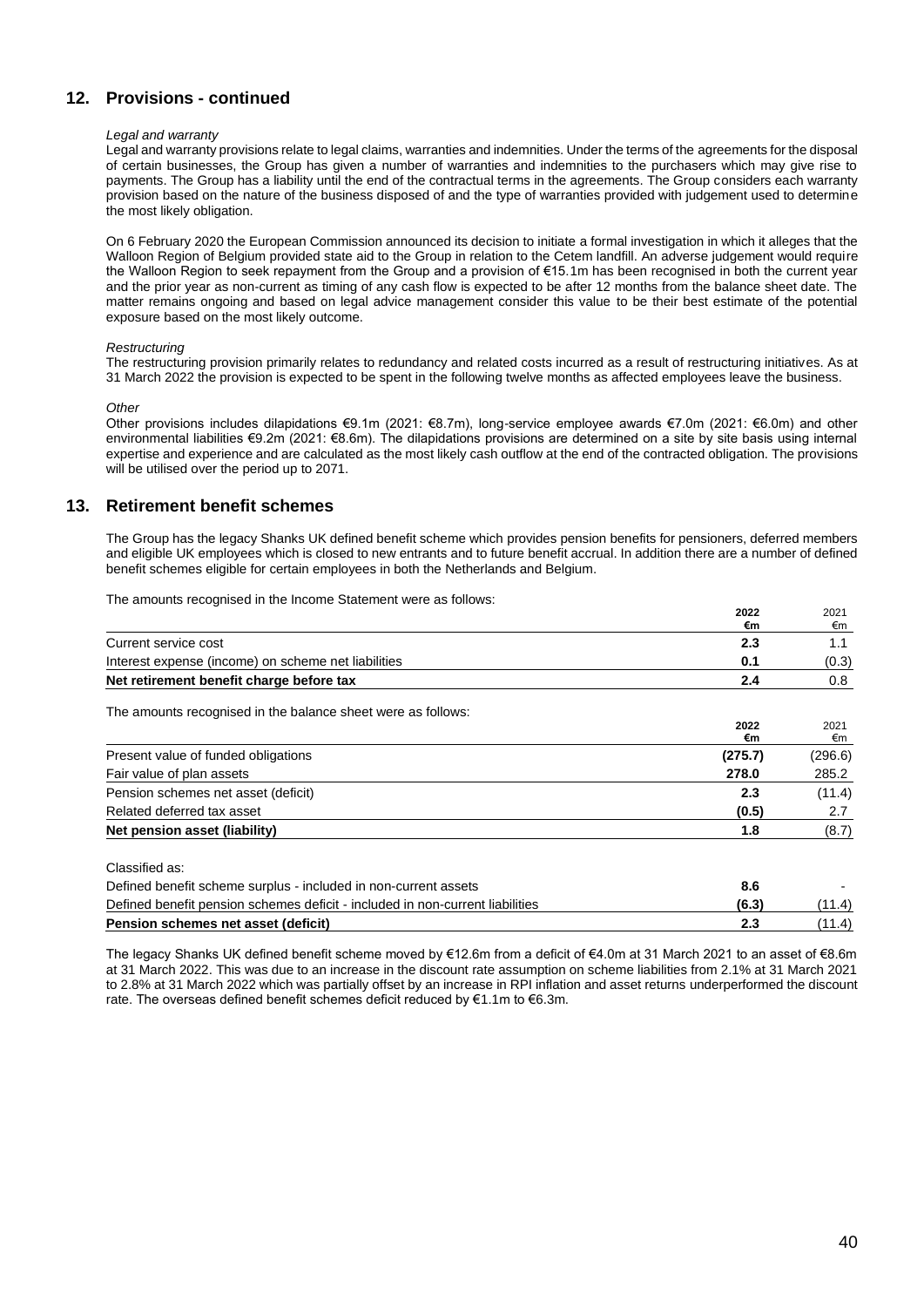## **12. Provisions - continued**

#### *Legal and warranty*

Legal and warranty provisions relate to legal claims, warranties and indemnities. Under the terms of the agreements for the disposal of certain businesses, the Group has given a number of warranties and indemnities to the purchasers which may give rise to payments. The Group has a liability until the end of the contractual terms in the agreements. The Group considers each warranty provision based on the nature of the business disposed of and the type of warranties provided with judgement used to determine the most likely obligation.

On 6 February 2020 the European Commission announced its decision to initiate a formal investigation in which it alleges that the Walloon Region of Belgium provided state aid to the Group in relation to the Cetem landfill. An adverse judgement would require the Walloon Region to seek repayment from the Group and a provision of €15.1m has been recognised in both the current year and the prior year as non-current as timing of any cash flow is expected to be after 12 months from the balance sheet date. The matter remains ongoing and based on legal advice management consider this value to be their best estimate of the potential exposure based on the most likely outcome.

## *Restructuring*

The restructuring provision primarily relates to redundancy and related costs incurred as a result of restructuring initiatives. As at 31 March 2022 the provision is expected to be spent in the following twelve months as affected employees leave the business.

## *Other*

Other provisions includes dilapidations €9.1m (2021: €8.7m), long-service employee awards €7.0m (2021: €6.0m) and other environmental liabilities €9.2m (2021: €8.6m). The dilapidations provisions are determined on a site by site basis using internal expertise and experience and are calculated as the most likely cash outflow at the end of the contracted obligation. The provisions will be utilised over the period up to 2071.

## **13. Retirement benefit schemes**

The Group has the legacy Shanks UK defined benefit scheme which provides pension benefits for pensioners, deferred members and eligible UK employees which is closed to new entrants and to future benefit accrual. In addition there are a number of defined benefit schemes eligible for certain employees in both the Netherlands and Belgium.

The amounts recognised in the Income Statement were as follows:

|                                                                               | €m      | €m      |
|-------------------------------------------------------------------------------|---------|---------|
| Current service cost                                                          | 2.3     | 1.1     |
| Interest expense (income) on scheme net liabilities                           | 0.1     | (0.3)   |
| Net retirement benefit charge before tax                                      | 2.4     | 0.8     |
| The amounts recognised in the balance sheet were as follows:                  |         |         |
|                                                                               | 2022    | 2021    |
|                                                                               | €m      | €m      |
| Present value of funded obligations                                           | (275.7) | (296.6) |
| Fair value of plan assets                                                     | 278.0   | 285.2   |
| Pension schemes net asset (deficit)                                           | 2.3     | (11.4)  |
| Related deferred tax asset                                                    | (0.5)   | 2.7     |
| Net pension asset (liability)                                                 | 1.8     | (8.7)   |
| Classified as:                                                                |         |         |
| Defined benefit scheme surplus - included in non-current assets               | 8.6     |         |
| Defined benefit pension schemes deficit - included in non-current liabilities | (6.3)   | (11.4)  |
| Pension schemes net asset (deficit)                                           | 2.3     | (11.4)  |

The legacy Shanks UK defined benefit scheme moved by €12.6m from a deficit of €4.0m at 31 March 2021 to an asset of €8.6m at 31 March 2022. This was due to an increase in the discount rate assumption on scheme liabilities from 2.1% at 31 March 2021 to 2.8% at 31 March 2022 which was partially offset by an increase in RPI inflation and asset returns underperformed the discount rate. The overseas defined benefit schemes deficit reduced by €1.1m to €6.3m.

**2022**

2021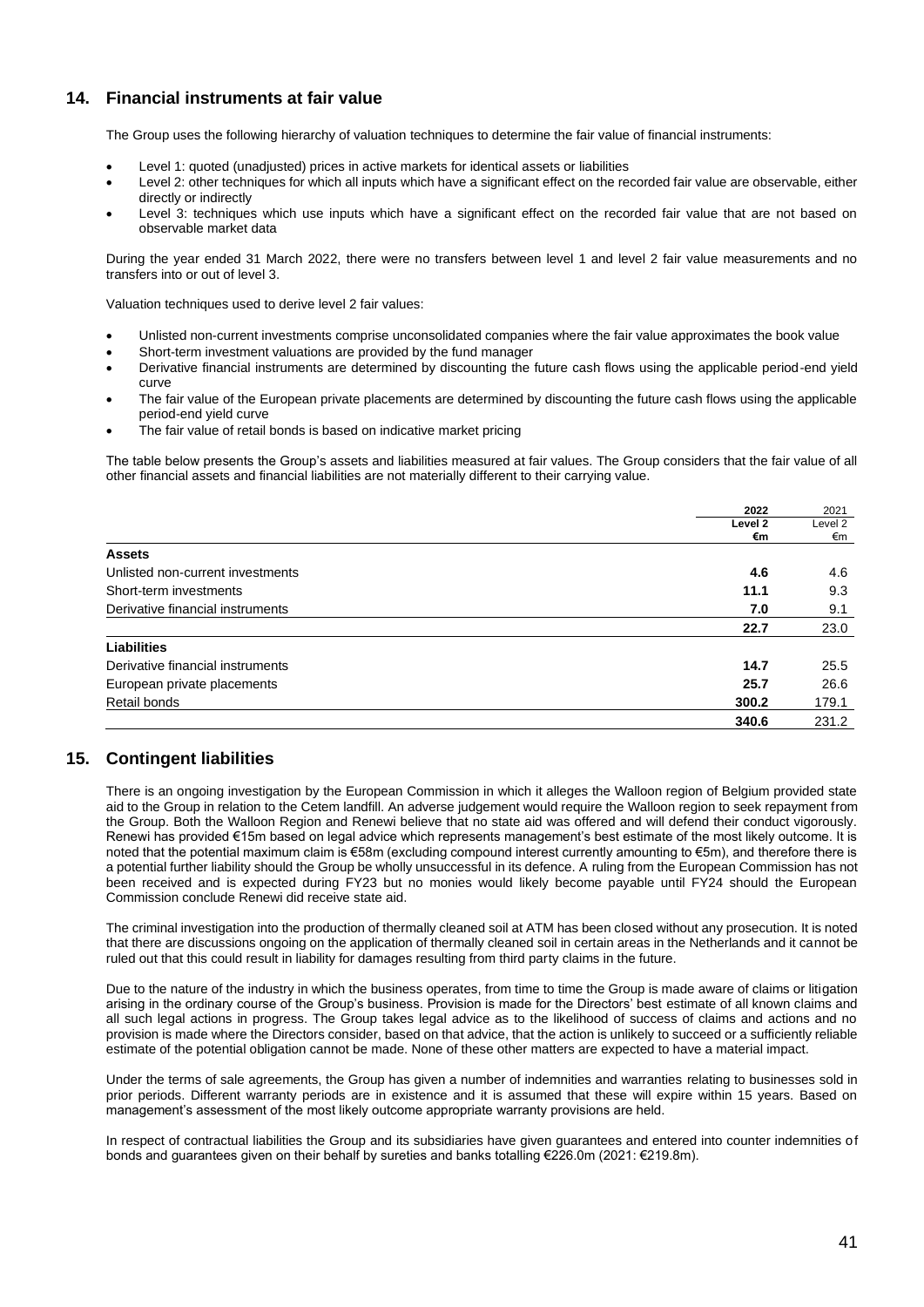## **14. Financial instruments at fair value**

The Group uses the following hierarchy of valuation techniques to determine the fair value of financial instruments:

- Level 1: quoted (unadjusted) prices in active markets for identical assets or liabilities
- Level 2: other techniques for which all inputs which have a significant effect on the recorded fair value are observable, either directly or indirectly
- Level 3: techniques which use inputs which have a significant effect on the recorded fair value that are not based on observable market data

During the year ended 31 March 2022, there were no transfers between level 1 and level 2 fair value measurements and no transfers into or out of level 3.

Valuation techniques used to derive level 2 fair values:

- Unlisted non-current investments comprise unconsolidated companies where the fair value approximates the book value
- Short-term investment valuations are provided by the fund manager
- Derivative financial instruments are determined by discounting the future cash flows using the applicable period-end yield curve
- The fair value of the European private placements are determined by discounting the future cash flows using the applicable period-end yield curve
- The fair value of retail bonds is based on indicative market pricing

The table below presents the Group's assets and liabilities measured at fair values. The Group considers that the fair value of all other financial assets and financial liabilities are not materially different to their carrying value.

|                                  | 2022    | 2021    |
|----------------------------------|---------|---------|
|                                  | Level 2 | Level 2 |
|                                  | €m      | €m      |
| <b>Assets</b>                    |         |         |
| Unlisted non-current investments | 4.6     | 4.6     |
| Short-term investments           | 11.1    | 9.3     |
| Derivative financial instruments | 7.0     | 9.1     |
|                                  | 22.7    | 23.0    |
| <b>Liabilities</b>               |         |         |
| Derivative financial instruments | 14.7    | 25.5    |
| European private placements      | 25.7    | 26.6    |
| Retail bonds                     | 300.2   | 179.1   |
|                                  | 340.6   | 231.2   |

## **15. Contingent liabilities**

There is an ongoing investigation by the European Commission in which it alleges the Walloon region of Belgium provided state aid to the Group in relation to the Cetem landfill. An adverse judgement would require the Walloon region to seek repayment from the Group. Both the Walloon Region and Renewi believe that no state aid was offered and will defend their conduct vigorously. Renewi has provided €15m based on legal advice which represents management's best estimate of the most likely outcome. It is noted that the potential maximum claim is €58m (excluding compound interest currently amounting to €5m), and therefore there is a potential further liability should the Group be wholly unsuccessful in its defence. A ruling from the European Commission has not been received and is expected during FY23 but no monies would likely become payable until FY24 should the European Commission conclude Renewi did receive state aid.

The criminal investigation into the production of thermally cleaned soil at ATM has been closed without any prosecution. It is noted that there are discussions ongoing on the application of thermally cleaned soil in certain areas in the Netherlands and it cannot be ruled out that this could result in liability for damages resulting from third party claims in the future.

Due to the nature of the industry in which the business operates, from time to time the Group is made aware of claims or litigation arising in the ordinary course of the Group's business. Provision is made for the Directors' best estimate of all known claims and all such legal actions in progress. The Group takes legal advice as to the likelihood of success of claims and actions and no provision is made where the Directors consider, based on that advice, that the action is unlikely to succeed or a sufficiently reliable estimate of the potential obligation cannot be made. None of these other matters are expected to have a material impact.

Under the terms of sale agreements, the Group has given a number of indemnities and warranties relating to businesses sold in prior periods. Different warranty periods are in existence and it is assumed that these will expire within 15 years. Based on management's assessment of the most likely outcome appropriate warranty provisions are held.

In respect of contractual liabilities the Group and its subsidiaries have given guarantees and entered into counter indemnities of bonds and guarantees given on their behalf by sureties and banks totalling €226.0m (2021: €219.8m).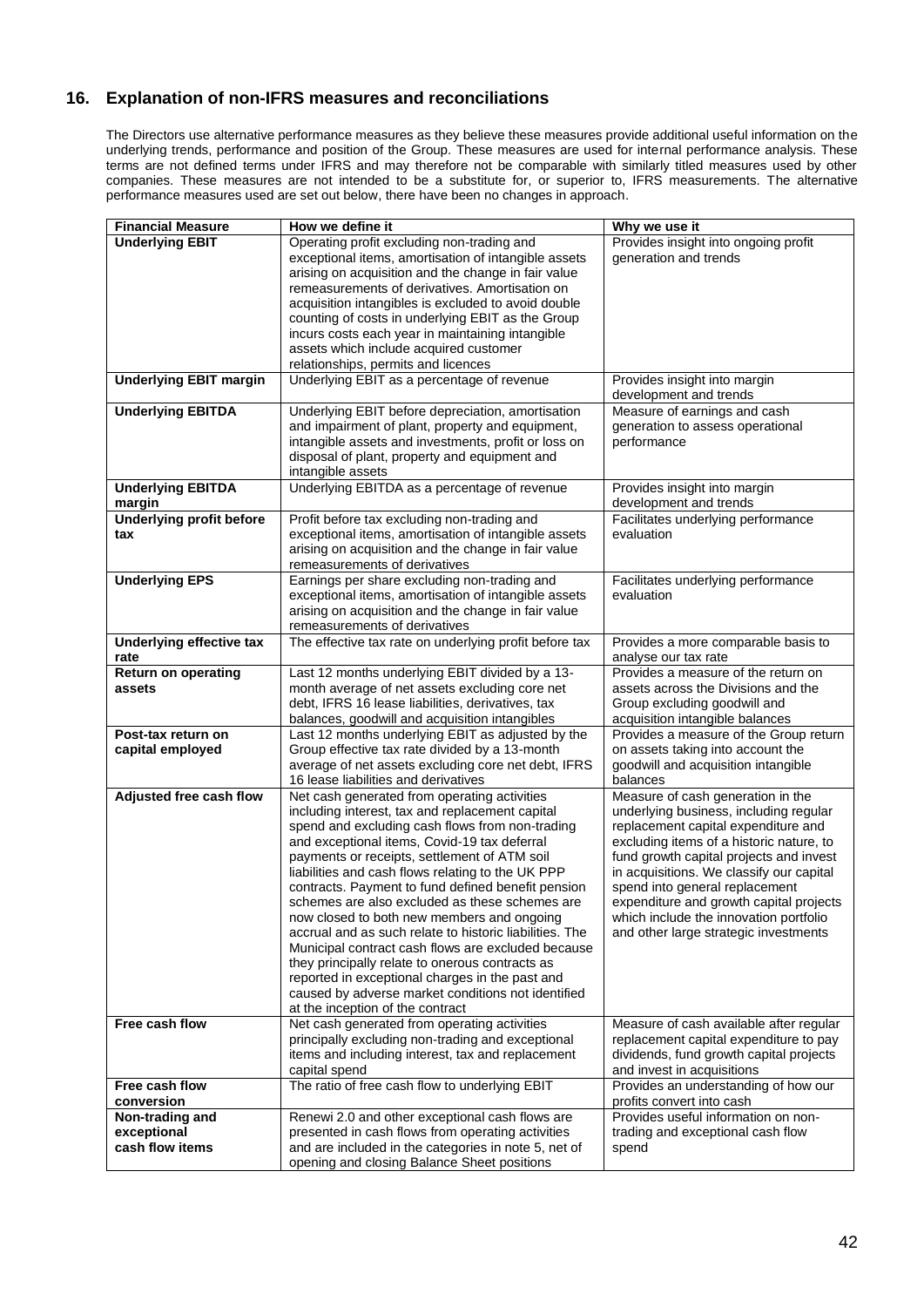## **16. Explanation of non-IFRS measures and reconciliations**

The Directors use alternative performance measures as they believe these measures provide additional useful information on the underlying trends, performance and position of the Group. These measures are used for internal performance analysis. These terms are not defined terms under IFRS and may therefore not be comparable with similarly titled measures used by other companies. These measures are not intended to be a substitute for, or superior to, IFRS measurements. The alternative performance measures used are set out below, there have been no changes in approach.

| <b>Financial Measure</b>        | How we define it                                                                                         | Why we use it                                                                     |
|---------------------------------|----------------------------------------------------------------------------------------------------------|-----------------------------------------------------------------------------------|
| <b>Underlying EBIT</b>          | Operating profit excluding non-trading and                                                               | Provides insight into ongoing profit                                              |
|                                 | exceptional items, amortisation of intangible assets                                                     | generation and trends                                                             |
|                                 | arising on acquisition and the change in fair value                                                      |                                                                                   |
|                                 | remeasurements of derivatives. Amortisation on                                                           |                                                                                   |
|                                 | acquisition intangibles is excluded to avoid double                                                      |                                                                                   |
|                                 | counting of costs in underlying EBIT as the Group                                                        |                                                                                   |
|                                 | incurs costs each year in maintaining intangible                                                         |                                                                                   |
|                                 | assets which include acquired customer                                                                   |                                                                                   |
|                                 | relationships, permits and licences                                                                      |                                                                                   |
| <b>Underlying EBIT margin</b>   | Underlying EBIT as a percentage of revenue                                                               | Provides insight into margin                                                      |
|                                 |                                                                                                          | development and trends                                                            |
| <b>Underlying EBITDA</b>        | Underlying EBIT before depreciation, amortisation                                                        | Measure of earnings and cash                                                      |
|                                 | and impairment of plant, property and equipment,<br>intangible assets and investments, profit or loss on | generation to assess operational<br>performance                                   |
|                                 | disposal of plant, property and equipment and                                                            |                                                                                   |
|                                 | intangible assets                                                                                        |                                                                                   |
| <b>Underlying EBITDA</b>        | Underlying EBITDA as a percentage of revenue                                                             | Provides insight into margin                                                      |
| margin                          |                                                                                                          | development and trends                                                            |
| <b>Underlying profit before</b> | Profit before tax excluding non-trading and                                                              | Facilitates underlying performance                                                |
| tax                             | exceptional items, amortisation of intangible assets                                                     | evaluation                                                                        |
|                                 | arising on acquisition and the change in fair value                                                      |                                                                                   |
|                                 | remeasurements of derivatives                                                                            |                                                                                   |
| <b>Underlying EPS</b>           | Earnings per share excluding non-trading and                                                             | Facilitates underlying performance                                                |
|                                 | exceptional items, amortisation of intangible assets                                                     | evaluation                                                                        |
|                                 | arising on acquisition and the change in fair value                                                      |                                                                                   |
|                                 | remeasurements of derivatives                                                                            |                                                                                   |
| Underlying effective tax        | The effective tax rate on underlying profit before tax                                                   | Provides a more comparable basis to                                               |
| rate                            |                                                                                                          | analyse our tax rate                                                              |
| <b>Return on operating</b>      | Last 12 months underlying EBIT divided by a 13-                                                          | Provides a measure of the return on                                               |
| assets                          | month average of net assets excluding core net                                                           | assets across the Divisions and the                                               |
|                                 | debt, IFRS 16 lease liabilities, derivatives, tax<br>balances, goodwill and acquisition intangibles      | Group excluding goodwill and<br>acquisition intangible balances                   |
| Post-tax return on              | Last 12 months underlying EBIT as adjusted by the                                                        | Provides a measure of the Group return                                            |
| capital employed                | Group effective tax rate divided by a 13-month                                                           | on assets taking into account the                                                 |
|                                 | average of net assets excluding core net debt, IFRS                                                      | goodwill and acquisition intangible                                               |
|                                 | 16 lease liabilities and derivatives                                                                     | balances                                                                          |
| Adjusted free cash flow         | Net cash generated from operating activities                                                             | Measure of cash generation in the                                                 |
|                                 | including interest, tax and replacement capital                                                          | underlying business, including regular                                            |
|                                 | spend and excluding cash flows from non-trading                                                          | replacement capital expenditure and                                               |
|                                 | and exceptional items, Covid-19 tax deferral                                                             | excluding items of a historic nature, to                                          |
|                                 | payments or receipts, settlement of ATM soil                                                             | fund growth capital projects and invest                                           |
|                                 | liabilities and cash flows relating to the UK PPP                                                        | in acquisitions. We classify our capital                                          |
|                                 | contracts. Payment to fund defined benefit pension                                                       | spend into general replacement                                                    |
|                                 | schemes are also excluded as these schemes are                                                           | expenditure and growth capital projects                                           |
|                                 | now closed to both new members and ongoing                                                               | which include the innovation portfolio                                            |
|                                 | accrual and as such relate to historic liabilities. The                                                  | and other large strategic investments                                             |
|                                 | Municipal contract cash flows are excluded because                                                       |                                                                                   |
|                                 | they principally relate to onerous contracts as                                                          |                                                                                   |
|                                 | reported in exceptional charges in the past and                                                          |                                                                                   |
|                                 | caused by adverse market conditions not identified                                                       |                                                                                   |
| Free cash flow                  | at the inception of the contract<br>Net cash generated from operating activities                         | Measure of cash available after regular                                           |
|                                 | principally excluding non-trading and exceptional                                                        |                                                                                   |
|                                 | items and including interest, tax and replacement                                                        | replacement capital expenditure to pay<br>dividends, fund growth capital projects |
|                                 | capital spend                                                                                            | and invest in acquisitions                                                        |
| Free cash flow                  | The ratio of free cash flow to underlying EBIT                                                           | Provides an understanding of how our                                              |
| conversion                      |                                                                                                          | profits convert into cash                                                         |
| Non-trading and                 | Renewi 2.0 and other exceptional cash flows are                                                          | Provides useful information on non-                                               |
| exceptional                     | presented in cash flows from operating activities                                                        | trading and exceptional cash flow                                                 |
| cash flow items                 | and are included in the categories in note 5, net of                                                     | spend                                                                             |
|                                 | opening and closing Balance Sheet positions                                                              |                                                                                   |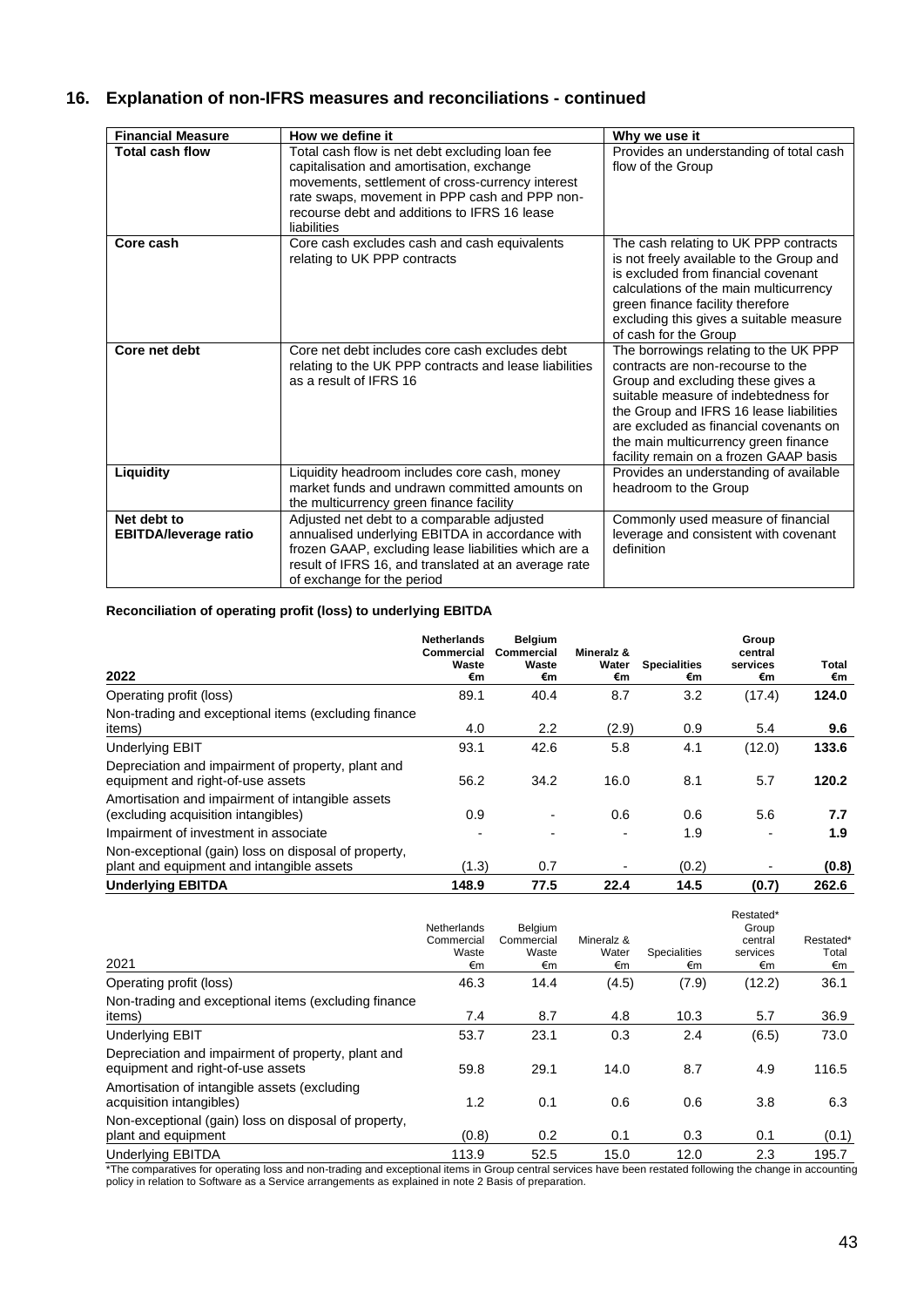# **16. Explanation of non-IFRS measures and reconciliations - continued**

| <b>Financial Measure</b>                    | How we define it                                                                                                                                                                                                                                                | Why we use it                                                                                                                                                                                                                                                                                                                  |
|---------------------------------------------|-----------------------------------------------------------------------------------------------------------------------------------------------------------------------------------------------------------------------------------------------------------------|--------------------------------------------------------------------------------------------------------------------------------------------------------------------------------------------------------------------------------------------------------------------------------------------------------------------------------|
| <b>Total cash flow</b>                      | Total cash flow is net debt excluding loan fee<br>capitalisation and amortisation, exchange<br>movements, settlement of cross-currency interest<br>rate swaps, movement in PPP cash and PPP non-<br>recourse debt and additions to IFRS 16 lease<br>liabilities | Provides an understanding of total cash<br>flow of the Group                                                                                                                                                                                                                                                                   |
| Core cash                                   | Core cash excludes cash and cash equivalents<br>relating to UK PPP contracts                                                                                                                                                                                    | The cash relating to UK PPP contracts<br>is not freely available to the Group and<br>is excluded from financial covenant<br>calculations of the main multicurrency<br>green finance facility therefore<br>excluding this gives a suitable measure<br>of cash for the Group                                                     |
| Core net debt                               | Core net debt includes core cash excludes debt<br>relating to the UK PPP contracts and lease liabilities<br>as a result of IFRS 16                                                                                                                              | The borrowings relating to the UK PPP<br>contracts are non-recourse to the<br>Group and excluding these gives a<br>suitable measure of indebtedness for<br>the Group and IFRS 16 lease liabilities<br>are excluded as financial covenants on<br>the main multicurrency green finance<br>facility remain on a frozen GAAP basis |
| Liquidity                                   | Liquidity headroom includes core cash, money<br>market funds and undrawn committed amounts on<br>the multicurrency green finance facility                                                                                                                       | Provides an understanding of available<br>headroom to the Group                                                                                                                                                                                                                                                                |
| Net debt to<br><b>EBITDA/leverage ratio</b> | Adjusted net debt to a comparable adjusted<br>annualised underlying EBITDA in accordance with<br>frozen GAAP, excluding lease liabilities which are a<br>result of IFRS 16, and translated at an average rate<br>of exchange for the period                     | Commonly used measure of financial<br>leverage and consistent with covenant<br>definition                                                                                                                                                                                                                                      |

## **Reconciliation of operating profit (loss) to underlying EBITDA**

| 2022                                                                                              | <b>Netherlands</b><br>Commercial<br>Waste<br>€m | <b>Belgium</b><br>Commercial<br>Waste<br>€m | Mineralz &<br>Water<br>€m | <b>Specialities</b><br>€m | Group<br>central<br>services<br>€m | Total<br>€m |
|---------------------------------------------------------------------------------------------------|-------------------------------------------------|---------------------------------------------|---------------------------|---------------------------|------------------------------------|-------------|
| Operating profit (loss)                                                                           | 89.1                                            | 40.4                                        | 8.7                       | 3.2                       | (17.4)                             | 124.0       |
| Non-trading and exceptional items (excluding finance<br>items)                                    | 4.0                                             | $2.2\phantom{0}$                            | (2.9)                     | 0.9                       | 5.4                                | 9.6         |
| <b>Underlying EBIT</b>                                                                            | 93.1                                            | 42.6                                        | 5.8                       | 4.1                       | (12.0)                             | 133.6       |
| Depreciation and impairment of property, plant and<br>equipment and right-of-use assets           | 56.2                                            | 34.2                                        | 16.0                      | 8.1                       | 5.7                                | 120.2       |
| Amortisation and impairment of intangible assets<br>(excluding acquisition intangibles)           | 0.9                                             |                                             | 0.6                       | 0.6                       | 5.6                                | 7.7         |
| Impairment of investment in associate                                                             |                                                 |                                             |                           | 1.9                       |                                    | 1.9         |
| Non-exceptional (gain) loss on disposal of property,<br>plant and equipment and intangible assets | (1.3)                                           | 0.7                                         |                           | (0.2)                     |                                    | (0.8)       |
| <b>Underlying EBITDA</b>                                                                          | 148.9                                           | 77.5                                        | 22.4                      | 14.5                      | (0.7)                              | 262.6       |

| 2021                                                                                    | Netherlands<br>Commercial<br>Waste<br>€m | Belgium<br>Commercial<br>Waste<br>€m | Mineralz &<br>Water<br>€m | <b>Specialities</b><br>€m                                       | Restated*<br>Group<br>central<br>services<br>€m | Restated*<br>Total<br>€m |
|-----------------------------------------------------------------------------------------|------------------------------------------|--------------------------------------|---------------------------|-----------------------------------------------------------------|-------------------------------------------------|--------------------------|
| Operating profit (loss)                                                                 | 46.3                                     | 14.4                                 | (4.5)                     | (7.9)                                                           | (12.2)                                          | 36.1                     |
| Non-trading and exceptional items (excluding finance<br>items)                          | 7.4                                      | 8.7                                  | 4.8                       | 10.3                                                            | 5.7                                             | 36.9                     |
| <b>Underlying EBIT</b>                                                                  | 53.7                                     | 23.1                                 | 0.3                       | 2.4                                                             | (6.5)                                           | 73.0                     |
| Depreciation and impairment of property, plant and<br>equipment and right-of-use assets | 59.8                                     | 29.1                                 | 14.0                      | 8.7                                                             | 4.9                                             | 116.5                    |
| Amortisation of intangible assets (excluding<br>acquisition intangibles)                | 1.2                                      | 0.1                                  | 0.6                       | 0.6                                                             | 3.8                                             | 6.3                      |
| Non-exceptional (gain) loss on disposal of property,<br>plant and equipment             | (0.8)                                    | 0.2                                  | 0.1                       | 0.3                                                             | 0.1                                             | (0.1)                    |
| <b>Underlying EBITDA</b>                                                                | 113.9                                    | 52.5<br>$\sim$ $\sim$                | 15.0                      | 12.0<br>$\sim$ $\sim$ $\sim$ $\sim$ $\sim$ $\sim$ $\sim$ $\sim$ | 2.3                                             | 195.7                    |

\*The comparatives for operating loss and non-trading and exceptional items in Group central services have been restated following the change in accounting policy in relation to Software as a Service arrangements as explained in note 2 Basis of preparation.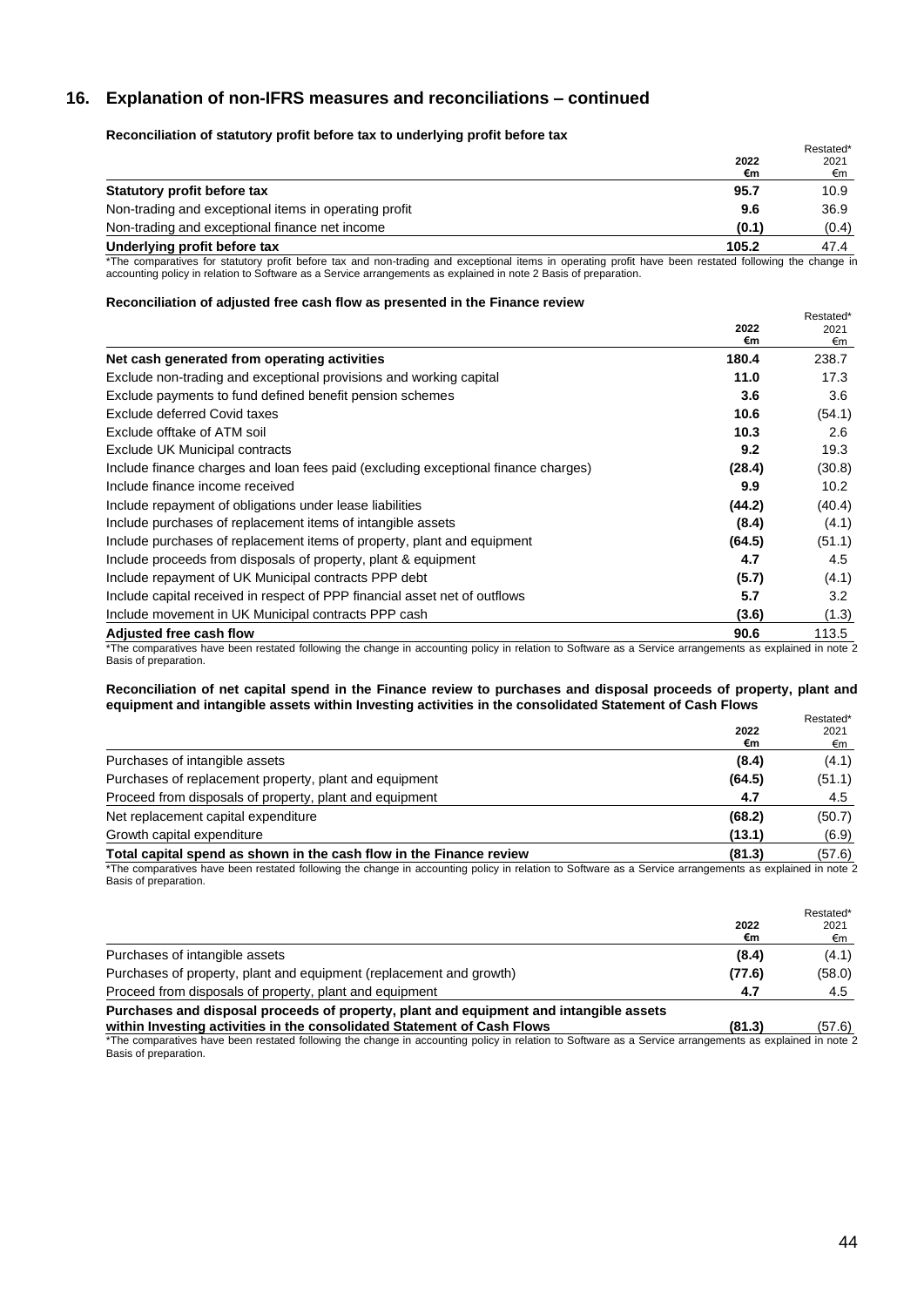## **16. Explanation of non-IFRS measures and reconciliations – continued**

## **Reconciliation of statutory profit before tax to underlying profit before tax**

|                                                       |            | Restated* |
|-------------------------------------------------------|------------|-----------|
|                                                       | 2022<br>€m | 2021      |
|                                                       |            | €m        |
| Statutory profit before tax                           | 95.7       | 10.9      |
| Non-trading and exceptional items in operating profit | 9.6        | 36.9      |
| Non-trading and exceptional finance net income        | (0.1)      | (0.4)     |
| Underlying profit before tax                          | 105.2      | 47.4      |
|                                                       |            |           |

\*The comparatives for statutory profit before tax and non-trading and exceptional items in operating profit have been restated following the change in accounting policy in relation to Software as a Service arrangements as explained in note 2 Basis of preparation.

#### **Reconciliation of adjusted free cash flow as presented in the Finance review**

| <b>NOODING INTO THE CONTROL OF A STATE IN THE CONTROL IN THE CONTROL INTO THE CONTROL</b>                                                                                                | 2022<br>€m | Restated*<br>2021<br>€m |
|------------------------------------------------------------------------------------------------------------------------------------------------------------------------------------------|------------|-------------------------|
| Net cash generated from operating activities                                                                                                                                             | 180.4      | 238.7                   |
| Exclude non-trading and exceptional provisions and working capital                                                                                                                       | 11.0       | 17.3                    |
| Exclude payments to fund defined benefit pension schemes                                                                                                                                 | 3.6        | 3.6                     |
| <b>Exclude deferred Covid taxes</b>                                                                                                                                                      | 10.6       | (54.1)                  |
| Exclude offtake of ATM soil                                                                                                                                                              | 10.3       | 2.6                     |
| <b>Exclude UK Municipal contracts</b>                                                                                                                                                    | 9.2        | 19.3                    |
| Include finance charges and loan fees paid (excluding exceptional finance charges)                                                                                                       | (28.4)     | (30.8)                  |
| Include finance income received                                                                                                                                                          | 9.9        | 10.2 <sub>1</sub>       |
| Include repayment of obligations under lease liabilities                                                                                                                                 | (44.2)     | (40.4)                  |
| Include purchases of replacement items of intangible assets                                                                                                                              | (8.4)      | (4.1)                   |
| Include purchases of replacement items of property, plant and equipment                                                                                                                  | (64.5)     | (51.1)                  |
| Include proceeds from disposals of property, plant & equipment                                                                                                                           | 4.7        | 4.5                     |
| Include repayment of UK Municipal contracts PPP debt                                                                                                                                     | (5.7)      | (4.1)                   |
| Include capital received in respect of PPP financial asset net of outflows                                                                                                               | 5.7        | 3.2                     |
| Include movement in UK Municipal contracts PPP cash                                                                                                                                      | (3.6)      | (1.3)                   |
| <b>Adjusted free cash flow</b><br>*The comparatives have been restated following the change in coopunting policy in relation to Caffuere as a Capico arrangements as evalgined in pate 5 | 90.6       | 113.5                   |

The comparatives have been restated following the change in accounting policy in relation to Software as a Service arrangements as explained in note 2 Basis of preparation.

#### **Reconciliation of net capital spend in the Finance review to purchases and disposal proceeds of property, plant and equipment and intangible assets within Investing activities in the consolidated Statement of Cash Flows**

| €m<br>Purchases of intangible assets<br>(8.4)<br>Purchases of replacement property, plant and equipment<br>(64.5)<br>Proceed from disposals of property, plant and equipment<br>4.7 |                                     |        | Restated* |
|-------------------------------------------------------------------------------------------------------------------------------------------------------------------------------------|-------------------------------------|--------|-----------|
|                                                                                                                                                                                     |                                     | 2022   | 2021      |
|                                                                                                                                                                                     |                                     |        | €m        |
|                                                                                                                                                                                     |                                     |        | (4.1)     |
|                                                                                                                                                                                     |                                     |        | (51.1)    |
|                                                                                                                                                                                     |                                     |        | 4.5       |
|                                                                                                                                                                                     | Net replacement capital expenditure | (68.2) | (50.7)    |
| Growth capital expenditure<br>(13.1)                                                                                                                                                |                                     |        | (6.9)     |
| Total capital spend as shown in the cash flow in the Finance review<br>(81.3)                                                                                                       |                                     |        | (57.6)    |

\*The comparatives have been restated following the change in accounting policy in relation to Software as a Service arrangements as explained in note 2 Basis of preparation.

|                                                                                                                                                                   | 2022<br>€m | Restated*<br>2021<br>€m |
|-------------------------------------------------------------------------------------------------------------------------------------------------------------------|------------|-------------------------|
| Purchases of intangible assets                                                                                                                                    | (8.4)      | (4.1)                   |
| Purchases of property, plant and equipment (replacement and growth)                                                                                               | (77.6)     | (58.0)                  |
| Proceed from disposals of property, plant and equipment                                                                                                           | 4.7        | 4.5                     |
| Purchases and disposal proceeds of property, plant and equipment and intangible assets<br>within Investing activities in the consolidated Statement of Cash Flows | (81.3)     | (57.6)                  |

\*The comparatives have been restated following the change in accounting policy in relation to Software as a Service arrangements as explained in note 2 Basis of preparation.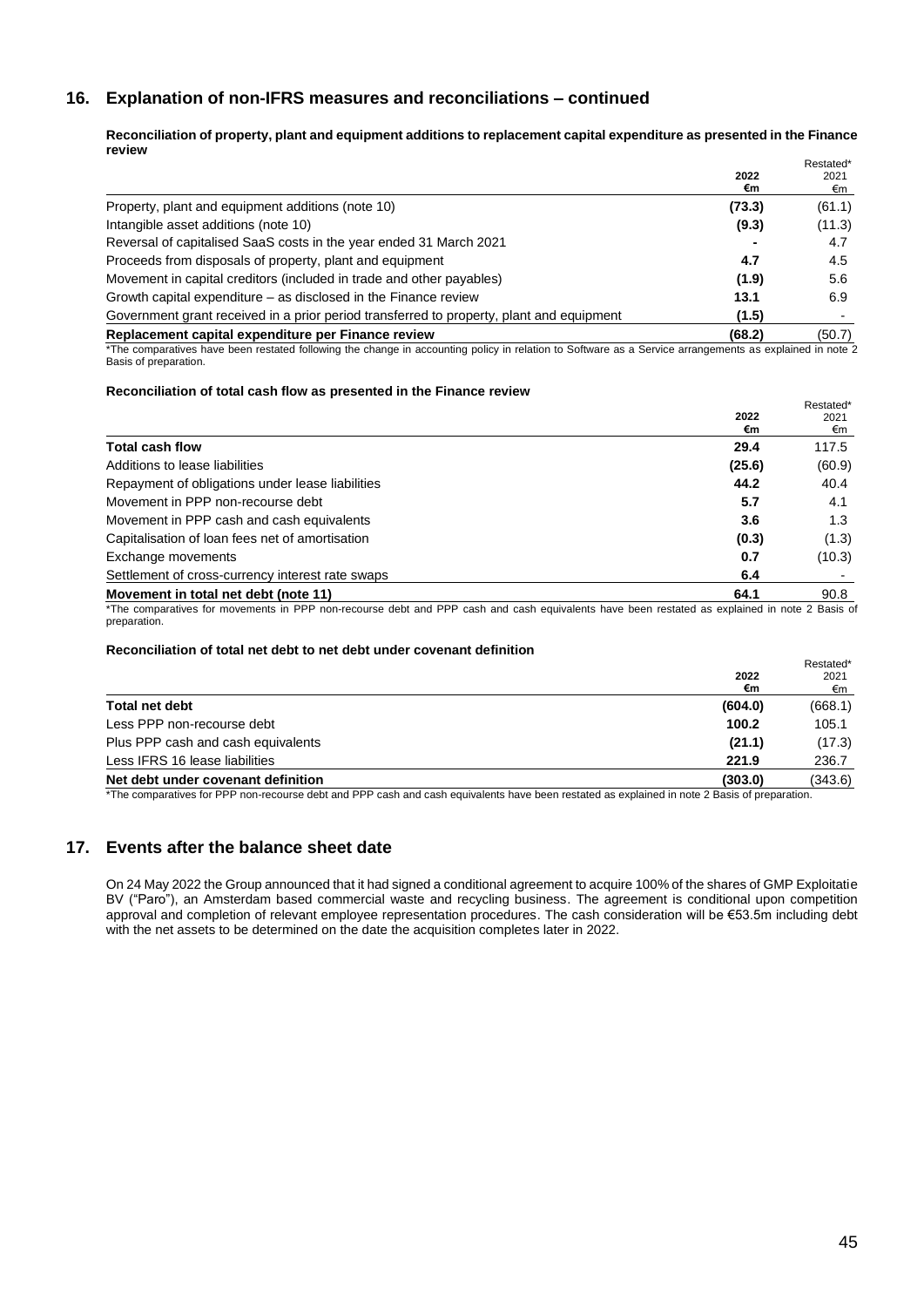## **16. Explanation of non-IFRS measures and reconciliations – continued**

**Reconciliation of property, plant and equipment additions to replacement capital expenditure as presented in the Finance review** Restated\*

|                                                                                                                                                         |        | nesialeu |
|---------------------------------------------------------------------------------------------------------------------------------------------------------|--------|----------|
|                                                                                                                                                         | 2022   | 2021     |
|                                                                                                                                                         | €m     | €m       |
| Property, plant and equipment additions (note 10)                                                                                                       | (73.3) | (61.1)   |
| Intangible asset additions (note 10)                                                                                                                    | (9.3)  | (11.3)   |
| Reversal of capitalised SaaS costs in the year ended 31 March 2021                                                                                      |        | 4.7      |
| Proceeds from disposals of property, plant and equipment                                                                                                | 4.7    | 4.5      |
| Movement in capital creditors (included in trade and other payables)                                                                                    | (1.9)  | 5.6      |
| Growth capital expenditure – as disclosed in the Finance review                                                                                         | 13.1   | 6.9      |
| Government grant received in a prior period transferred to property, plant and equipment                                                                | (1.5)  |          |
| Replacement capital expenditure per Finance review                                                                                                      | (68.2) | (50.7)   |
| *The comparatives have been restated following the change in accounting policy in relation to Software as a Sensice arrangements as evolutional in pote |        |          |

The comparatives have been restated following the change in accounting policy in relation to Software as a Service arrangements as explained in note 2 Basis of preparation.

## **Reconciliation of total cash flow as presented in the Finance review**

|                                                  | 2022<br>€m | Restated*<br>2021<br>€m |
|--------------------------------------------------|------------|-------------------------|
| <b>Total cash flow</b>                           | 29.4       | 117.5                   |
| Additions to lease liabilities                   | (25.6)     | (60.9)                  |
| Repayment of obligations under lease liabilities | 44.2       | 40.4                    |
| Movement in PPP non-recourse debt                | 5.7        | 4.1                     |
| Movement in PPP cash and cash equivalents        | 3.6        | 1.3                     |
| Capitalisation of loan fees net of amortisation  | (0.3)      | (1.3)                   |
| Exchange movements                               | 0.7        | (10.3)                  |
| Settlement of cross-currency interest rate swaps | 6.4        |                         |
| Movement in total net debt (note 11)             | 64.1       | 90.8                    |

\*The comparatives for movements in PPP non-recourse debt and PPP cash and cash equivalents have been restated as explained in note 2 Basis of preparation.

## **Reconciliation of total net debt to net debt under covenant definition**

|                                    |         | Restated*<br>2021 |
|------------------------------------|---------|-------------------|
|                                    | 2022    |                   |
|                                    | €m      | €m                |
| <b>Total net debt</b>              | (604.0) | (668.1)           |
| Less PPP non-recourse debt         | 100.2   | 105.1             |
| Plus PPP cash and cash equivalents | (21.1)  | (17.3)            |
| Less IFRS 16 lease liabilities     | 221.9   | 236.7             |
| Net debt under covenant definition | (303.0) | (343.6)           |

\*The comparatives for PPP non-recourse debt and PPP cash and cash equivalents have been restated as explained in note 2 Basis of preparation.

## **17. Events after the balance sheet date**

On 24 May 2022 the Group announced that it had signed a conditional agreement to acquire 100% of the shares of GMP Exploitatie BV ("Paro"), an Amsterdam based commercial waste and recycling business. The agreement is conditional upon competition approval and completion of relevant employee representation procedures. The cash consideration will be €53.5m including debt with the net assets to be determined on the date the acquisition completes later in 2022.